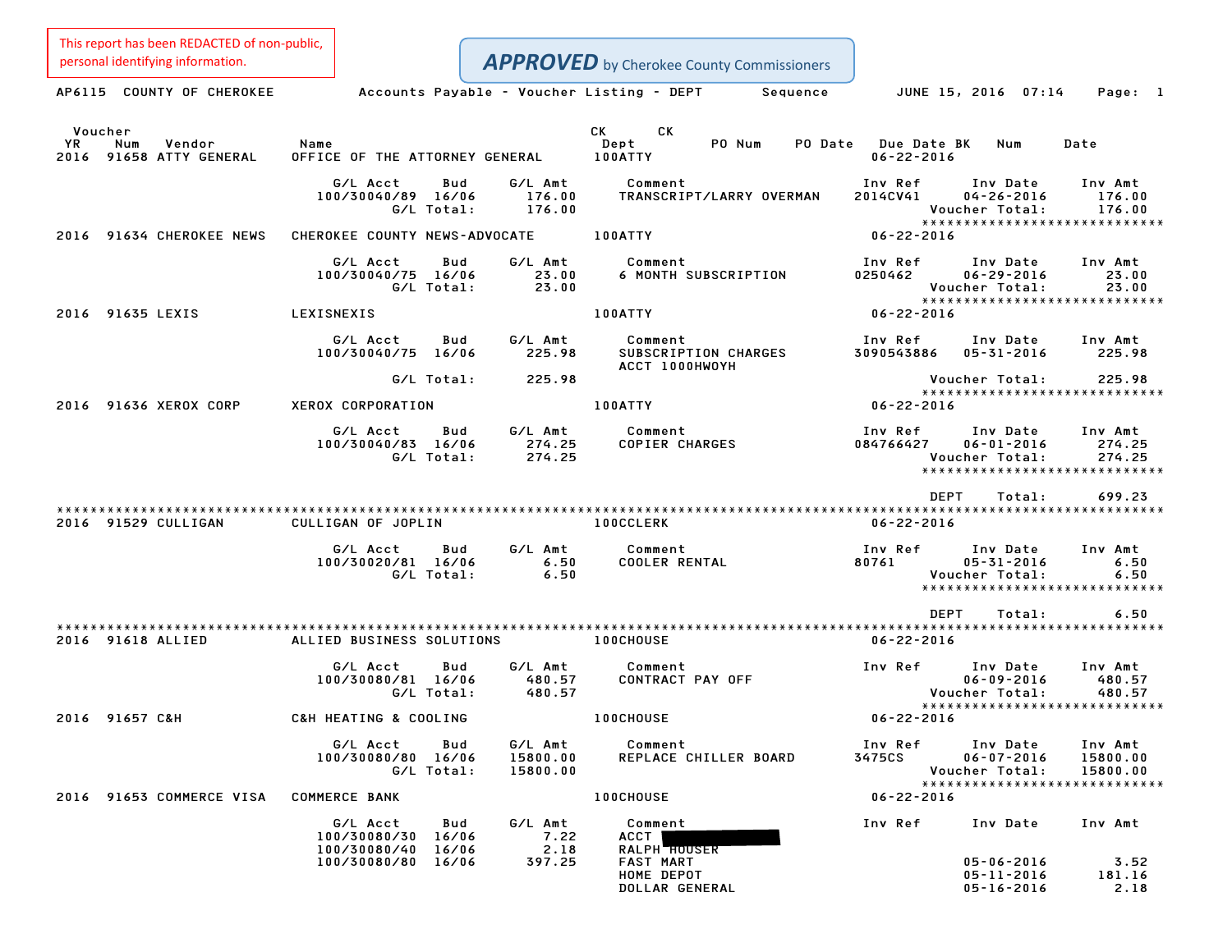This report has been REDACTED of non-public,

| personal identifying information.                          |                                                                    |                                                                     | <b>APPROVED</b> by Cherokee County Commissioners                                           |                                                        |                                                                                                           |
|------------------------------------------------------------|--------------------------------------------------------------------|---------------------------------------------------------------------|--------------------------------------------------------------------------------------------|--------------------------------------------------------|-----------------------------------------------------------------------------------------------------------|
| AP6115 COUNTY OF CHEROKEE                                  |                                                                    | Accounts Payable - Voucher Listing - DEPT                           | Sequence                                                                                   | JUNE 15, 2016 07:14                                    | Page: 1                                                                                                   |
| Voucher<br>YR.<br>Num<br>Vendor<br>2016 91658 ATTY GENERAL | Name<br>OFFICE OF THE ATTORNEY GENERAL                             |                                                                     | СK<br>CK<br>Dept<br>PO Num<br>PO Date<br>100ATTY                                           | <b>Due Date BK</b><br>$06 - 22 - 2016$                 | Num<br>Date                                                                                               |
|                                                            | G/L Acct<br>100/30040/89 16/06<br>G/L Total:                       | Bud<br>G/L Amt<br>176.00<br>176.00                                  | Comment<br>TRANSCRIPT/LARRY OVERMAN                                                        | Inv Ref<br>2014CV41<br>Voucher Total:                  | Inv Date<br>Inv Amt<br>$04 - 26 - 2016$<br>176.00<br>176.00<br>******************************             |
| 2016 91634 CHEROKEE NEWS                                   | CHEROKEE COUNTY NEWS-ADVOCATE                                      |                                                                     | 100ATTY                                                                                    | $06 - 22 - 2016$                                       |                                                                                                           |
|                                                            | G/L Acct<br>100/30040/75 16/06<br>G/L Total:                       | Bud<br>G/L Amt<br>23.00<br>23.00                                    | Comment<br><b>6 MONTH SUBSCRIPTION</b>                                                     | Inv Ref<br>0250462<br>Voucher Total:                   | Inv Date<br>Inv Amt<br>$06 - 29 - 2016$<br>23.00<br>23.00                                                 |
| 2016 91635 LEXIS                                           | LEXISNEXIS                                                         |                                                                     | 100ATTY                                                                                    | $06 - 22 - 2016$                                       | *****************************                                                                             |
|                                                            | G/L Acct<br>100/30040/75 16/06                                     | Bud<br>G/L Amt<br>225.98                                            | Comment<br>SUBSCRIPTION CHARGES<br>ACCT 1000HWOYH                                          | Inv Ref<br>3090543886                                  | Inv Date<br>Inv Amt<br>$05 - 31 - 2016$<br>225.98                                                         |
|                                                            | G/L Total:                                                         | 225.98                                                              |                                                                                            | Voucher Total:                                         | 225.98<br>*****************************                                                                   |
| 2016 91636 XEROX CORP                                      | XEROX CORPORATION                                                  |                                                                     | 100ATTY                                                                                    | $06 - 22 - 2016$                                       |                                                                                                           |
|                                                            | G/L Acct<br>100/30040/83 16/06<br>G/L Total:                       | Bud<br>G/L Amt<br>274.25<br>274.25                                  | Comment<br><b>COPIER CHARGES</b>                                                           | Inv Ref<br>084766427<br>Voucher Total:                 | Inv Date<br>Inv Amt<br>$06 - 01 - 2016$<br>274.25<br>274.25<br>******************************             |
|                                                            |                                                                    |                                                                     |                                                                                            | <b>DEPT</b>                                            | 699.23<br>Total:                                                                                          |
| 2016 91529 CULLIGAN                                        | CULLIGAN OF JOPLIN<br>G/L Acct<br>100/30020/81 16/06<br>G/L Total: | G/L Amt<br>Bud<br>6.50<br>6.50                                      | <b>100CCLERK</b><br>Comment<br><b>COOLER RENTAL</b>                                        | $06 - 22 - 2016$<br>Inv Ref<br>80761<br>Voucher Total: | Inv Date<br>Inv Amt<br>$05 - 31 - 2016$<br>6.50<br>6.50<br>*****************************                  |
|                                                            |                                                                    |                                                                     |                                                                                            | <b>DEPT</b>                                            | 6.50<br>Total:                                                                                            |
| 2016 91618 ALLIED                                          | ALLIED BUSINESS SOLUTIONS                                          |                                                                     | <b>100CHOUSE</b>                                                                           | $06 - 22 - 2016$                                       |                                                                                                           |
|                                                            | G/L Acct<br>100/30080/81 16/06<br>G/L Total:                       | Bud<br>G/L Amt<br>480.57<br>480.57                                  | Comment<br>CONTRACT PAY OFF                                                                | Inv Ref<br>Voucher Total:                              | Inv Date<br>Inv Amt<br>$06 - 09 - 2016$<br>480.57<br>480.57                                               |
| 2016 91657 C&H                                             | C&H HEATING & COOLING                                              |                                                                     | 100CHOUSE                                                                                  | $06 - 22 - 2016$                                       | *****************************                                                                             |
|                                                            | G/L Acct<br>100/30080/80 16/06                                     | G/L Amt<br>Bud<br>15800.00<br>G/L Total:<br>15800.00                | Comment<br>REPLACE CHILLER BOARD                                                           | Inv Ref<br>3475CS<br>Voucher Total:                    | Inv Date<br>Inv Amt<br>$06 - 07 - 2016$<br>15800.00<br>15800.00<br>*****************************          |
| 2016 91653 COMMERCE VISA                                   | <b>COMMERCE BANK</b>                                               |                                                                     | <b>100CHOUSE</b>                                                                           | $06 - 22 - 2016$                                       |                                                                                                           |
|                                                            | G/L Acct<br>100/30080/30<br>100/30080/40<br>100/30080/80           | G/L Amt<br>Bud<br>7.22<br>16/06<br>16/06<br>2.18<br>397.25<br>16/06 | Comment<br>ACCT<br>RALPH <b>HOUSER</b><br><b>FAST MART</b><br>HOME DEPOT<br>DOLLAR GENERAL | Inv Ref                                                | Inv Date<br>Inv Amt<br>$05 - 06 - 2016$<br>3.52<br>$05 - 11 - 2016$<br>181.16<br>$05 - 16 - 2016$<br>2.18 |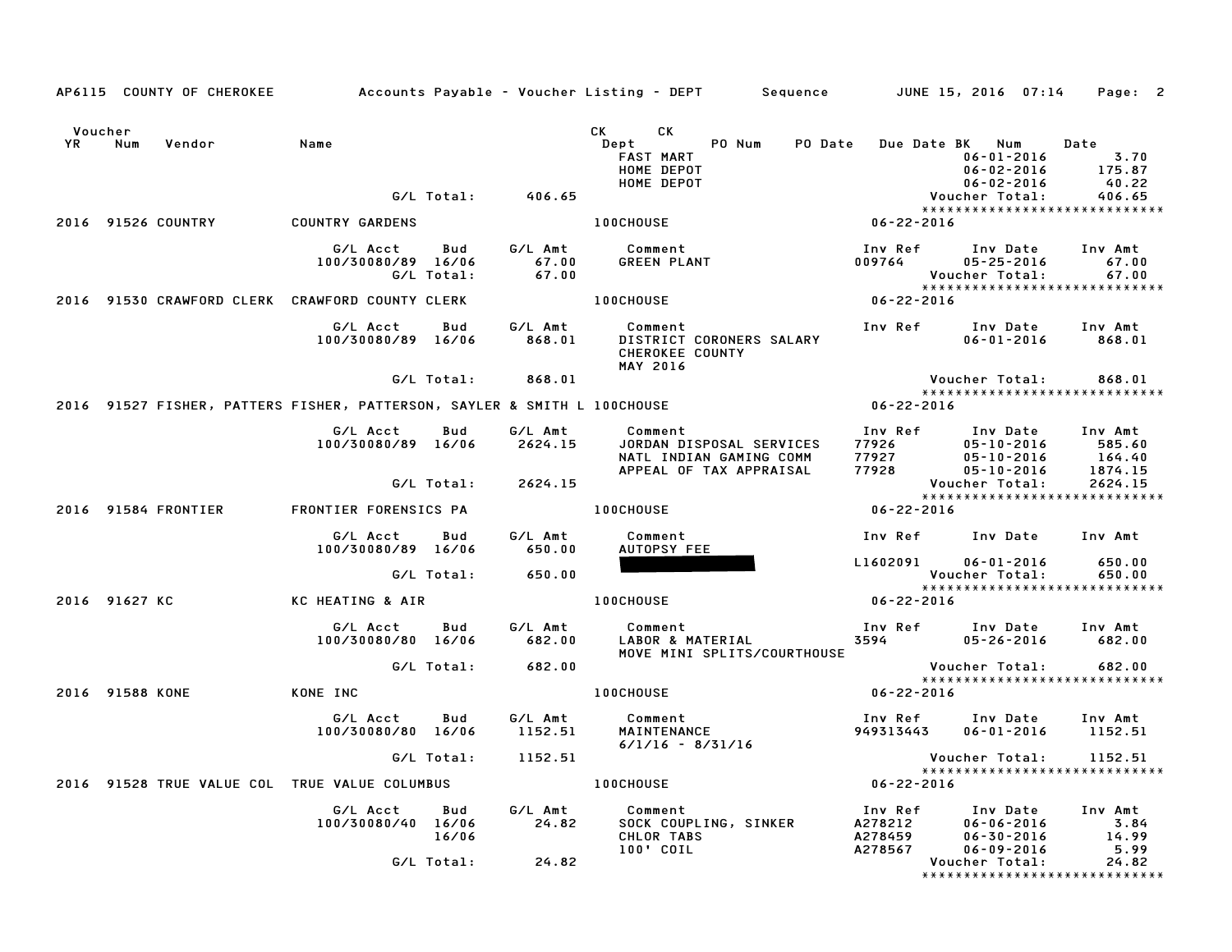|           |                    | AP6115 COUNTY OF CHEROKEE |                                                                          |                   |                           | Accounts Payable – Voucher Listing – DEPT       Sequence         JUNE 15, 2016  07:14                                                                                                                                                                                                                             |                                    |                                                                       | Page: 2                                |
|-----------|--------------------|---------------------------|--------------------------------------------------------------------------|-------------------|---------------------------|-------------------------------------------------------------------------------------------------------------------------------------------------------------------------------------------------------------------------------------------------------------------------------------------------------------------|------------------------------------|-----------------------------------------------------------------------|----------------------------------------|
| <b>YR</b> | Voucher<br>Num     | Vendor                    | Name                                                                     |                   |                           | СK<br>CK and the set of the set of the set of the set of the set of the set of the set of the set of the set of the set of the set of the set of the set of the set of the set of the set of the set of the set of the set of the se<br>PO Num<br>Dept<br><b>PO</b> Date<br>FAST MART<br>HOME DEPOT<br>HOME DEPOT |                                    | Due Date BK Num<br>$06 - 01 - 2016$<br>06-02-2016<br>$06 - 02 - 2016$ | Date<br>3.70<br>175.87<br>40.22        |
|           |                    |                           |                                                                          | G/L Total:        | 406.65                    |                                                                                                                                                                                                                                                                                                                   |                                    | Voucher Total:                                                        | 406.65                                 |
|           | 2016 91526 COUNTRY |                           | <b>COUNTRY GARDENS</b>                                                   |                   |                           | <b>100CHOUSE</b>                                                                                                                                                                                                                                                                                                  | 06-22-2016                         | *****************************                                         |                                        |
|           |                    |                           | G/L Acct<br>100/30080/89 16/06                                           | Bud<br>G/L Total: | G/L Amt<br>67.00<br>67.00 | Comment<br><b>GREEN PLANT</b>                                                                                                                                                                                                                                                                                     | Inv Ref<br>009764                  | Inv Date<br>$05 - 25 - 2016$<br>Voucher Total:                        | Inv Amt<br>67.00<br>67.00              |
|           |                    |                           | 2016 91530 CRAWFORD CLERK CRAWFORD COUNTY CLERK                          |                   |                           | <b>100CHOUSE</b>                                                                                                                                                                                                                                                                                                  | $06 - 22 - 2016$                   | *****************************                                         |                                        |
|           |                    |                           | G/L Acct<br>100/30080/89 16/06                                           | Bud               | G/L Amt<br>868.01         | Comment<br>DISTRICT CORONERS SALARY<br>CHEROKEE COUNTY<br><b>MAY 2016</b>                                                                                                                                                                                                                                         |                                    | Inv Ref Inv Date<br>$06 - 01 - 2016$                                  | Inv Amt<br>868.01                      |
|           |                    |                           |                                                                          | G/L Total:        | 868.01                    |                                                                                                                                                                                                                                                                                                                   |                                    | Voucher Total:                                                        | 868.01                                 |
|           |                    |                           | 2016 91527 FISHER, PATTERS FISHER, PATTERSON, SAYLER & SMITH L 100CHOUSE |                   |                           |                                                                                                                                                                                                                                                                                                                   | 06-22-2016                         | *****************************                                         |                                        |
|           |                    |                           | G/L Acct<br>100/30080/89 16/06                                           | Bud               | G/L Amt<br>2624.15        | Comment<br>JORDAN DISPOSAL SERVICES<br>NATL INDIAN GAMING COMM<br>APPEAL OF TAX APPRAISAL                                                                                                                                                                                                                         | Inv Ref<br>77926<br>77927<br>77928 | Inv Date<br>$05 - 10 - 2016$<br>05-10-2016<br>05-10-2016              | Inv Amt<br>585.60<br>164.40<br>1874.15 |
|           |                    |                           |                                                                          | G/L Total:        | 2624.15                   |                                                                                                                                                                                                                                                                                                                   |                                    | Voucher Total:                                                        | 2624.15                                |
|           |                    | 2016 91584 FRONTIER       | FRONTIER FORENSICS PA                                                    |                   |                           | <b>100CHOUSE</b>                                                                                                                                                                                                                                                                                                  | 06-22-2016                         | *****************************                                         |                                        |
|           |                    |                           | G/L Acct<br>100/30080/89 16/06                                           | Bud               | G/L Amt<br>650.00         | Comment<br>AUTOPSY FEE                                                                                                                                                                                                                                                                                            | Inv Ref<br>L1602091                | Inv Date                                                              | Inv Amt                                |
|           |                    |                           |                                                                          | G/L Total:        | 650.00                    |                                                                                                                                                                                                                                                                                                                   |                                    | $06 - 01 - 2016$<br>Voucher Total:                                    | 650.00<br>650.00                       |
|           | 2016 91627 KC      |                           | KC HEATING & AIR                                                         |                   |                           | <b>100CHOUSE</b>                                                                                                                                                                                                                                                                                                  | 06-22-2016                         | *****************************                                         |                                        |
|           |                    |                           | G/L Acct<br>100/30080/80 16/06                                           | Bud               | G/L Amt<br>682.00         | Comment<br>LABOR & MATERIAL<br>MOVE MINI SPLITS/COURTHOUSE                                                                                                                                                                                                                                                        | 3594                               | Inv Ref Inv Date<br>$05 - 26 - 2016$                                  | Inv Amt<br>682.00                      |
|           |                    |                           |                                                                          | G/L Total:        | 682.00                    |                                                                                                                                                                                                                                                                                                                   |                                    | Voucher Total:<br>******************************                      | 682.00                                 |
|           | 2016 91588 KONE    |                           | KONE INC                                                                 |                   |                           | <b>100CHOUSE</b>                                                                                                                                                                                                                                                                                                  | $06 - 22 - 2016$                   |                                                                       |                                        |
|           |                    |                           | G/L Acct<br>100/30080/80 16/06                                           | Bud               | G/L Amt<br>1152.51        | Comment<br>MAINTENANCE<br>$6/1/16 - 8/31/16$                                                                                                                                                                                                                                                                      | 949313443                          | Inv Ref Inv Date<br>$06 - 01 - 2016$                                  | Inv Amt<br>1152.51                     |
|           |                    |                           |                                                                          | G/L Total:        | 1152.51                   |                                                                                                                                                                                                                                                                                                                   |                                    | Voucher Total:                                                        | 1152.51                                |
|           |                    |                           | 2016 91528 TRUE VALUE COL TRUE VALUE COLUMBUS                            |                   |                           | <b>100CHOUSE</b>                                                                                                                                                                                                                                                                                                  | $06 - 22 - 2016$                   | *****************************                                         |                                        |
|           |                    |                           | G/L Acct<br>100/30080/40 16/06                                           | Bud<br>16/06      | G/L Amt<br>24.82          | Comment<br>SOCK COUPLING, SINKER<br>CHLOR TABS                                                                                                                                                                                                                                                                    | Inv Ref<br>A278212<br>A278459      | Inv Date<br>$06 - 06 - 2016$<br>$06 - 30 - 2016$                      | Inv Amt<br>3.84<br>14.99               |
|           |                    |                           |                                                                          | G/L Total:        | 24.82                     | 100' COIL                                                                                                                                                                                                                                                                                                         | A278567                            | $06 - 09 - 2016$<br>Voucher Total:<br>*****************************   | 5.99<br>24.82                          |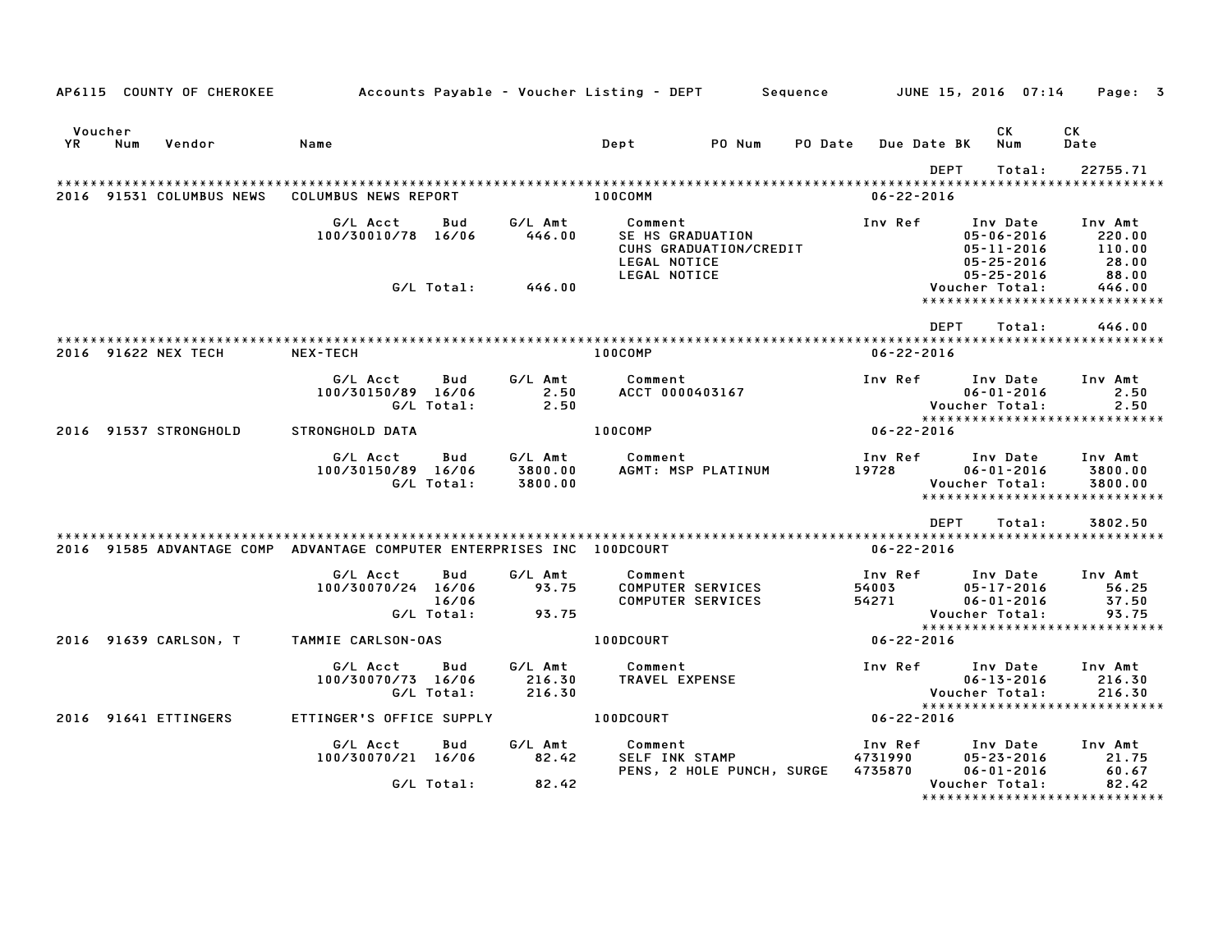|               |     | AP6115 COUNTY OF CHEROKEE | Accounts Payable – Voucher Listing – DEPT                              |                            |                               |                                             |                                               | Sequence |                               | JUNE 15, 2016  07:14                                                 |        | Page: 3                                                             |  |
|---------------|-----|---------------------------|------------------------------------------------------------------------|----------------------------|-------------------------------|---------------------------------------------|-----------------------------------------------|----------|-------------------------------|----------------------------------------------------------------------|--------|---------------------------------------------------------------------|--|
| Voucher<br>YR | Num | Vendor                    | Name                                                                   |                            |                               | Dept                                        | PO Num                                        | PO Date  | Due Date BK                   | CK<br>Num                                                            |        | СK<br>Date                                                          |  |
|               |     |                           |                                                                        |                            |                               |                                             |                                               |          |                               | <b>DEPT</b>                                                          | Total: | 22755.71                                                            |  |
|               |     | 2016 91531 COLUMBUS NEWS  | COLUMBUS NEWS REPORT                                                   |                            |                               | 100COMM                                     |                                               |          | $06 - 22 - 2016$              |                                                                      |        | ******************                                                  |  |
|               |     |                           | G/L Acct<br>100/30010/78 16/06                                         | Bud                        | G/L Amt<br>446.00             | Comment<br>SE HS GRADUATION<br>LEGAL NOTICE | CUHS GRADUATION/CREDIT                        |          | Inv Ref                       | Inv Date<br>$05 - 06 - 2016$<br>$05 - 11 - 2016$<br>$05 - 25 - 2016$ |        | Inv Amt<br>220.00<br>110.00<br>28.00                                |  |
|               |     |                           |                                                                        | G/L Total:                 | 446.00                        | LEGAL NOTICE                                |                                               |          |                               | $05 - 25 - 2016$<br>Voucher Total:                                   |        | 88.00<br>446.00<br>******************************                   |  |
|               |     |                           |                                                                        |                            |                               |                                             |                                               |          |                               | <b>DEPT</b>                                                          | Total: | 446.00                                                              |  |
|               |     | 2016 91622 NEX TECH       | NEX-TECH                                                               |                            |                               | 100COMP                                     |                                               |          | $06 - 22 - 2016$              |                                                                      |        |                                                                     |  |
|               |     |                           | G/L Acct<br>100/30150/89 16/06                                         | Bud<br>G/L Total:          | G/L Amt<br>2.50<br>2.50       | Comment<br>ACCT 0000403167                  |                                               |          | Inv Ref                       | Inv Date<br>$06 - 01 - 2016$<br>Voucher Total:                       |        | Inv Amt<br>2.50<br>2.50                                             |  |
|               |     | 2016 91537 STRONGHOLD     | <b>STRONGHOLD DATA</b>                                                 |                            |                               | 100COMP                                     |                                               |          | $06 - 22 - 2016$              |                                                                      |        | *****************************                                       |  |
|               |     |                           | G/L Acct<br>100/30150/89 16/06                                         | Bud<br>G/L Total:          | G/L Amt<br>3800.00<br>3800.00 | Comment                                     | AGMT: MSP PLATINUM                            |          | Inv Ref<br>19728              | Inv Date<br>$06 - 01 - 2016$<br>Voucher Total:                       |        | Inv Amt<br>3800.00<br>3800.00<br>*****************************      |  |
|               |     |                           |                                                                        |                            |                               |                                             |                                               |          |                               | <b>DEPT</b>                                                          | Total: | 3802.50                                                             |  |
|               |     |                           | 2016 91585 ADVANTAGE COMP ADVANTAGE COMPUTER ENTERPRISES INC 100DCOURT |                            |                               |                                             |                                               |          | 06-22-2016                    |                                                                      |        |                                                                     |  |
|               |     |                           | G/L Acct<br>100/30070/24 16/06                                         | Bud<br>16/06<br>G/L Total: | G/L Amt<br>93.75<br>93.75     | Comment                                     | <b>COMPUTER SERVICES</b><br>COMPUTER SERVICES |          | Inv Ref<br>54003<br>54271     | Inv Date<br>$05 - 17 - 2016$<br>$06 - 01 - 2016$<br>Voucher Total:   |        | Inv Amt<br>56.25<br>37.50<br>93.75<br>***************************** |  |
|               |     | 2016 91639 CARLSON, T     | TAMMIE CARLSON-OAS                                                     |                            |                               | 100DCOURT                                   |                                               |          | 06-22-2016                    |                                                                      |        |                                                                     |  |
|               |     |                           | G/L Acct<br>100/30070/73 16/06                                         | Bud<br>G/L Total:          | G/L Amt<br>216.30<br>216.30   | Comment<br>TRAVEL EXPENSE                   |                                               |          | Inv Ref                       | Inv Date<br>$06 - 13 - 2016$<br>Voucher Total:                       |        | Inv Amt<br>216.30<br>216.30<br>******************************       |  |
|               |     | 2016 91641 ETTINGERS      | ETTINGER'S OFFICE SUPPLY                                               |                            |                               | 100DCOURT                                   |                                               |          | $06 - 22 - 2016$              |                                                                      |        |                                                                     |  |
|               |     |                           | G/L Acct<br>100/30070/21 16/06                                         | Bud<br>G/L Total:          | G/L Amt<br>82.42<br>82.42     | Comment<br>SELF INK STAMP                   | PENS, 2 HOLE PUNCH, SURGE                     |          | Inv Ref<br>4731990<br>4735870 | Inv Date<br>$05 - 23 - 2016$<br>$06 - 01 - 2016$<br>Voucher Total:   |        | Inv Amt<br>21.75<br>60.67<br>82.42                                  |  |
|               |     |                           |                                                                        |                            |                               |                                             |                                               |          |                               |                                                                      |        | *******************************                                     |  |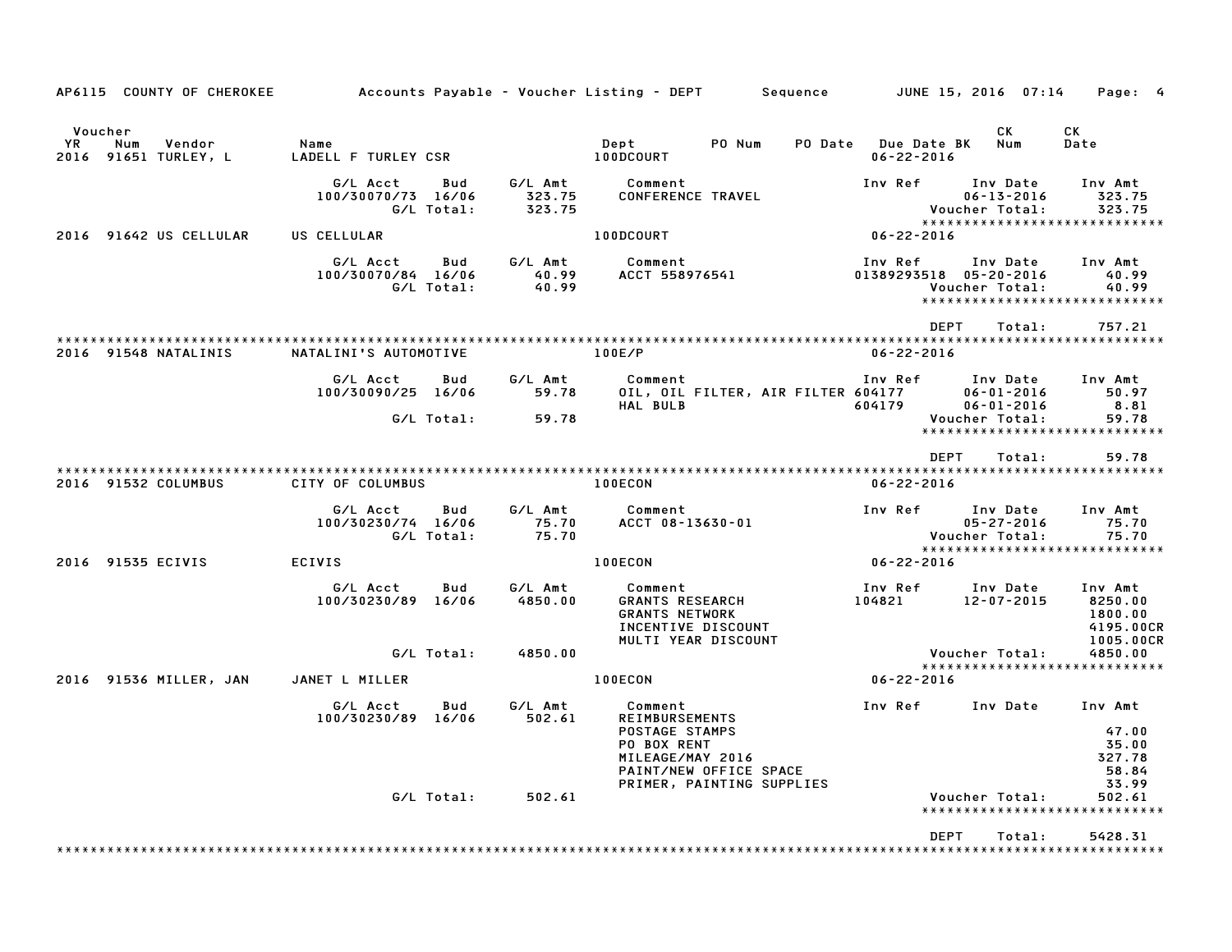| AP6115 COUNTY OF CHEROKEE                                     |                                                     |                             | Accounts Payable – Voucher Listing – DEPT<br>Sequence                                                                                        |                                         | JUNE 15, 2016  07:14                                 | Page: 4                                                      |
|---------------------------------------------------------------|-----------------------------------------------------|-----------------------------|----------------------------------------------------------------------------------------------------------------------------------------------|-----------------------------------------|------------------------------------------------------|--------------------------------------------------------------|
| Voucher<br><b>YR</b><br>Num<br>Vendor<br>2016 91651 TURLEY, L | Name<br>LADELL F TURLEY CSR                         |                             | Dept<br>PO Num<br>100DCOURT                                                                                                                  | PO Date Due Date BK<br>$06 - 22 - 2016$ | CK<br>Num                                            | CК<br>Date                                                   |
|                                                               | G/L Acct<br>Bud<br>100/30070/73 16/06<br>G/L Total: | G/L Amt<br>323.75<br>323.75 | Comment<br><b>CONFERENCE TRAVEL</b>                                                                                                          | Inv Ref                                 | Inv Date<br>$06 - 13 - 2016$<br>Voucher Total:       | Inv Amt<br>323.75<br>323.75<br>***************************** |
| 2016 91642 US CELLULAR                                        | US CELLULAR                                         |                             | 100DCOURT                                                                                                                                    | 06-22-2016                              |                                                      |                                                              |
|                                                               | G/L Acct<br>Bud<br>100/30070/84 16/06<br>G/L Total: | G/L Amt<br>40.99<br>40.99   | Comment<br>ACCT 558976541                                                                                                                    | Inv Ref                                 | Inv Date<br>01389293518 05-20-2016<br>Voucher Total: | Inv Amt<br>40.99<br>40.99<br>*****************************   |
|                                                               |                                                     |                             |                                                                                                                                              | <b>DEPT</b>                             | Total:                                               | 757.21                                                       |
| 2016 91548 NATALINIS                                          | NATALINI'S AUTOMOTIVE                               |                             | 100E/P                                                                                                                                       | $06 - 22 - 2016$                        |                                                      |                                                              |
|                                                               | G/L Acct<br>Bud<br>100/30090/25 16/06               | G/L Amt<br>59.78            | Comment<br>OIL, OIL FILTER, AIR FILTER 604177<br><b>HAL BULB</b>                                                                             | Inv Ref<br>604179                       | Inv Date<br>$06 - 01 - 2016$<br>$06 - 01 - 2016$     | Inv Amt<br>50.97<br>8.81                                     |
|                                                               | G/L Total:                                          | 59.78                       |                                                                                                                                              |                                         | Voucher Total:                                       | 59.78<br>*****************************                       |
|                                                               |                                                     |                             |                                                                                                                                              | <b>DEPT</b>                             | Total:                                               | 59.78                                                        |
| 2016 91532 COLUMBUS                                           | CITY OF COLUMBUS                                    |                             | 100ECON                                                                                                                                      | $06 - 22 - 2016$                        |                                                      |                                                              |
|                                                               | G/L Acct<br>Bud<br>100/30230/74 16/06<br>G/L Total: | G/L Amt<br>75.70<br>75.70   | Comment<br>ACCT 08-13630-01                                                                                                                  | Inv Ref                                 | Inv Date<br>$05 - 27 - 2016$<br>Voucher Total:       | Inv Amt<br>75.70<br>75.70                                    |
| 2016 91535 ECIVIS                                             | <b>ECIVIS</b>                                       |                             | 100ECON                                                                                                                                      | 06-22-2016                              |                                                      | *****************************                                |
|                                                               | G/L Acct<br>Bud<br>100/30230/89 16/06               | G/L Amt<br>4850.00          | Comment<br><b>GRANTS RESEARCH</b><br><b>GRANTS NETWORK</b><br>INCENTIVE DISCOUNT<br>MULTI YEAR DISCOUNT                                      | Inv Ref<br>104821                       | Inv Date<br>$12 - 07 - 2015$                         | Inv Amt<br>8250.00<br>1800.00<br>4195.00CR<br>1005.00CR      |
|                                                               | G/L Total:                                          | 4850.00                     |                                                                                                                                              |                                         | Voucher Total:                                       | 4850.00                                                      |
| 2016 91536 MILLER, JAN                                        | JANET L MILLER                                      |                             | 100ECON                                                                                                                                      | $06 - 22 - 2016$                        |                                                      | *****************************                                |
|                                                               | G/L Acct<br>Bud<br>100/30230/89 16/06               | G/L Amt<br>502.61           | Comment<br><b>REIMBURSEMENTS</b><br>POSTAGE STAMPS<br>PO BOX RENT<br>MILEAGE/MAY 2016<br>PAINT/NEW OFFICE SPACE<br>PRIMER, PAINTING SUPPLIES | Inv Ref                                 | Inv Date                                             | Inv Amt<br>47.00<br>35.00<br>327.78<br>58.84<br>33.99        |
|                                                               | G/L Total:                                          | 502.61                      |                                                                                                                                              |                                         | Voucher Total:                                       | 502.61<br>*****************************                      |
|                                                               |                                                     |                             |                                                                                                                                              | <b>DEPT</b>                             | Total:                                               | 5428.31<br>***************************                       |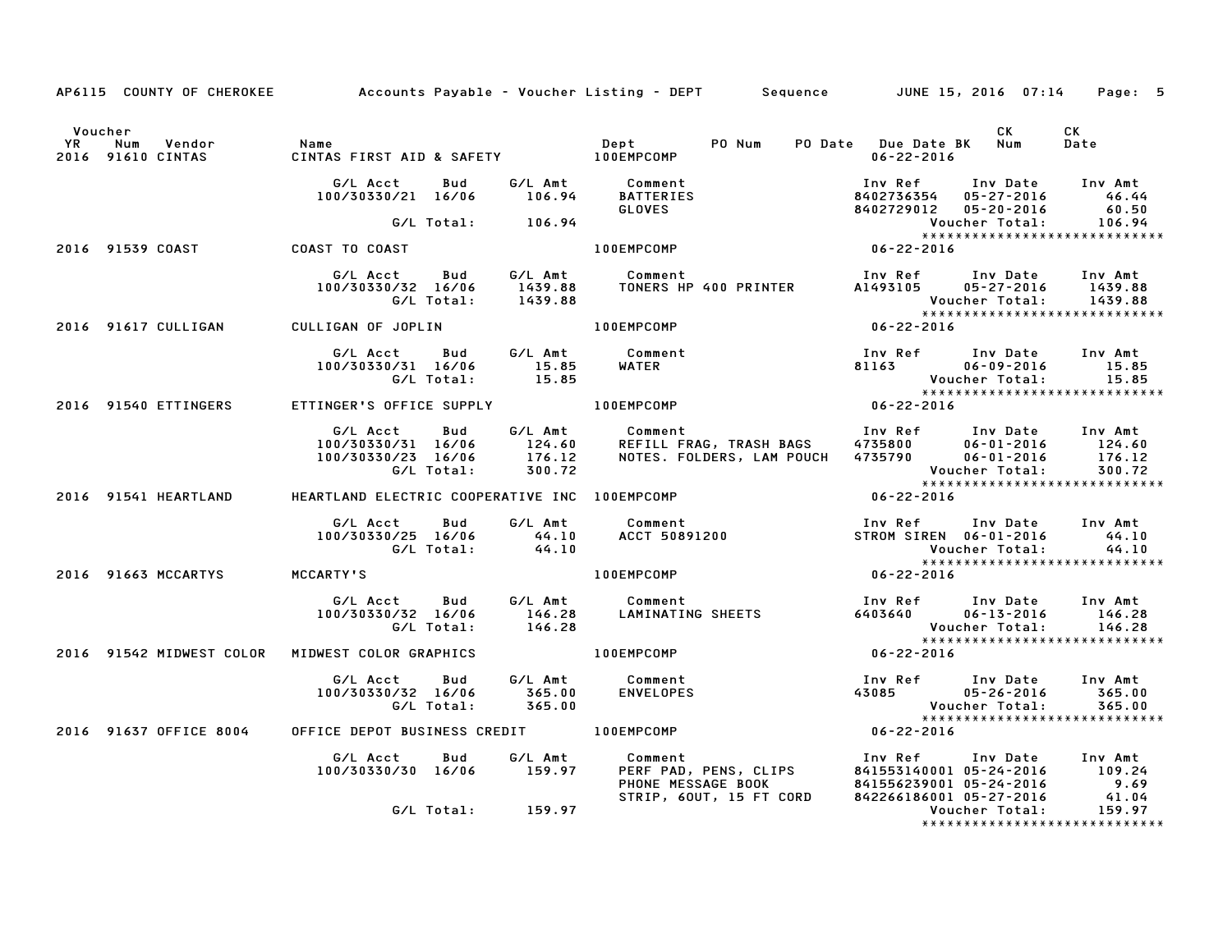|                      |                                 |                                                                                                | AP6115 COUNTY OF CHEROKEE Accounts Payable - Voucher Listing - DEPT Sequence JUNE 15, 2016 07:14 Page: 5                                                                                                                                |                                                                                                               |                               |
|----------------------|---------------------------------|------------------------------------------------------------------------------------------------|-----------------------------------------------------------------------------------------------------------------------------------------------------------------------------------------------------------------------------------------|---------------------------------------------------------------------------------------------------------------|-------------------------------|
| Voucher<br><b>YR</b> | Num<br>2016 91610 CINTAS        |                                                                                                |                                                                                                                                                                                                                                         | <b>CK</b>                                                                                                     | CK<br>Date                    |
|                      |                                 |                                                                                                | G/L Acct Bud G/L Amt Comment<br>100/30330/21 16/06 106.94 BATTERIES<br>G/L Total: 106.94 CLOVES<br>100EMPCOMP                                                                                                                           | Inv Ref Inv Date Inv Amt                                                                                      |                               |
|                      | 2016 91539 COAST COAST TO COAST |                                                                                                |                                                                                                                                                                                                                                         |                                                                                                               |                               |
|                      |                                 |                                                                                                |                                                                                                                                                                                                                                         |                                                                                                               |                               |
|                      |                                 | 2016 91617 CULLIGAN CULLIGAN OF JOPLIN                                                         |                                                                                                                                                                                                                                         |                                                                                                               | ***************************** |
|                      |                                 | G/L Acct Bud G/L Amt Comment<br>100/30330/31 16/06 15.85 WATER<br>G/L Total: 15.85             | WATER                                                                                                                                                                                                                                   | Inv Ref Inv Date Inv Amt<br>81163 06-09-2016 15.85<br>Voucher Total: 15.85<br>******************************* |                               |
|                      | 2016 91540 ETTINGERS            |                                                                                                | ETTINGER'S OFFICE SUPPLY 100EMPCOMP 06-22-2016                                                                                                                                                                                          |                                                                                                               |                               |
|                      |                                 |                                                                                                | G/L Acct Bud G/L Amt Comment Inv Ref Inv Date Inv Amt<br>100/30330/31 16/06 124.60 REFILL FRAG, TRASH BAGS 4735800 06-01-2016 124.60<br>100/30330/23 16/06 176.12 NOTES.FOLDERS, LAM POUCH 4735790 06-01-2016 176.12<br>G/L Total: 300. |                                                                                                               |                               |
|                      |                                 | 2016 91541 HEARTLAND HEARTLAND ELECTRIC COOPERATIVE INC 100EMPCOMP                             |                                                                                                                                                                                                                                         | $06 - 22 - 2016$                                                                                              |                               |
|                      |                                 |                                                                                                | G/L Acct Bud G/L Amt Comment Inv Ref Inv Date Inv Amt<br>100/30330/25 16/06 44.10 ACCT 50891200 STROM SIREN 06-01-2016 44.10<br>G/L Total: 44.10 Voucher Total: 44.10                                                                   |                                                                                                               |                               |
|                      | 2016 91663 MCCARTYS MCCARTY'S   |                                                                                                | $100$ EMPCOMP $06 - 22 - 2016$                                                                                                                                                                                                          |                                                                                                               |                               |
|                      |                                 |                                                                                                | G/L Acct Bud G/L Amt Comment Inv Ref Inv Date Inv Amt<br>100/30330/32 16/06 146.28 LAMINATING SHEETS 6403640 06-13-2016 146.28<br>G/L Total: 146.28 146.28 Voucher Total: 146.28                                                        | Voucher Total: 146.28<br>****************************                                                         |                               |
|                      |                                 | 2016 91542 MIDWEST COLOR MIDWEST COLOR GRAPHICS AND MODEMPCOMP                                 | $06 - 22 - 2016$                                                                                                                                                                                                                        |                                                                                                               |                               |
|                      |                                 | G/L Acct  Bud  G/L Amt  Comment<br>100/30330/32 16/06  365.00  ENVELOPES<br>G/L Total:  365.00 |                                                                                                                                                                                                                                         | Inv Ref Inv Date Inv Amt                                                                                      |                               |
|                      |                                 | 2016 91637 OFFICE 8004 OFFICE DEPOT BUSINESS CREDIT 100EMPCOMP                                 |                                                                                                                                                                                                                                         | $06 - 22 - 2016$                                                                                              |                               |
|                      |                                 | G/L Acct  Bud  G/L Amt  Comment<br>100/30330/30  16/06  159.97  PERF  PAD,                     |                                                                                                                                                                                                                                         |                                                                                                               |                               |
|                      |                                 | G/L Total: 159.97                                                                              |                                                                                                                                                                                                                                         |                                                                                                               | ***************************** |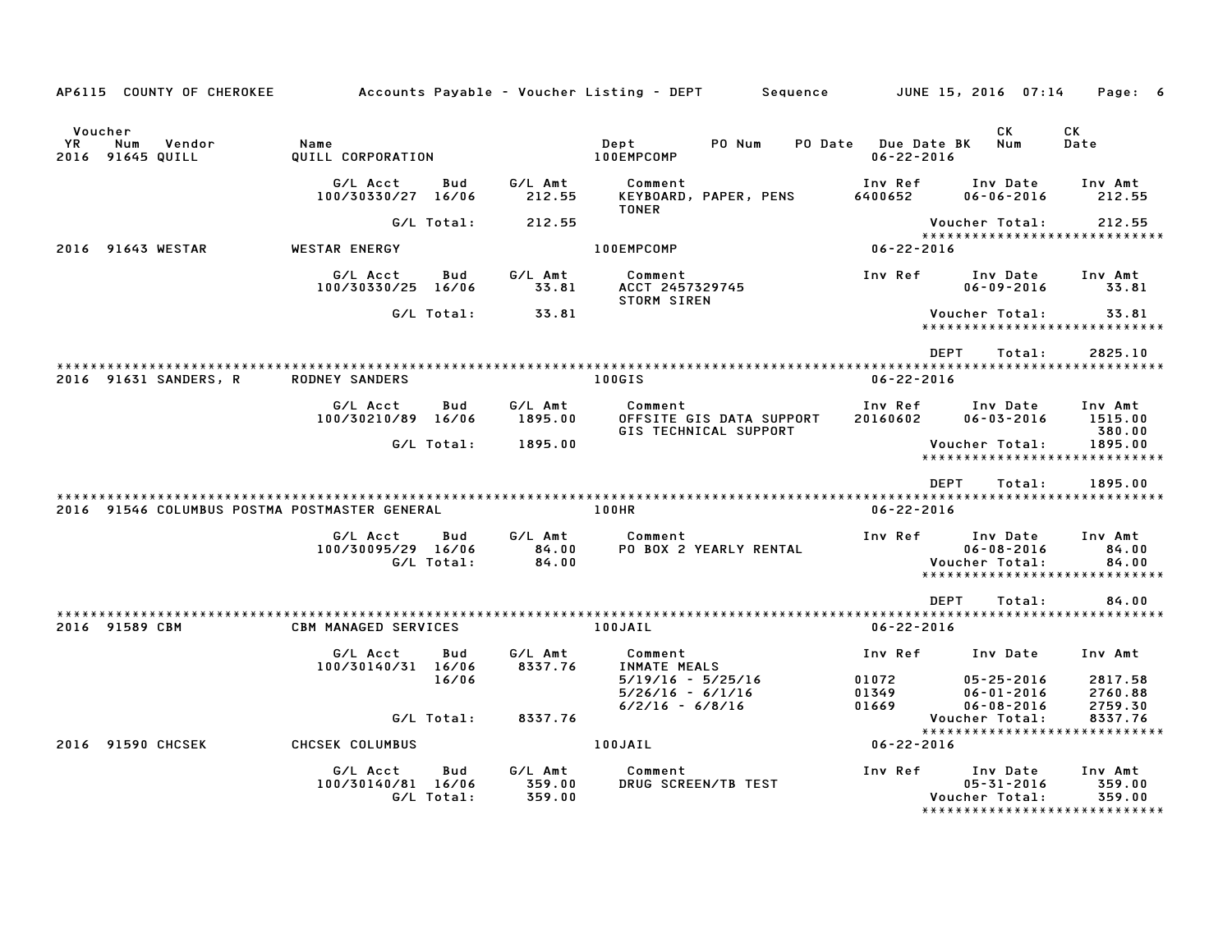| AP6115 COUNTY OF CHEROKEE                          |                                |                   |                             | Accounts Payable – Voucher Listing – DEPT         Sequence   |                                         | JUNE 15, 2016  07:14                                     | Page: 6                                                      |
|----------------------------------------------------|--------------------------------|-------------------|-----------------------------|--------------------------------------------------------------|-----------------------------------------|----------------------------------------------------------|--------------------------------------------------------------|
| Voucher<br>YR<br>Num<br>Vendor<br>2016 91645 QUILL | Name<br>QUILL CORPORATION      |                   |                             | Dept<br>PO Num<br>100EMPCOMP                                 | PO Date Due Date BK<br>$06 - 22 - 2016$ | CK<br>Num                                                | CK<br>Date                                                   |
|                                                    | G/L Acct<br>100/30330/27 16/06 | Bud               | G/L Amt<br>212.55           | Comment<br>KEYBOARD, PAPER, PENS<br><b>TONER</b>             | Inv Ref<br>6400652                      | Inv Date<br>$06 - 06 - 2016$                             | Inv Amt<br>212.55                                            |
|                                                    |                                | G/L Total:        | 212.55                      |                                                              |                                         | Voucher Total:                                           | 212.55                                                       |
| 2016 91643 WESTAR                                  | WESTAR ENERGY                  |                   |                             | 100EMPCOMP                                                   | $06 - 22 - 2016$                        |                                                          | *****************************                                |
|                                                    | G/L Acct<br>100/30330/25 16/06 | Bud               | G/L Amt<br>33.81            | Comment<br>ACCT 2457329745<br><b>STORM SIREN</b>             | Inv Ref                                 | Inv Date<br>$06 - 09 - 2016$                             | Inv Amt<br>33.81                                             |
|                                                    |                                | G/L Total:        | 33.81                       |                                                              |                                         | Voucher Total:                                           | 33.81<br>*****************************                       |
|                                                    |                                |                   |                             |                                                              | <b>DEPT</b>                             | Total:                                                   | 2825.10                                                      |
| 2016 91631 SANDERS, R                              | <b>RODNEY SANDERS</b>          |                   |                             | 100GIS                                                       | $06 - 22 - 2016$                        |                                                          |                                                              |
|                                                    | G/L Acct<br>100/30210/89 16/06 | Bud               | G/L Amt<br>1895.00          | Comment<br>OFFSITE GIS DATA SUPPORT<br>GIS TECHNICAL SUPPORT | Inv Ref<br>20160602                     | Inv Date<br>$06 - 03 - 2016$                             | Inv Amt<br>1515.00<br>380.00                                 |
|                                                    |                                | G/L Total:        | 1895.00                     |                                                              |                                         | Voucher Total:                                           | 1895.00<br>*****************************                     |
|                                                    |                                |                   |                             |                                                              | DEPT                                    | Total:                                                   | 1895.00                                                      |
| 2016 91546 COLUMBUS POSTMA POSTMASTER GENERAL      |                                |                   |                             | 100HR                                                        | $06 - 22 - 2016$                        |                                                          |                                                              |
|                                                    | G/L Acct<br>100/30095/29 16/06 | Bud<br>G/L Total: | G/L Amt<br>84.00<br>84.00   | Comment<br>PO BOX 2 YEARLY RENTAL                            | Inv Ref                                 | Inv Date<br>$06 - 08 - 2016$<br>Voucher Total:           | Inv Amt<br>84.00<br>84.00<br>*****************************   |
|                                                    |                                |                   |                             |                                                              | <b>DEPT</b>                             | Total:                                                   | 84.00                                                        |
| 2016 91589 CBM                                     | <b>CBM MANAGED SERVICES</b>    |                   |                             | 100JAIL                                                      | $06 - 22 - 2016$                        |                                                          |                                                              |
|                                                    | G/L Acct<br>100/30140/31 16/06 | Bud               | G/L Amt<br>8337.76          | Comment<br>INMATE MEALS                                      | Inv Ref                                 | Inv Date                                                 | Inv Amt                                                      |
|                                                    |                                | 16/06             |                             | 5/19/16 - 5/25/16<br>$5/26/16 - 6/1/16$<br>$6/2/16 - 6/8/16$ | 01072<br>01349<br>01669                 | $05 - 25 - 2016$<br>$06 - 01 - 2016$<br>$06 - 08 - 2016$ | 2817.58<br>2760.88<br>2759.30                                |
|                                                    |                                | G/L Total:        | 8337.76                     |                                                              |                                         | Voucher Total:                                           | 8337.76<br>*****************************                     |
| 2016 91590 CHCSEK                                  | CHCSEK COLUMBUS                |                   |                             | 100JAIL                                                      | 06-22-2016                              |                                                          |                                                              |
|                                                    | G/L Acct<br>100/30140/81 16/06 | Bud<br>G/L Total: | G/L Amt<br>359.00<br>359.00 | Comment<br>DRUG SCREEN/TB TEST                               | Inv Ref                                 | Inv Date<br>05-31-2016<br>Voucher Total:                 | Inv Amt<br>359.00<br>359.00<br>***************************** |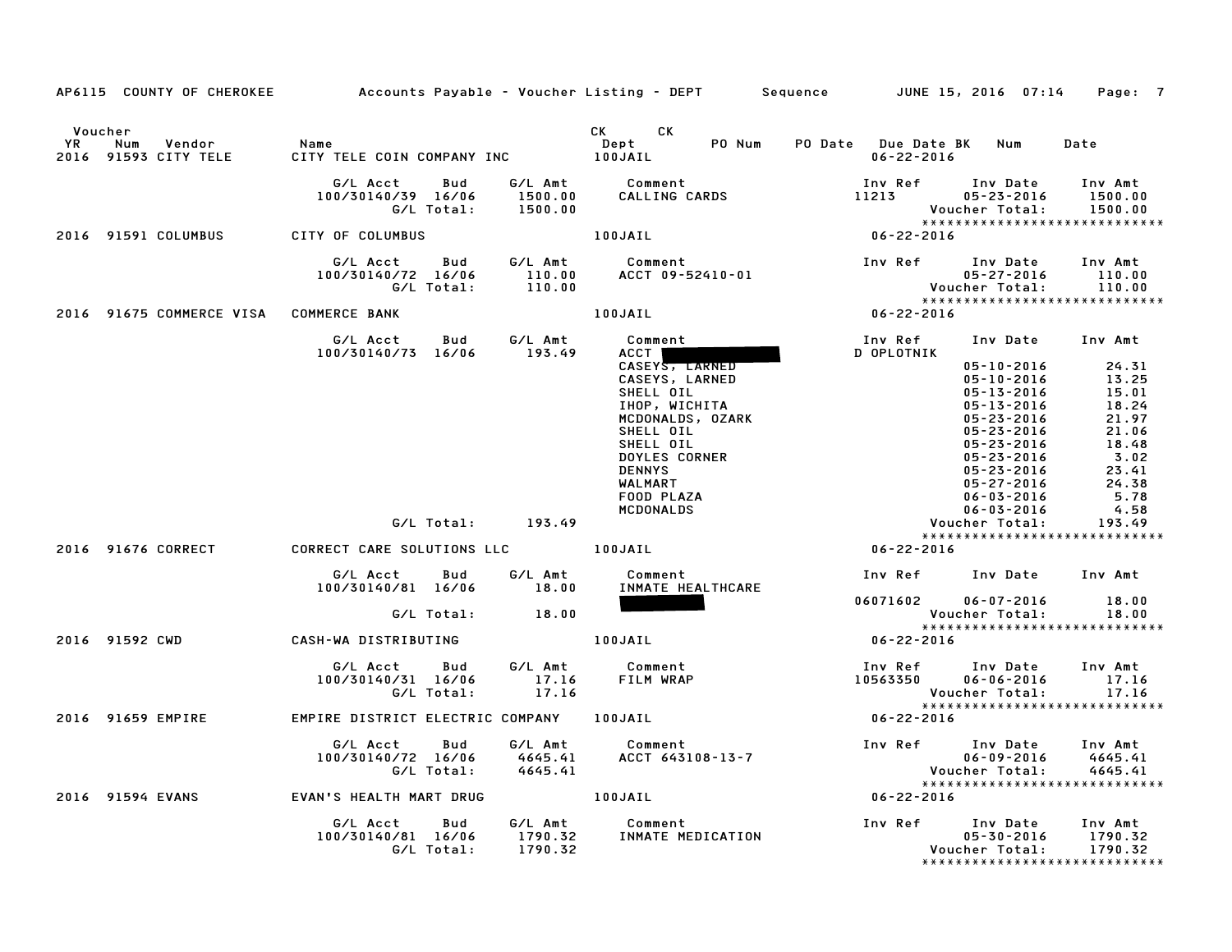|                      |                                        |                                                     |                               | AP6115 COUNTY OF CHEROKEE Accounts Payable – Voucher Listing – DEPT Sequence JUNE 15, 2016 07:14 Page: 7 |                                                                                          |                                                                                                               |                                 |
|----------------------|----------------------------------------|-----------------------------------------------------|-------------------------------|----------------------------------------------------------------------------------------------------------|------------------------------------------------------------------------------------------|---------------------------------------------------------------------------------------------------------------|---------------------------------|
| Voucher<br><b>YR</b> | Num<br>Vendor<br>2016 91593 CITY TELE  | Name<br>CITY TELE COIN COMPANY INC 100JAIL          |                               | CK CK<br>PO Num<br>Dept                                                                                  | PO Date Due Date BK Num<br>$06 - 22 - 2016$                                              |                                                                                                               | Date                            |
|                      |                                        | G/L Acct<br>Bud<br>100/30140/39 16/06<br>G/L Total: | 1500.00<br>1500.00            |                                                                                                          | Inv Ref<br>11213                                                                         | Inv Date<br>$05 - 23 - 2016$<br>Voucher Total:                                                                | Inv Amt<br>1500.00<br>1500.00   |
|                      | 2016 91591 COLUMBUS                    | CITY OF COLUMBUS                                    |                               | 100JAIL                                                                                                  | $06 - 22 - 2016$                                                                         |                                                                                                               |                                 |
|                      |                                        | G/L Acct<br>Bud<br>100/30140/72 16/06<br>G/L Total: | G/L Amt<br>110.00<br>110.00   | Comment<br>ACCT 09-52410-01                                                                              | Inv Ref Inv Date<br>00-21-2016<br>Voucher Total: 110.00<br>***************************** | $05 - 27 - 2016$                                                                                              | Inv Amt<br>110.00               |
|                      | 2016 91675 COMMERCE VISA COMMERCE BANK |                                                     |                               | 100JAIL                                                                                                  | $06 - 22 - 2016$                                                                         |                                                                                                               |                                 |
|                      |                                        | G/L Acct<br>100/30140/73 16/06                      | G/L Amt<br>Bud<br>193.49      | Comment<br>ACCT  <br>CASEYS, LARNED                                                                      | Inv Ref<br>D OPLOTNIK                                                                    | Inv Date Inv Amt<br>$05 - 10 - 2016$                                                                          | 24.31                           |
|                      |                                        |                                                     |                               | CASEYS, LARNED<br>SHELL OIL<br>IHOP, WICHITA                                                             |                                                                                          | $05 - 10 - 2016$<br>$05 - 13 - 2016$<br>05-13-2016                                                            | 13.25<br>15.01<br>18.24         |
|                      |                                        |                                                     |                               | MCDONALDS, OZARK<br>SHELL OIL<br>SHELL OIL<br><b>DOYLES CORNER</b>                                       |                                                                                          | 05-13-2016<br>05-23-2016<br>05-23-2016<br>05-23-2016<br>05-23-2016                                            | 21.97<br>21.06<br>18.48<br>3.02 |
|                      |                                        |                                                     |                               | <b>DENNYS</b><br>WALMART<br>FOOD PLAZA<br>MCDONALDS                                                      |                                                                                          | 05-23-2016<br>05-27-2016<br>06-03-2016<br>$06 - 03 - 2016$                                                    | 23.41<br>24.38<br>5.78<br>4.58  |
|                      |                                        |                                                     | G/L Total: 193.49             |                                                                                                          |                                                                                          | Voucher Total:                                                                                                | 193.49                          |
|                      | 2016 91676 CORRECT                     | CORRECT CARE SOLUTIONS LLC                          |                               | 100JAIL                                                                                                  | $06 - 22 - 2016$                                                                         | *****************************                                                                                 |                                 |
|                      |                                        | G/L Acct<br>Bud<br>100/30140/81 16/06               | G/L Amt<br>18.00              | Comment<br>INMATE HEALTHCARE                                                                             |                                                                                          | Inv Ref Inv Date Inv Amt                                                                                      |                                 |
|                      |                                        | G/L Total:                                          | 18.00                         |                                                                                                          |                                                                                          | 06071602 06-07-2016<br>Voucher Total:                                                                         | 18.00<br>18.00                  |
|                      | 2016 91592 CWD                         | CASH-WA DISTRIBUTING                                |                               | 100JAIL                                                                                                  | $06 - 22 - 2016$                                                                         |                                                                                                               |                                 |
|                      |                                        | G/L Acct<br>Bud<br>100/30140/31 16/06<br>G/L Total: | G/L Amt<br>17.16<br>17.16     | Comment<br>FILM WRAP                                                                                     |                                                                                          | Inv Ref Inv Date Inv Amt<br>10563350 06-06-2016 17.16<br>Voucher Total: 17.16<br>**************************** | 17.16                           |
|                      | 2016 91659 EMPIRE                      | EMPIRE DISTRICT ELECTRIC COMPANY 100JAIL            |                               |                                                                                                          | $06 - 22 - 2016$                                                                         |                                                                                                               |                                 |
|                      |                                        | G/L Acct<br>Bud<br>100/30140/72 16/06<br>G/L Total: | G/L Amt<br>4645.41<br>4645.41 | <b>Comment</b><br>ACCT 643108-13-7                                                                       | Inv Ref      Inv Date                                                                    | $06 - 09 - 2016$<br>*****************************                                                             | Inv Amt<br>4645.41<br>4645.41   |
|                      | 2016 91594 EVANS                       | EVAN'S HEALTH MART DRUG                             | <b>100JAIL</b>                |                                                                                                          | $06 - 22 - 2016$                                                                         |                                                                                                               |                                 |
|                      |                                        | G/L Acct Bud<br>100/30140/81 16/06<br>G/L Total:    | G/L Amt<br>1790.32<br>1790.32 | Comment<br>INMATE MEDICATION                                                                             | Inv Ref                                                                                  | Inv Date<br>$05 - 30 - 2016$<br>Voucher Total:                                                                | Inv Amt<br>1790.32<br>1790.32   |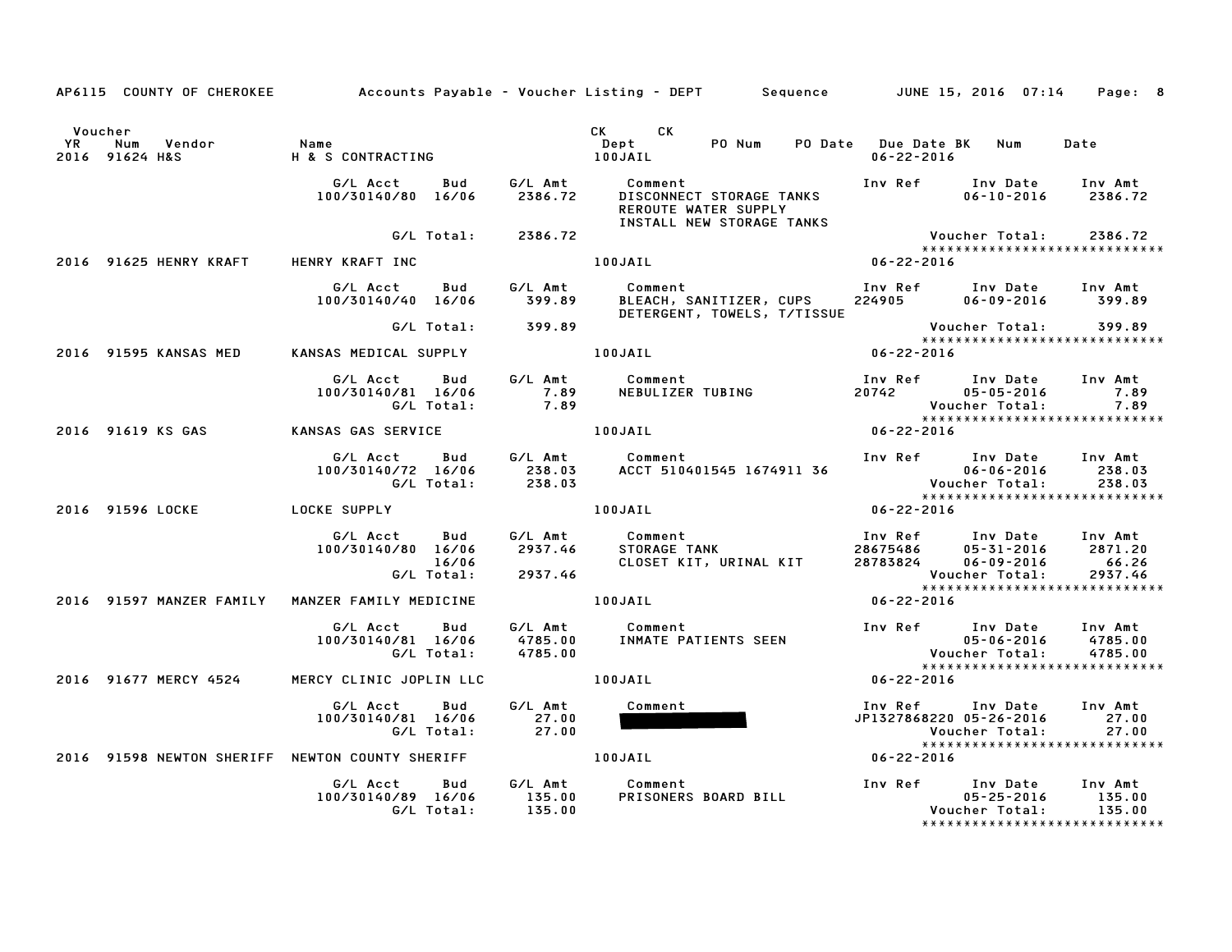|                      |                                                                             |                                                                                                              |                  | AP6115 COUNTY OF CHEROKEE Accounts Payable – Voucher Listing – DEPT Sequence JUNE 15, 2016 07:14 Page: 8                                                   |                  |                                                                                                        |                               |
|----------------------|-----------------------------------------------------------------------------|--------------------------------------------------------------------------------------------------------------|------------------|------------------------------------------------------------------------------------------------------------------------------------------------------------|------------------|--------------------------------------------------------------------------------------------------------|-------------------------------|
| Voucher<br><b>YR</b> | Vendor<br>Num<br>YR Num Vendor – Name<br>2016 91624 H&S – H & S CONTRACTING | Name                                                                                                         | Dept<br>100JAIL  | CK CK<br>$\mathbf{Depth}$<br>PO Num                                                                                                                        | $06 - 22 - 2016$ | PO Date Due Date BK Num                                                                                | Date                          |
|                      |                                                                             | G/L Acct<br>100/30140/80 16/06 2386.72                                                                       |                  | Bud G/L Amt Comment<br>DISCONNECT STORAGE TANKS<br>DISCONNECT STORAGE TANKS<br>REROUTF WATER CURRICLE<br>REROUTE WATER SUPPLY<br>INSTALL NEW STORAGE TANKS |                  | $06 - 10 - 2016$ 2386.72                                                                               | Inv Amt                       |
|                      | 2016 91625 HENRY KRAFT HENRY KRAFT INC                                      | G/L Total: 2386.72                                                                                           |                  | 100JAIL                                                                                                                                                    | $06 - 22 - 2016$ | Voucher Total: 2386.72<br>*****************************                                                |                               |
|                      |                                                                             |                                                                                                              |                  |                                                                                                                                                            |                  |                                                                                                        |                               |
|                      |                                                                             | G/L Acct Bud G/L Amt                                                                                         |                  | Comment<br>100/30140/40 16/06 399.89 BLEACH, SANITIZER, CUPS 224905 06-09-2016 399.89<br>DETERGENT, TOWELS, T/TISSUE                                       |                  | Inv Ref Inv Date Inv Amt                                                                               |                               |
|                      |                                                                             | G/L Total: 399.89                                                                                            |                  |                                                                                                                                                            |                  | Voucher Total: 399.89<br>****************************                                                  |                               |
|                      | 2016 91595 KANSAS MED                                                       |                                                                                                              |                  | KANSAS MEDICAL SUPPLY 100JAIL 100JAIL 06-22-2016                                                                                                           |                  |                                                                                                        |                               |
|                      |                                                                             | G/L Acct Bud<br>100/30140/81 16/06<br>G/L Total:                                                             | $7.89$<br>$7.89$ | G/L Amt Comment                                                                                                                                            |                  | Inv Ref Inv Date Inv Amt                                                                               | 7.89                          |
|                      | 2016 91619 KS GAS                                                           | KANSAS GAS SERVICE 100JAIL                                                                                   |                  |                                                                                                                                                            |                  |                                                                                                        |                               |
|                      |                                                                             | G/L Acct<br>100/30140/72 16/06 238.03<br>G/L Total: 238.03                                                   |                  | Bud G/L Amt Comment                                                                                                                                        |                  | Inv Ref      Inv Date     Inv Amt                                                                      | 238.03<br>238.03              |
|                      | 2016 91596 LOCKE LOCKE SUPPLY                                               |                                                                                                              |                  | 100JAIL                                                                                                                                                    | $06 - 22 - 2016$ | ******************************                                                                         |                               |
|                      |                                                                             | G/L Acct  Bud  G/L Amt  Comment<br>100/30140/80  16/06  2937.46  STORAGE TANK<br>16/06<br>G/L Total: 2937.46 |                  |                                                                                                                                                            |                  | 05-31-2016 2871.20<br>Voucher Total:                                                                   | 66.26<br>2937.46              |
|                      |                                                                             | 2016 91597 MANZER FAMILY MANZER FAMILY MEDICINE                                                              |                  | 100JAIL                                                                                                                                                    | $06 - 22 - 2016$ | *****************************                                                                          |                               |
|                      |                                                                             | G/L Acct<br>Bud<br>100/30140/81 16/06<br>G/L Total:      4785.00                                             | 4785.00          | G/L Amt Comment Inv Ref Inv Date<br>4785.00 INMATE PATIENTS SEEN Voucher Total:<br>4785.00 Voucher Total:                                                  |                  |                                                                                                        | Inv Amt<br>4785.00<br>4785.00 |
|                      | 2016 91677 MERCY 4524                                                       | MERCY CLINIC JOPLIN LLC 100JAIL                                                                              |                  | $06 - 22 - 2016$                                                                                                                                           |                  | *****************************                                                                          |                               |
|                      |                                                                             | G/L Acct Bud<br>100/30140/81 16/06                                                                           | G/L Amt          | Comment                                                                                                                                                    |                  | Inv Ref Inv Date Inv Amt<br>JP1327868220 05-26-2016<br>Voucher Total:<br>***************************** | 27.00<br>27.00                |
|                      |                                                                             | 2016 91598 NEWTON SHERIFF NEWTON COUNTY SHERIFF THE ROUNDLAIL                                                |                  |                                                                                                                                                            | 06-22-2016       |                                                                                                        |                               |
|                      |                                                                             | G/L Acct<br>Bud<br>100/30140/89 16/06<br>G/L Total:                                                          | 135.00<br>135.00 | G/L Amt Comment<br>PRISONERS BOARD BILL                                                                                                                    |                  | Inv Ref Inv Date<br>$05 - 25 - 2016$<br>Voucher Total:<br>*****************************                | Inv Amt<br>135.00<br>135.00   |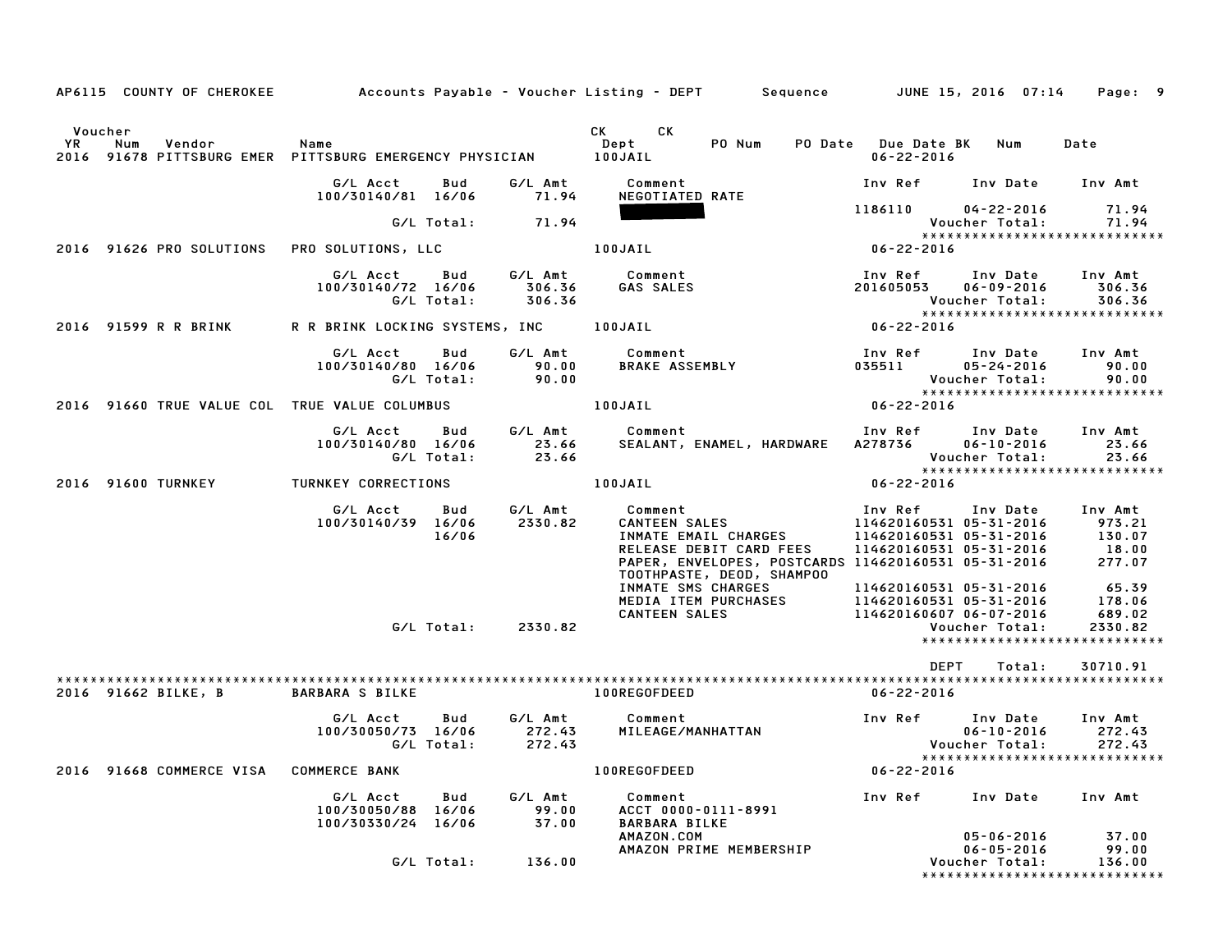|               | AP6115 COUNTY OF CHEROKEE                     |                                                                 |                             | Accounts Payable – Voucher Listing – DEPT         Sequence                                                                                                                                                           | JUNE 15, 2016 07:14                                                                                                                                        | Page: 9                                                           |
|---------------|-----------------------------------------------|-----------------------------------------------------------------|-----------------------------|----------------------------------------------------------------------------------------------------------------------------------------------------------------------------------------------------------------------|------------------------------------------------------------------------------------------------------------------------------------------------------------|-------------------------------------------------------------------|
| Voucher<br>YR | Num<br>Vendor                                 | Name<br>2016 91678 PITTSBURG EMER PITTSBURG EMERGENCY PHYSICIAN |                             | CK .<br>CK.<br>PO Num<br>Dept<br>PO Date<br>100JAIL                                                                                                                                                                  | <b>Due Date BK</b><br>Num<br>$06 - 22 - 2016$                                                                                                              | Date                                                              |
|               |                                               | G/L Acct<br>Bud<br>100/30140/81 16/06                           | G/L Amt<br>71.94            | Comment<br>NEGOTIATED RATE                                                                                                                                                                                           | Inv Ref<br>Inv Date                                                                                                                                        | Inv Amt                                                           |
|               |                                               | G/L Total:                                                      | 71.94                       |                                                                                                                                                                                                                      | 1186110<br>$04 - 22 - 2016$<br>Voucher Total:                                                                                                              | 71.94<br>71.94                                                    |
|               | 2016 91626 PRO SOLUTIONS                      | <b>PRO SOLUTIONS, LLC</b>                                       |                             | 100JAIL                                                                                                                                                                                                              | ******************************<br>06-22-2016                                                                                                               |                                                                   |
|               |                                               | Bud<br>G/L Acct<br>100/30140/72 16/06<br>G/L Total:             | G/L Amt<br>306.36<br>306.36 | Comment<br><b>GAS SALES</b>                                                                                                                                                                                          | Inv Ref<br>Inv Date<br>201605053<br>$06 - 09 - 2016$<br>Voucher Total:<br>*****************************                                                    | Inv Amt<br>306.36<br>306.36                                       |
|               | 2016 91599 R R BRINK                          | R R BRINK LOCKING SYSTEMS, INC                                  |                             | 100JAIL                                                                                                                                                                                                              | $06 - 22 - 2016$                                                                                                                                           |                                                                   |
|               |                                               | G/L Acct<br>Bud<br>100/30140/80 16/06<br>G/L Total:             | G/L Amt<br>90.00<br>90.00   | Comment<br><b>BRAKE ASSEMBLY</b>                                                                                                                                                                                     | Inv Ref<br>Inv Date<br>035511<br>$05 - 24 - 2016$<br>Voucher Total:                                                                                        | Inv Amt<br>90.00<br>90.00                                         |
|               | 2016 91660 TRUE VALUE COL TRUE VALUE COLUMBUS |                                                                 |                             | 100JAIL                                                                                                                                                                                                              | *****************************<br>$06 - 22 - 2016$                                                                                                          |                                                                   |
|               |                                               | G/L Acct<br>Bud<br>100/30140/80 16/06<br>G/L Total:             | G/L Amt<br>23.66<br>23.66   | Comment<br>SEALANT, ENAMEL, HARDWARE                                                                                                                                                                                 | Inv Ref<br>Inv Date<br>A278736<br>$06 - 10 - 2016$<br>Voucher Total:<br>*****************************                                                      | Inv Amt<br>23.66<br>23.66                                         |
|               | 2016 91600 TURNKEY                            | TURNKEY CORRECTIONS                                             |                             | 100JAIL                                                                                                                                                                                                              | $06 - 22 - 2016$                                                                                                                                           |                                                                   |
|               |                                               | G/L Acct<br>Bud<br>100/30140/39 16/06<br>16/06                  | G/L Amt<br>2330.82          | Comment<br><b>CANTEEN SALES</b><br>INMATE EMAIL CHARGES<br>RELEASE DEBIT CARD FEES<br>PAPER, ENVELOPES, POSTCARDS 114620160531 05-31-2016<br>TOOTHPASTE, DEOD, SHAMPOO<br>INMATE SMS CHARGES<br>MEDIA ITEM PURCHASES | Inv Ref<br>Inv Date<br>114620160531 05-31-2016<br>114620160531 05-31-2016<br>114620160531 05-31-2016<br>114620160531 05-31-2016<br>114620160531 05-31-2016 | Inv Amt<br>973.21<br>130.07<br>18.00<br>277.07<br>65.39<br>178.06 |
|               |                                               | G/L Total: 2330.82                                              |                             | <b>CANTEEN SALES</b>                                                                                                                                                                                                 | 114620160607 06-07-2016<br>Voucher Total:<br>*****************************                                                                                 | 689.02<br>2330.82                                                 |
|               | 2016 91662 BILKE, B                           | <b>BARBARA S BILKE</b>                                          |                             | 100REGOFDEED                                                                                                                                                                                                         | <b>DEPT</b><br>Total:<br>$06 - 22 - 2016$                                                                                                                  | 30710.91                                                          |
|               |                                               | G/L Acct<br>Bud<br>100/30050/73 16/06<br>G/L Total:             | G/L Amt<br>272.43<br>272.43 | Comment<br>MILEAGE/MANHATTAN                                                                                                                                                                                         | Inv Ref<br>Inv Date<br>$06 - 10 - 2016$<br>Voucher Total:<br>*****************************                                                                 | Inv Amt<br>272.43<br>272.43                                       |
|               | 2016 91668 COMMERCE VISA                      | <b>COMMERCE BANK</b>                                            |                             | 100REGOFDEED                                                                                                                                                                                                         | $06 - 22 - 2016$                                                                                                                                           |                                                                   |
|               |                                               | G/L Acct<br>Bud<br>100/30050/88 16/06<br>100/30330/24 16/06     | G/L Amt<br>99.00<br>37.00   | Comment<br>ACCT 0000-0111-8991<br><b>BARBARA BILKE</b>                                                                                                                                                               | Inv Ref<br>Inv Date                                                                                                                                        | Inv Amt                                                           |
|               |                                               | G/L Total:                                                      | 136.00                      | AMAZON.COM<br>AMAZON PRIME MEMBERSHIP                                                                                                                                                                                | $05 - 06 - 2016$<br>$06 - 05 - 2016$<br>Voucher Total:<br>*******************************                                                                  | 37.00<br>99.00<br>136.00                                          |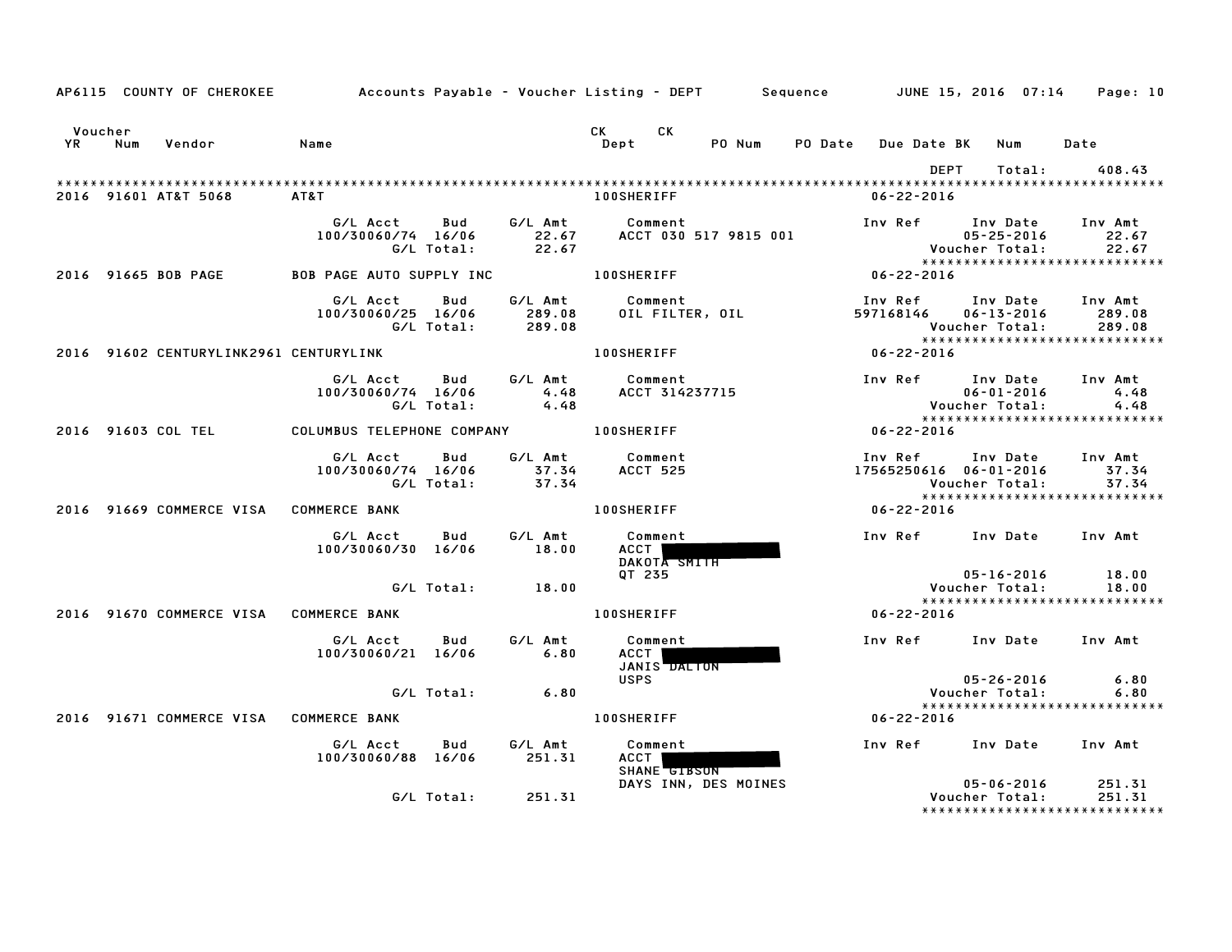|               |     | AP6115 COUNTY OF CHEROKEE              |                                 |                   |                             | Accounts Payable – Voucher Listing – DEPT         Sequence         JUNE 15, 2016  07:14 |                |                                   |                                                               | Page: 10                                                      |
|---------------|-----|----------------------------------------|---------------------------------|-------------------|-----------------------------|-----------------------------------------------------------------------------------------|----------------|-----------------------------------|---------------------------------------------------------------|---------------------------------------------------------------|
| Voucher<br>YR | Num | Vendor                                 | Name                            |                   |                             | CK<br>CK<br>Dept<br>PO Num                                                              | <b>PO Date</b> | Due Date BK                       | Num                                                           | Date                                                          |
|               |     | 2016 91601 AT&T 5068                   | AT&T                            |                   |                             | <b>100SHERIFF</b>                                                                       |                | <b>DEPT</b><br>$06 - 22 - 2016$   | Total:                                                        | 408.43                                                        |
|               |     |                                        | G/L Acct<br>100/30060/74 16/06  | Bud<br>G/L Total: | G/L Amt<br>22.67<br>22.67   | Comment<br>ACCT 030 517 9815 001                                                        |                |                                   | Inv Ref Inv Date<br>$05 - 25 - 2016$<br><b>Voucher Total:</b> | Inv Amt<br>22.67<br>22.67<br>*****************************    |
|               |     | 2016 91665 BOB PAGE                    | <b>BOB PAGE AUTO SUPPLY INC</b> |                   |                             | <b>100SHERIFF</b>                                                                       |                | $06 - 22 - 2016$                  |                                                               |                                                               |
|               |     |                                        | G/L Acct<br>100/30060/25 16/06  | Bud<br>G/L Total: | G/L Amt<br>289.08<br>289.08 | Comment<br>OIL FILTER, OIL                                                              |                | Inv Ref<br>597168146              | Inv Date<br>$06 - 13 - 2016$<br>Voucher Total:                | Inv Amt<br>289.08<br>289.08<br>****************************** |
|               |     | 2016 91602 CENTURYLINK2961 CENTURYLINK |                                 |                   |                             | <b>100SHERIFF</b>                                                                       |                | 06-22-2016                        |                                                               |                                                               |
|               |     |                                        | G/L Acct<br>100/30060/74 16/06  | Bud<br>G/L Total: | G/L Amt<br>4.48<br>4.48     | Comment<br>ACCT 314237715                                                               |                | Inv Ref                           | Inv Date<br>$06 - 01 - 2016$<br>Voucher Total:                | Inv Amt<br>4.48<br>4.48<br>*****************************      |
|               |     | 2016 91603 COL TEL                     | COLUMBUS TELEPHONE COMPANY      |                   |                             | <b>100SHERIFF</b>                                                                       |                | $06 - 22 - 2016$                  |                                                               |                                                               |
|               |     |                                        | G/L Acct<br>100/30060/74 16/06  | Bud<br>G/L Total: | G/L Amt<br>37.34<br>37.34   | Comment<br><b>ACCT 525</b>                                                              |                | Inv Ref<br>17565250616 06-01-2016 | Inv Date<br>Voucher Total:                                    | Inv Amt<br>37.34<br>37.34<br>*****************************    |
|               |     | 2016 91669 COMMERCE VISA               | <b>COMMERCE BANK</b>            |                   |                             | <b>100SHERIFF</b>                                                                       |                | $06 - 22 - 2016$                  |                                                               |                                                               |
|               |     |                                        | G/L Acct<br>100/30060/30 16/06  | Bud               | G/L Amt<br>18.00            | Comment<br>ACCT  <br>DAKOTA SMITH                                                       |                |                                   | Inv Ref Inv Date Inv Amt                                      |                                                               |
|               |     |                                        |                                 | G/L Total:        | 18.00                       | QT 235                                                                                  |                |                                   | $05 - 16 - 2016$<br>Voucher Total:                            | 18.00<br>18.00                                                |
|               |     | 2016 91670 COMMERCE VISA               | <b>COMMERCE BANK</b>            |                   |                             | <b>100SHERIFF</b>                                                                       |                | 06-22-2016                        |                                                               | *****************************                                 |
|               |     |                                        | G/L Acct<br>100/30060/21 16/06  | Bud               | G/L Amt<br>6.80             | Comment<br>ACCT  <br>JANIS DALTON                                                       |                | Inv Ref Inv Date                  |                                                               | Inv Amt                                                       |
|               |     |                                        |                                 | G/L Total:        | 6.80                        | <b>USPS</b>                                                                             |                |                                   | $05 - 26 - 2016$<br>Voucher Total:                            | 6.80<br>6.80                                                  |
|               |     | 2016 91671 COMMERCE VISA               | <b>COMMERCE BANK</b>            |                   |                             | <b>100SHERIFF</b>                                                                       |                | 06-22-2016                        |                                                               | *****************************                                 |
|               |     |                                        | G/L Acct<br>100/30060/88 16/06  | Bud               | G/L Amt<br>251.31           | Comment<br>ACCT  <br>SHANE GIBSON                                                       |                |                                   | Inv Ref Inv Date Inv Amt                                      |                                                               |
|               |     |                                        |                                 | G/L Total:        | 251.31                      | DAYS INN, DES MOINES                                                                    |                |                                   | $05 - 06 - 2016$<br>Voucher Total:<br>****************        | 251.31<br>251.31                                              |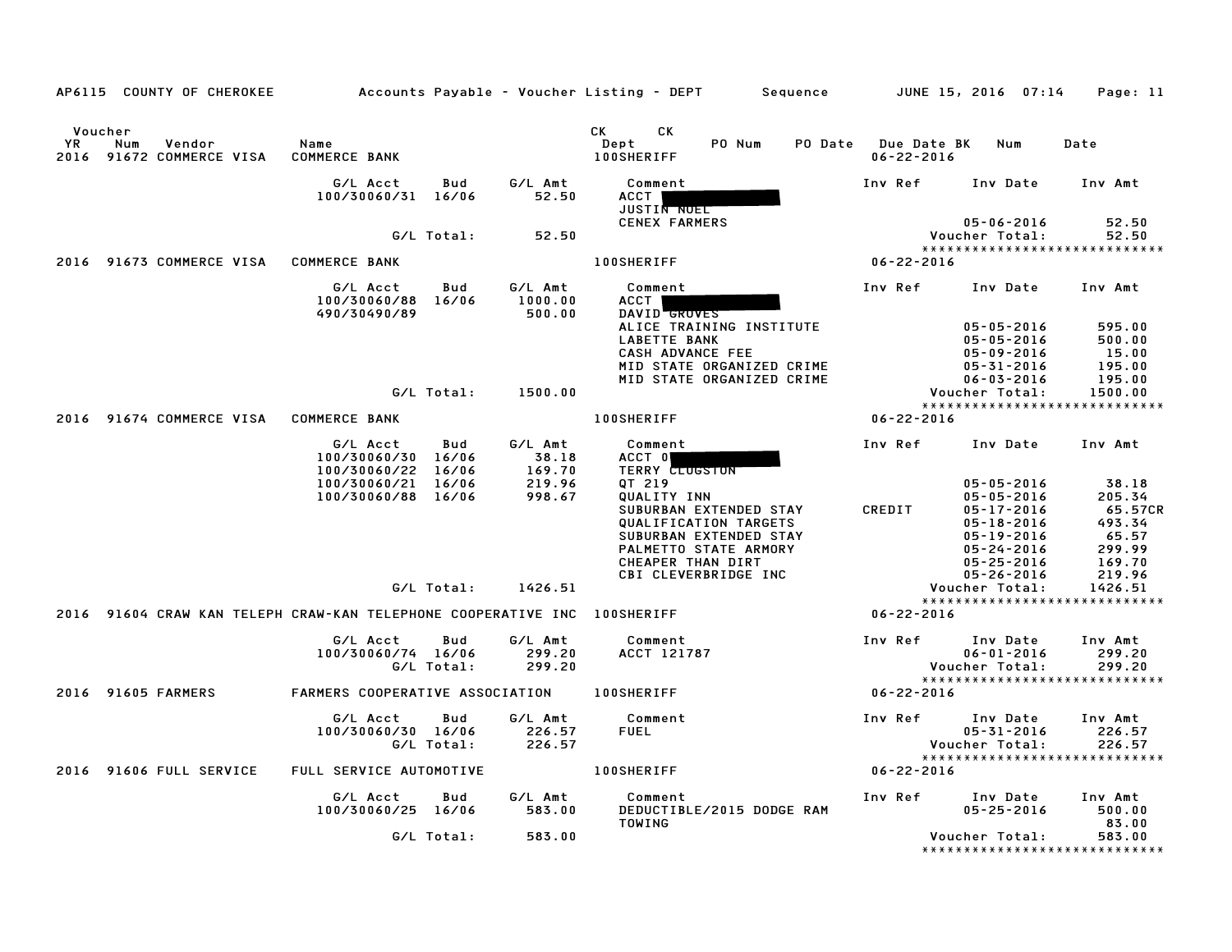|                   | AP6115 COUNTY OF CHEROKEE                                     |                                                                    |                         |                                     | Accounts Payable – Voucher Listing – DEPT        Sequence                                                                                                                                                   |                |                                 | JUNE 15, 2016  07:14                                                                                                                                         | Page: 11                                                                    |
|-------------------|---------------------------------------------------------------|--------------------------------------------------------------------|-------------------------|-------------------------------------|-------------------------------------------------------------------------------------------------------------------------------------------------------------------------------------------------------------|----------------|---------------------------------|--------------------------------------------------------------------------------------------------------------------------------------------------------------|-----------------------------------------------------------------------------|
| <b>YR</b><br>2016 | Voucher<br>Num<br>Vendor<br>91672 COMMERCE VISA               | Name<br><b>COMMERCE BANK</b>                                       |                         |                                     | CK<br>СK<br>Dept<br>PO Num<br><b>100SHERIFF</b>                                                                                                                                                             | <b>PO Date</b> | Due Date BK<br>$06 - 22 - 2016$ | Num                                                                                                                                                          | Date                                                                        |
|                   |                                                               | G/L Acct<br>100/30060/31 16/06                                     | Bud                     | G/L Amt<br>52.50                    | Comment<br>ACCT<br>JUSTIN NOEL                                                                                                                                                                              |                | Inv Ref                         | Inv Date                                                                                                                                                     | Inv Amt                                                                     |
|                   |                                                               |                                                                    | G/L Total:              | 52.50                               | <b>CENEX FARMERS</b>                                                                                                                                                                                        |                |                                 | $05 - 06 - 2016$<br>Voucher Total:                                                                                                                           | 52.50<br>52.50<br>*****************************                             |
|                   | 2016 91673 COMMERCE VISA                                      | <b>COMMERCE BANK</b>                                               |                         |                                     | <b>100SHERIFF</b>                                                                                                                                                                                           |                | $06 - 22 - 2016$                |                                                                                                                                                              |                                                                             |
|                   |                                                               | G/L Acct<br>100/30060/88<br>490/30490/89                           | Bud<br>16/06            | G/L Amt<br>1000.00<br>500.00        | Comment<br>ACCT  <br>DAVID GROVES<br>ALICE TRAINING INSTITUTE                                                                                                                                               |                | Inv Ref                         | Inv Date<br>$05 - 05 - 2016$                                                                                                                                 | Inv Amt<br>595.00                                                           |
|                   |                                                               |                                                                    | G/L Total:              | 1500.00                             | <b>LABETTE BANK</b><br>CASH ADVANCE FEE<br>MID STATE ORGANIZED CRIME<br>MID STATE ORGANIZED CRIME                                                                                                           |                |                                 | $05 - 05 - 2016$<br>05-09-2016<br>$05 - 31 - 2016$<br>$06 - 03 - 2016$<br>Voucher Total:                                                                     | 500.00<br>15.00<br>195.00<br>195.00<br>1500.00                              |
| 2016              | 91674 COMMERCE VISA                                           | <b>COMMERCE BANK</b>                                               |                         |                                     | <b>100SHERIFF</b>                                                                                                                                                                                           |                | $06 - 22 - 2016$                |                                                                                                                                                              | *****************************                                               |
|                   |                                                               | G/L Acct                                                           | Bud                     | G/L Amt                             | Comment                                                                                                                                                                                                     |                | Inv Ref                         | Inv Date                                                                                                                                                     | Inv Amt                                                                     |
|                   |                                                               | 100/30060/30<br>100/30060/22<br>100/30060/21<br>100/30060/88 16/06 | 16/06<br>16/06<br>16/06 | 38.18<br>169.70<br>219.96<br>998.67 | ACCT 0<br><b>TERRY CLUGSTON</b><br>QT 219<br>QUALITY INN<br>SUBURBAN EXTENDED STAY<br>QUALIFICATION TARGETS<br>SUBURBAN EXTENDED STAY<br>PALMETTO STATE ARMORY<br>CHEAPER THAN DIRT<br>CBI CLEVERBRIDGE INC |                | CREDIT                          | $05 - 05 - 2016$<br>$05 - 05 - 2016$<br>$05 - 17 - 2016$<br>$05 - 18 - 2016$<br>$05 - 19 - 2016$<br>$05 - 24 - 2016$<br>$05 - 25 - 2016$<br>$05 - 26 - 2016$ | 38.18<br>205.34<br>65.57CR<br>493.34<br>65.57<br>299.99<br>169.70<br>219.96 |
|                   |                                                               |                                                                    | G/L Total:              | 1426.51                             |                                                                                                                                                                                                             |                |                                 | Voucher Total:                                                                                                                                               | 1426.51<br>*****************************                                    |
|                   | 2016 91604 CRAW KAN TELEPH CRAW-KAN TELEPHONE COOPERATIVE INC |                                                                    |                         |                                     | <b>100SHERIFF</b>                                                                                                                                                                                           |                | $06 - 22 - 2016$                |                                                                                                                                                              |                                                                             |
|                   |                                                               | G/L Acct<br>100/30060/74 16/06                                     | Bud<br>G/L Total:       | G/L Amt<br>299.20<br>299.20         | Comment<br>ACCT 121787                                                                                                                                                                                      |                | Inv Ref                         | Inv Date<br>$06 - 01 - 2016$<br>Voucher Total:                                                                                                               | Inv Amt<br>299.20<br>299.20<br>*****************************                |
|                   | 2016 91605 FARMERS                                            | FARMERS COOPERATIVE ASSOCIATION                                    |                         |                                     | <b>100SHERIFF</b>                                                                                                                                                                                           |                | $06 - 22 - 2016$                |                                                                                                                                                              |                                                                             |
|                   |                                                               | G/L Acct<br>100/30060/30 16/06                                     | Bud<br>G/L Total:       | G/L Amt<br>226.57<br>226.57         | Comment<br><b>FUEL</b>                                                                                                                                                                                      |                | Inv Ref                         | Inv Date<br>05-31-2016<br>Voucher Total:                                                                                                                     | Inv Amt<br>226.57<br>226.57<br>*****************************                |
|                   | 2016 91606 FULL SERVICE                                       | FULL SERVICE AUTOMOTIVE                                            |                         |                                     | <b>100SHERIFF</b>                                                                                                                                                                                           |                | $06 - 22 - 2016$                |                                                                                                                                                              |                                                                             |
|                   |                                                               | G/L Acct<br>100/30060/25 16/06                                     | Bud                     | G/L Amt<br>583.00                   | Comment<br>DEDUCTIBLE/2015 DODGE RAM<br>TOWING                                                                                                                                                              |                | Inv Ref                         | Inv Date<br>$05 - 25 - 2016$                                                                                                                                 | Inv Amt<br>500.00<br>83.00                                                  |
|                   |                                                               |                                                                    | G/L Total:              | 583.00                              |                                                                                                                                                                                                             |                |                                 | Voucher Total:                                                                                                                                               | 583.00<br>*****************************                                     |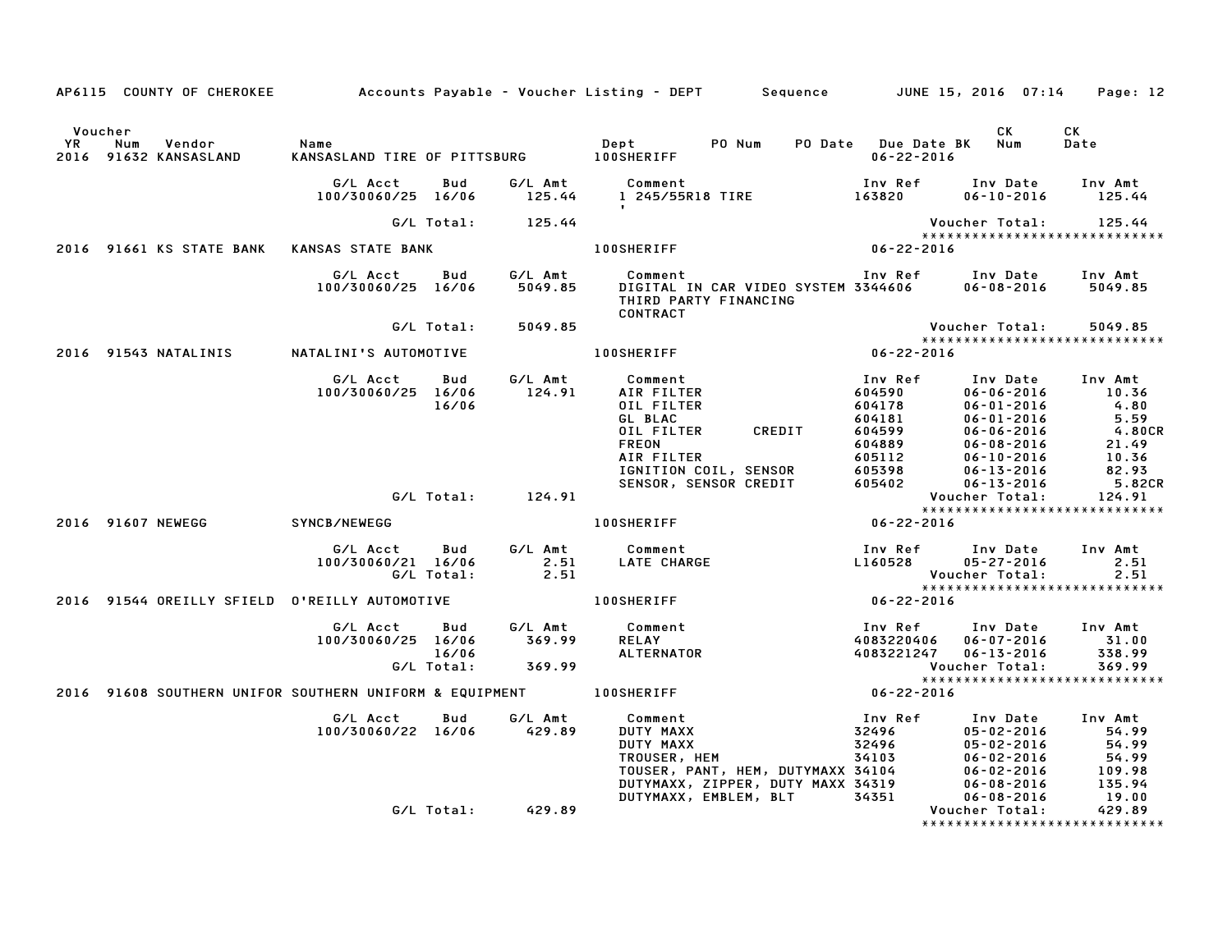|         |                                               |                                                        |                    | AP6115 COUNTY OF CHEROKEE Accounts Payable - Voucher Listing - DEPT Sequence JUNE 15, 2016 07:14 Page: 12                                                                                                                                                                                                                                           |                                       |                                                     |                                                       |
|---------|-----------------------------------------------|--------------------------------------------------------|--------------------|-----------------------------------------------------------------------------------------------------------------------------------------------------------------------------------------------------------------------------------------------------------------------------------------------------------------------------------------------------|---------------------------------------|-----------------------------------------------------|-------------------------------------------------------|
| Voucher | YR Num Vendor<br>2016 91632 KANSASLAND        | Name                                                   |                    | Dept PONum                                                                                                                                                                                                                                                                                                                                          | PO Date Due Date BK Num<br>06-22-2016 | CK L                                                | CK<br>Date                                            |
|         |                                               |                                                        |                    | G/L Acct      Bud       G/L Amt         Comment                            Inv Ref      Inv Date     Inv Amt<br>100/30060/25   16/06         125.44        1  245/55R18 TIRE                    163820         06–10–2016                                                                                                                           |                                       |                                                     |                                                       |
|         |                                               |                                                        | G/L Total: 125.44  |                                                                                                                                                                                                                                                                                                                                                     |                                       |                                                     | Voucher Total: 125.44<br>**************************** |
|         | 2016 91661 KS STATE BANK KANSAS STATE BANK    |                                                        |                    | 100SHERIFF 06-22-2016                                                                                                                                                                                                                                                                                                                               |                                       |                                                     |                                                       |
|         |                                               | G/L Acct   Bud   G/L Amt<br>100/30060/25 16/06 5049.85 |                    | Comment<br>THIRD PARTY FINANCING<br>CONTRACT                                                                                                                                                                                                                                                                                                        |                                       |                                                     |                                                       |
|         |                                               |                                                        | G/L Total: 5049.85 |                                                                                                                                                                                                                                                                                                                                                     |                                       | Voucher Total:                                      | 5049.85                                               |
|         |                                               |                                                        |                    | 2016 91543 NATALINIS NATALINI'S AUTOMOTIVE 100SHERIFF 7 2016 100SHERIFF 2016                                                                                                                                                                                                                                                                        |                                       |                                                     | ******************************                        |
|         |                                               |                                                        |                    | 100/30060/25 16/06 124.91 AIR FILTER<br>100/30060/25 16/06 124.91 AIR FILTER<br>16/06 6L BLAC<br>0011 FILTER<br>AIR FILTER 604599<br>OIL FILTER CREDIT 604599<br>OIL FILTER CREDIT 604599<br>AIR FILTER CREDIT 604599<br>AIR FILTER CREDIT 604599<br>AIR FILTER 604889<br>AIR FILTER 604889<br>AIR FILTER 605398<br>AIR FILTER 605398<br>SENSOR, SE | Inv Ref                               | Inv Date Inv Amt                                    |                                                       |
|         |                                               |                                                        | G/L Total: 124.91  |                                                                                                                                                                                                                                                                                                                                                     |                                       |                                                     |                                                       |
|         | 2016 91607 NEWEGG SYNCB/NEWEGG                |                                                        |                    | 100SHERIFF<br>and the set of the set of the set of the set of the set of the set of the set of the set of the set of the set of the set of the set of the set of the set of the set of the set of the set of the set of the set                                                                                                                     |                                       |                                                     |                                                       |
|         |                                               | G/L Total: 2.51                                        |                    |                                                                                                                                                                                                                                                                                                                                                     | <b>Voucher Total:</b>                 | Inv Ref Inv Date Inv Amt<br>L160528 05-27-2016 2.51 | 2.51                                                  |
|         | 2016 91544 OREILLY SFIELD O'REILLY AUTOMOTIVE |                                                        |                    |                                                                                                                                                                                                                                                                                                                                                     |                                       |                                                     | ******************************                        |
|         |                                               |                                                        |                    | EILLY AUTOMOTIVE<br>G/L Acct Bud G/L Amt Comment<br>100/30060/25 16/06 369.99 RELAY<br>16/06 369.99 RELAY<br>269.99 ALTERNATOR<br>269.99 ALTERNATOR<br>269.99 Voucher Total: 369.99<br>2016 2016                                                                                                                                                    |                                       |                                                     |                                                       |
|         |                                               |                                                        |                    | 2016 91608 SOUTHERN UNIFOR SOUTHERN UNIFORM & EQUIPMENT 100SHERIFF $06-22-2016$                                                                                                                                                                                                                                                                     |                                       |                                                     | ******************************                        |
|         |                                               | G/L Acct Bud<br>100/30060/22 16/06 429.89              |                    | G/L Amt Comment<br>100 Comment<br>DUTY MAXX 32496 05-02-2016 54.99<br>DUTY MAXX 32496 05-02-2016 54.99<br>TROUSER, HEM 34103 06-02-2016 54.99<br>TOUSER, PANT, HEM, DUTYMAXX 34104 06-02-2016 109.98<br>DUTYMAXX, ZIPPER, DUTY MAXX 34319 06-08-2016 135.94                                                                                         |                                       |                                                     |                                                       |
|         |                                               |                                                        | G/L Total: 429.89  |                                                                                                                                                                                                                                                                                                                                                     |                                       | Voucher Total:                                      | 429.89<br>*****************************               |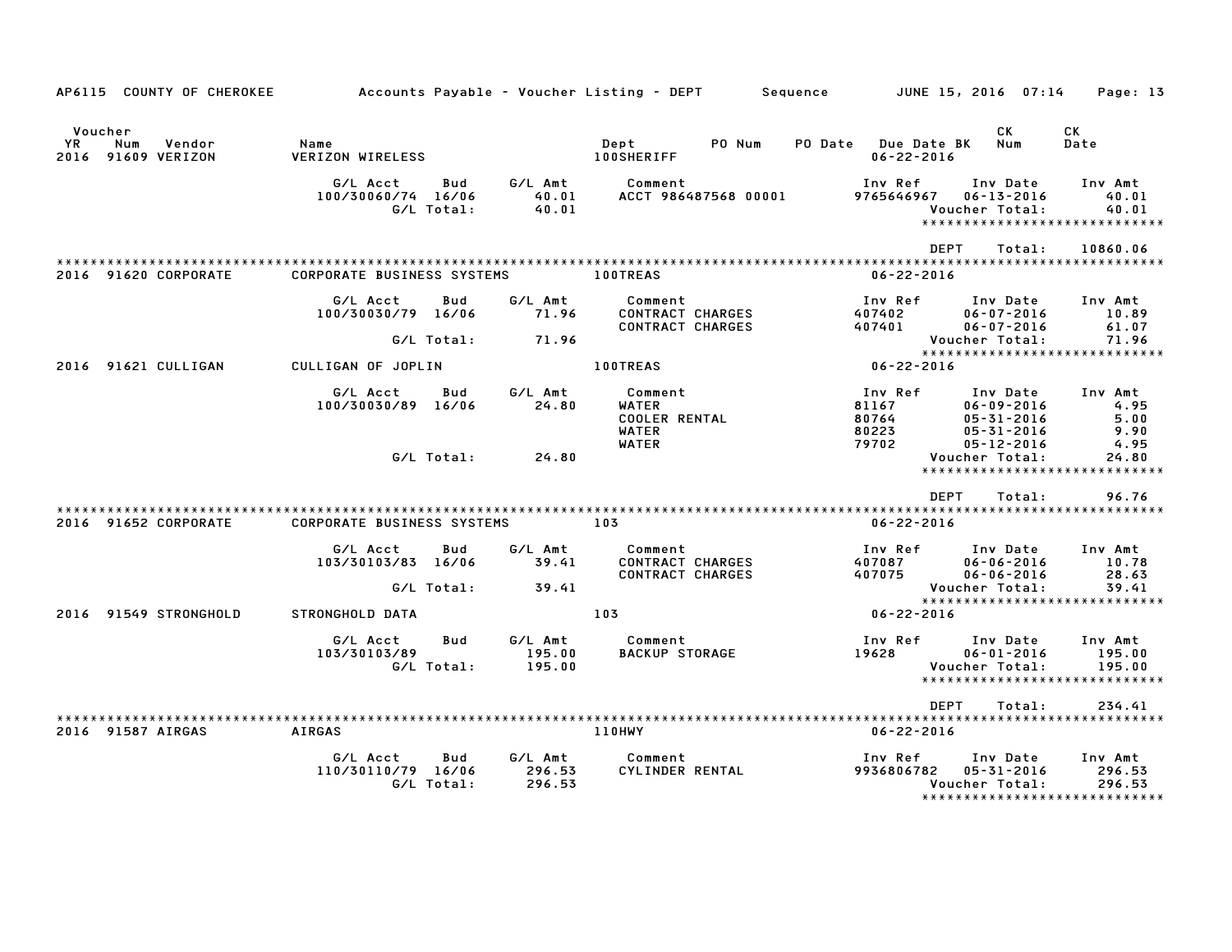|                               | AP6115 COUNTY OF CHEROKEE |                                   |                          |                             | Accounts Payable – Voucher Listing – DEPT                     | Sequence                                | JUNE 15, 2016  07:14                                                 | Page: 13                                                      |
|-------------------------------|---------------------------|-----------------------------------|--------------------------|-----------------------------|---------------------------------------------------------------|-----------------------------------------|----------------------------------------------------------------------|---------------------------------------------------------------|
| Voucher<br>Num<br>YR.<br>2016 | Vendor<br>91609 VERIZON   | Name<br><b>VERIZON WIRELESS</b>   |                          |                             | PO Num<br>Dept<br><b>100SHERIFF</b>                           | PO Date Due Date BK<br>$06 - 22 - 2016$ | CK<br>Num                                                            | CK<br>Date                                                    |
|                               |                           | G/L Acct<br>100/30060/74 16/06    | Bud<br>G/L Total:        | G/L Amt<br>40.01<br>40.01   | Comment<br>ACCT 986487568 00001                               | Inv Ref<br>9765646967                   | Inv Date<br>$06 - 13 - 2016$<br>Voucher Total:                       | Inv Amt<br>40.01<br>40.01<br>*****************************    |
|                               | 2016 91620 CORPORATE      | <b>CORPORATE BUSINESS SYSTEMS</b> |                          |                             | <b>100TREAS</b>                                               | <b>DEPT</b><br>$06 - 22 - 2016$         | Total:                                                               | 10860.06                                                      |
|                               |                           | G/L Acct<br>100/30030/79 16/06    | <b>Bud</b>               | G/L Amt<br>71.96            | Comment<br><b>CONTRACT CHARGES</b><br>CONTRACT CHARGES        | Inv Ref<br>407402<br>407401             | Inv Date<br>$06 - 07 - 2016$<br>$06 - 07 - 2016$                     | Inv Amt<br>10.89<br>61.07                                     |
|                               | 2016 91621 CULLIGAN       | CULLIGAN OF JOPLIN                | G/L Total:               | 71.96                       | <b>100TREAS</b>                                               | 06-22-2016                              | Voucher Total:                                                       | 71.96<br>*****************************                        |
|                               |                           | G/L Acct<br>100/30030/89 16/06    | Bud                      | G/L Amt<br>24.80            | Comment<br>WATER<br><b>COOLER RENTAL</b><br><b>WATER</b>      | Inv Ref<br>81167<br>80764<br>80223      | Inv Date<br>$06 - 09 - 2016$<br>$05 - 31 - 2016$<br>$05 - 31 - 2016$ | Inv Amt<br>4.95<br>5.00<br>9.90                               |
|                               |                           |                                   | G/L Total:               | 24.80                       | <b>WATER</b>                                                  | 79702                                   | $05 - 12 - 2016$<br>Voucher Total:                                   | 4.95<br>24.80<br>*****************************                |
|                               | 2016 91652 CORPORATE      | <b>CORPORATE BUSINESS SYSTEMS</b> |                          |                             | 103                                                           | <b>DEPT</b><br>$06 - 22 - 2016$         | Total:                                                               | 96.76                                                         |
|                               |                           | G/L Acct<br>103/30103/83 16/06    | <b>Bud</b><br>G/L Total: | G/L Amt<br>39.41<br>39.41   | Comment<br><b>CONTRACT CHARGES</b><br><b>CONTRACT CHARGES</b> | Inv Ref<br>407087<br>407075             | Inv Date<br>$06 - 06 - 2016$<br>$06 - 06 - 2016$<br>Voucher Total:   | Inv Amt<br>10.78<br>28.63<br>39.41                            |
|                               | 2016 91549 STRONGHOLD     | STRONGHOLD DATA                   |                          |                             | 103                                                           | $06 - 22 - 2016$                        |                                                                      | *****************************                                 |
|                               |                           | G/L Acct<br>103/30103/89          | Bud<br>G/L Total:        | G/L Amt<br>195.00<br>195.00 | Comment<br><b>BACKUP STORAGE</b>                              | Inv Ref<br>19628                        | Inv Date<br>$06 - 01 - 2016$<br>Voucher Total:                       | Inv Amt<br>195.00<br>195.00<br>****************************** |
|                               | 2016 91587 AIRGAS         | <b>AIRGAS</b>                     |                          |                             | 110HWY                                                        | <b>DEPT</b><br>$06 - 22 - 2016$         | Total:                                                               | 234.41                                                        |
|                               |                           | G/L Acct<br>110/30110/79 16/06    | Bud<br>G/L Total:        | G/L Amt<br>296.53<br>296.53 | Comment<br>CYLINDER RENTAL                                    | Inv Ref<br>9936806782                   | Inv Date<br>05-31-2016<br>Voucher Total:                             | Inv Amt<br>296.53<br>296.53<br>*****************************  |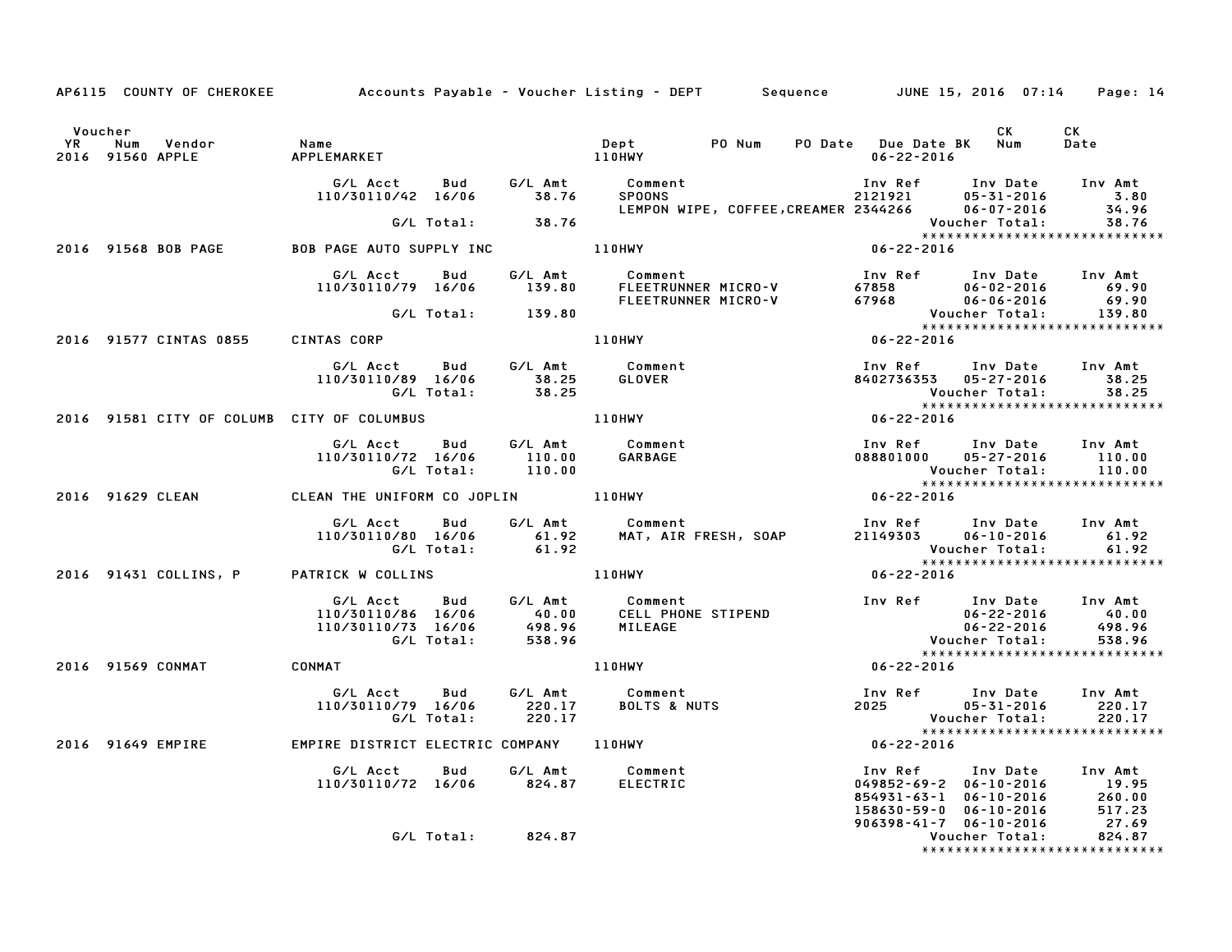|         |                          | AP6115 COUNTY OF CHEROKEE Accounts Payable - Voucher Listing - DEPT Sequence JUNE 15, 2016 07:14 Page: 14                                                                                                                               |                   |                                                                                                                                                         |                                                                                                                                                                                     |                  |                      |                               |
|---------|--------------------------|-----------------------------------------------------------------------------------------------------------------------------------------------------------------------------------------------------------------------------------------|-------------------|---------------------------------------------------------------------------------------------------------------------------------------------------------|-------------------------------------------------------------------------------------------------------------------------------------------------------------------------------------|------------------|----------------------|-------------------------------|
| Voucher |                          |                                                                                                                                                                                                                                         |                   |                                                                                                                                                         |                                                                                                                                                                                     |                  | CK CK                |                               |
|         |                          | G/L Acct Bud G/L Amt Comment Inv Ref Inv Date Inv Amt<br>110/30110/42 16/06 38.76 SPOONS 2121921 05-31-2016 3.80<br>14.96 LEMPON WIPE, COFFEE,CREAMER 2344266 06-07-2016 34.96                                                          |                   |                                                                                                                                                         |                                                                                                                                                                                     |                  |                      |                               |
|         |                          |                                                                                                                                                                                                                                         | G/L Total: 38.76  |                                                                                                                                                         |                                                                                                                                                                                     |                  | Voucher Total: 38.76 |                               |
|         |                          | 2016 91568 BOB PAGE 60 BOB PAGE AUTO SUPPLY INC 110HWY 106-22-2016                                                                                                                                                                      |                   |                                                                                                                                                         |                                                                                                                                                                                     |                  |                      |                               |
|         |                          | 6/L Acct Bud 6/L Amt Comment<br>110/30110/79 16/06 139.80 FLEETRUNNER MICRO-V 67858 06-02-2016 69.90<br>FLEETRUNNER MICRO-V 67968 06-06-2016 69.90<br>67L Total: 139.80 FLEETRUNNER MICRO-V 67968 Voucher Total: 139.80                 |                   |                                                                                                                                                         |                                                                                                                                                                                     |                  |                      |                               |
|         |                          |                                                                                                                                                                                                                                         |                   |                                                                                                                                                         |                                                                                                                                                                                     |                  |                      |                               |
|         |                          | 2016 91577 CINTAS 0855 CINTAS CORP                                                                                                                                                                                                      |                   | 110HWY 06-22-2016                                                                                                                                       |                                                                                                                                                                                     |                  |                      |                               |
|         |                          |                                                                                                                                                                                                                                         |                   |                                                                                                                                                         |                                                                                                                                                                                     |                  |                      |                               |
|         |                          |                                                                                                                                                                                                                                         |                   |                                                                                                                                                         |                                                                                                                                                                                     |                  |                      | ***************************** |
|         |                          |                                                                                                                                                                                                                                         |                   |                                                                                                                                                         |                                                                                                                                                                                     |                  |                      |                               |
|         |                          | 2016 91629 CLEAN CLEAN THE UNIFORM CO JOPLIN 110HWY                                                                                                                                                                                     |                   |                                                                                                                                                         |                                                                                                                                                                                     | $06 - 22 - 2016$ |                      |                               |
|         |                          | G/L Acct Bud G/L Amt Comment Inv Ref Inv Date Inv Amt<br>110/30110/80 16/06 61.92 MAT, AIR FRESH, SOAP 21149303 06-10-2016 61.92<br>G/L Total: 61.92 Voucher Total: 61.92<br>TRICK W COLLINS 110HWY 110HWY 06-22-2016                   |                   |                                                                                                                                                         |                                                                                                                                                                                     |                  |                      |                               |
|         |                          | 2016 91431 COLLINS, P PATRICK W COLLINS                                                                                                                                                                                                 |                   |                                                                                                                                                         |                                                                                                                                                                                     |                  |                      |                               |
|         |                          |                                                                                                                                                                                                                                         |                   | %/L Amt 40.00 CELL PHONE STIPEND<br>498.96 MILEAGE 110HWY<br>538.96 MINEAGE 110HWY 110HWY<br>110HWY 132.96 MINEAGE 110HWY 122.2016<br>110HWY 16-22-2016 |                                                                                                                                                                                     |                  |                      |                               |
|         | 2016 91569 CONMAT CONMAT |                                                                                                                                                                                                                                         |                   |                                                                                                                                                         |                                                                                                                                                                                     |                  |                      | ***************************** |
|         |                          |                                                                                                                                                                                                                                         |                   |                                                                                                                                                         |                                                                                                                                                                                     |                  |                      |                               |
|         |                          | G/L Acct Bud G/L Amt Comment Inv Ref Inv Date Inv Amt<br>110/30110/79 16/06 220.17 BOLTS & NUTS 2025 05-31-2016 220.17<br>C/L Total: 220.17 C/L Total: 220.17 Voucher Total: 220.17<br>2016 91649 EMPIRE NISTRICT ELECTRIC COMPANY 110H |                   |                                                                                                                                                         |                                                                                                                                                                                     |                  |                      |                               |
|         |                          |                                                                                                                                                                                                                                         |                   |                                                                                                                                                         |                                                                                                                                                                                     |                  |                      |                               |
|         |                          | G/L Acct  Bud  G/L Amt  Comment<br>110/30110/72 16/06  824.87  ELECTRIC                                                                                                                                                                 |                   |                                                                                                                                                         | 1nv Ref 1nv Date 1nv Amt<br>049852-69-2 06-10-2016 19.95<br>854931-63-1 06-10-2016 260.00<br>158630-59-0 06-10-2016 517.23<br>906398-41-7 06-10-2016 27.69<br>Voucher Total: 824.87 |                  |                      |                               |
|         |                          |                                                                                                                                                                                                                                         | G/L Total: 824.87 |                                                                                                                                                         |                                                                                                                                                                                     |                  |                      | ***************************** |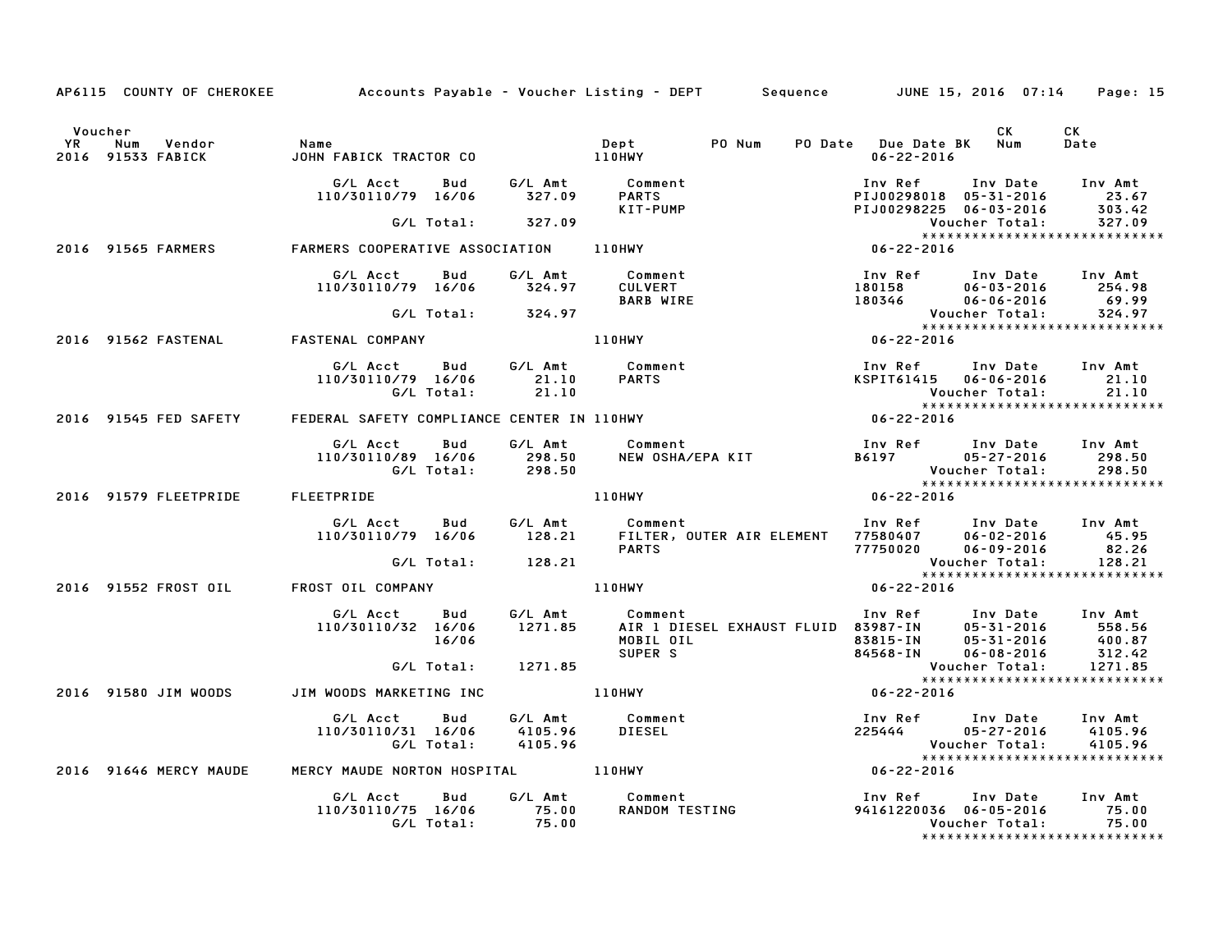|         |                                      |                                                                                         |               | AP6115 COUNTY OF CHEROKEE Accounts Payable - Voucher Listing - DEPT Sequence JUNE 15, 2016 07:14 Page: 15                                                                                                                               |                                                                                                                   |            |
|---------|--------------------------------------|-----------------------------------------------------------------------------------------|---------------|-----------------------------------------------------------------------------------------------------------------------------------------------------------------------------------------------------------------------------------------|-------------------------------------------------------------------------------------------------------------------|------------|
| Voucher |                                      | YR Num Vendor – Name<br>2016 91533 FABICK – JOHN FABICK TRACTOR CO                      |               | Dept PO Num<br>Dept<br>110HWY                                                                                                                                                                                                           | <b>CK</b><br>PO Date Due Date BK Num<br>06-22-2016                                                                | CK<br>Date |
|         |                                      |                                                                                         |               | PARTS<br>PARTS<br>KIT-PUMP                                                                                                                                                                                                              | 1nv Ref 1nv Date 1nv Amt<br>PIJ00298018 05-31-2016 23.67<br>PIJ00298225 06-03-2016 303.42                         |            |
|         |                                      | G/L Total: 327.09                                                                       |               |                                                                                                                                                                                                                                         | Voucher Total: 327.09<br>₩₩₩₩¥¥¥¥¥¥¥¥¥¥¥¥¥¥¥¥¥¥¥¥<br>₩₩₩₩₩₩₩₩₩₩                                                   |            |
|         | 2016 91565 FARMERS                   |                                                                                         |               |                                                                                                                                                                                                                                         |                                                                                                                   |            |
|         |                                      | G/L Acct  Bud  G/L Amt  Comment<br>110/30110/79 16/06  324.97  CULVERT                  |               | <b>BARB WIRE</b>                                                                                                                                                                                                                        | 100 Ref Inv Date Inv Amt<br>180158 06-03-2016 254.98<br>180346 06-06-2016 69.99                                   |            |
|         |                                      | G/L Total: 324.97                                                                       |               |                                                                                                                                                                                                                                         |                                                                                                                   |            |
|         | 2016 91562 FASTENAL FASTENAL COMPANY |                                                                                         | <b>110HWY</b> |                                                                                                                                                                                                                                         |                                                                                                                   |            |
|         |                                      | 110/30110/79 16/06 21.10<br>G/L Total: 21.10                                            |               |                                                                                                                                                                                                                                         | Inv Ref      Inv Date     Inv Amt<br>KSPIT61415    06–06–2016         21.10<br>Voucher Total:          21.10      |            |
|         |                                      | 2016 91545 FED SAFETY FEDERAL SAFETY COMPLIANCE CENTER IN 110HWY                        |               |                                                                                                                                                                                                                                         |                                                                                                                   |            |
|         |                                      |                                                                                         |               |                                                                                                                                                                                                                                         |                                                                                                                   |            |
|         | 2016 91579 FLEETPRIDE FLEETPRIDE     |                                                                                         |               | <b>110HWY</b>                                                                                                                                                                                                                           | $06 - 22 - 2016$                                                                                                  |            |
|         |                                      |                                                                                         |               | ELIPRIDE<br>G/L Acct Bud G/L Amt Comment Inv Ref Inv Date Inv Amt<br>110/30110/79 16/06 128.21 FILTER, OUTER AIR ELEMENT 77580407 06-02-2016 45.95<br>PARTS 77750020 06-09-2016 82.26<br>Voucher Total: 128.21                          |                                                                                                                   |            |
|         |                                      |                                                                                         |               |                                                                                                                                                                                                                                         |                                                                                                                   |            |
|         |                                      | 2016 91552 FROST OIL FROST OIL COMPANY                                                  |               | 110HWY                                                                                                                                                                                                                                  |                                                                                                                   |            |
|         |                                      |                                                                                         |               | 6/L Acct bud 6/L Amt Comment Inv Ref Inv Date Inv Amt<br>110/30110/32 16/06 1271.85 AIR 1 DIESEL EXHAUST FLUID 83987–IN 05-31-2016 558.56<br>16/06 MOBIL OIL 83815–IN 05-31-2016 400.87<br>6/L Total: 1271.85 SUPER S Voucher Total: 12 |                                                                                                                   |            |
|         |                                      |                                                                                         |               |                                                                                                                                                                                                                                         |                                                                                                                   |            |
|         | 2016 91580 JIM WOODS                 | JIM WOODS MARKETING INC 110HWY                                                          |               |                                                                                                                                                                                                                                         | $06 - 22 - 2016$                                                                                                  |            |
|         |                                      | G/L Acct Bud G/L Amt Comment<br>110/30110/31 16/06 4105.96<br>G/L Total: 4105.96        |               | DIESEL                                                                                                                                                                                                                                  | Inv Ref      Inv Date     Inv Amt<br>225444             05-27-2016        4105.96<br>Voucher Total:       4105.96 |            |
|         | 2016 91646 MERCY MAUDE               | MERCY MAUDE NORTON HOSPITAL 110HWY                                                      |               |                                                                                                                                                                                                                                         | $06 - 22 - 2016$                                                                                                  |            |
|         |                                      | G/L Acct Bud G/L Amt Comment<br>110/30110/75 16/06 75.00 RANDOM TES<br>G/L Total: 75.00 |               |                                                                                                                                                                                                                                         | ******************************                                                                                    |            |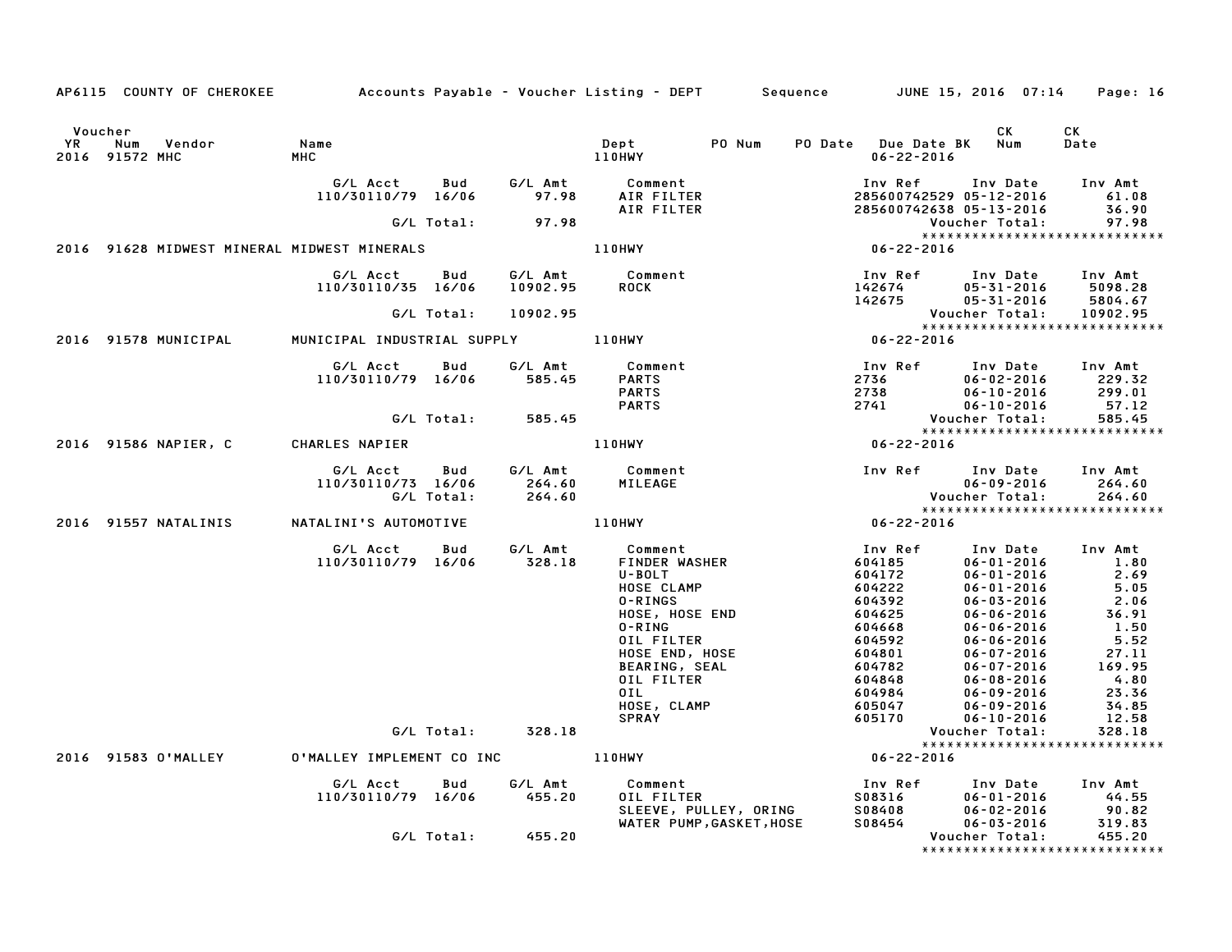|           | AP6115 COUNTY OF CHEROKEE Accounts Payable - Voucher Listing - DEPT Sequence JUNE 15, 2016 07:14 |                                      |            |                     |                                                                                                                                                                           |                          |                                                                                                   |                                                                                                                                                                                              | Page: 16                                                                            |
|-----------|--------------------------------------------------------------------------------------------------|--------------------------------------|------------|---------------------|---------------------------------------------------------------------------------------------------------------------------------------------------------------------------|--------------------------|---------------------------------------------------------------------------------------------------|----------------------------------------------------------------------------------------------------------------------------------------------------------------------------------------------|-------------------------------------------------------------------------------------|
| <b>YR</b> | Voucher<br>Num<br>Vendor<br>2016 91572 MHC                                                       | Name<br><b>MHC</b>                   |            |                     | Dept<br>PO Num<br>110HWY                                                                                                                                                  |                          | PO Date Due Date BK Num<br>$06 - 22 - 2016$                                                       | CK.                                                                                                                                                                                          | CK<br>Date                                                                          |
|           |                                                                                                  | G/L Acct<br>110/30110/79 16/06       | Bud        | 97.98               | G/L Amt Comment<br>AIR FILTER<br>AIR FILTER                                                                                                                               |                          |                                                                                                   | Inv Ref Inv Date Inv Amt<br>285600742529 05-12-2016 61.08<br>285600742638 05-13-2016                                                                                                         | 36.90<br>97.98                                                                      |
|           |                                                                                                  |                                      |            | G/L Total: 97.98    |                                                                                                                                                                           |                          |                                                                                                   | Voucher Total:                                                                                                                                                                               | 97.98                                                                               |
|           | 2016 91628 MIDWEST MINERAL MIDWEST MINERALS                                                      |                                      |            |                     | 110HWY                                                                                                                                                                    |                          | $*****$                                                                                           |                                                                                                                                                                                              |                                                                                     |
|           |                                                                                                  | G/L Acct<br>110/30110/35 16/06       | Bud        | G/L Amt<br>10902.95 | Comment<br><b>ROCK</b>                                                                                                                                                    |                          | 142674<br>142675<br>142675                                                                        | Inv Ref Inv Date Inv Amt<br>05-31-2016 5098.28<br>05-31-2016                                                                                                                                 | 5804.67                                                                             |
|           |                                                                                                  |                                      | G/L Total: | 10902.95            |                                                                                                                                                                           |                          |                                                                                                   | Voucher Total:                                                                                                                                                                               | 10902.95                                                                            |
|           |                                                                                                  |                                      |            |                     |                                                                                                                                                                           |                          |                                                                                                   |                                                                                                                                                                                              |                                                                                     |
|           | 2016 91578 MUNICIPAL                                                                             | MUNICIPAL INDUSTRIAL SUPPLY 110HWY   |            |                     |                                                                                                                                                                           |                          | Vouc<br>* * * * *<br>06-22-2016                                                                   |                                                                                                                                                                                              |                                                                                     |
|           |                                                                                                  | G/L Acct<br>110/30110/79 16/06       | Bud        |                     | G/L Amt Comment<br>585.45 PARTS<br><b>PARTS</b><br><b>PARTS</b>                                                                                                           |                          |                                                                                                   | Inv Ref      Inv Date     Inv Amt                                                                                                                                                            |                                                                                     |
|           |                                                                                                  |                                      | G/L Total: | 585.45              |                                                                                                                                                                           |                          |                                                                                                   |                                                                                                                                                                                              |                                                                                     |
|           |                                                                                                  |                                      |            |                     |                                                                                                                                                                           |                          |                                                                                                   |                                                                                                                                                                                              |                                                                                     |
|           | 2016 91586 NAPIER, C CHARLES NAPIER                                                              |                                      |            |                     | 110HWY                                                                                                                                                                    |                          | $06 - 22 - 2016$                                                                                  |                                                                                                                                                                                              |                                                                                     |
|           |                                                                                                  | G/L Acct<br>110/30110/73 16/06       | <b>Bud</b> | 264.60              | G/L Amt Comment<br>MILEAGE                                                                                                                                                | Inv Ref Inv Date Inv Amt |                                                                                                   | $06 - 09 - 2016$                                                                                                                                                                             | 264.60                                                                              |
|           |                                                                                                  |                                      | G/L Total: | 264.60              |                                                                                                                                                                           |                          |                                                                                                   | Voucher Total:                                                                                                                                                                               | 264.60<br>*****************************                                             |
|           | 2016 91557 NATALINIS                                                                             | NATALINI'S AUTOMOTIVE                |            |                     | 110HWY                                                                                                                                                                    | $06 - 22 - 2016$         |                                                                                                   |                                                                                                                                                                                              |                                                                                     |
|           |                                                                                                  | G/L Acct   Bud<br>110/30110/79 16/06 |            | 328.18              | G/L Amt Comment<br>328.18 FINDER WA<br>FINDER WASHER<br>U-BOLT<br>HOSE CLAMP<br>0-RINGS<br>HOSE, HOSE END<br>$0 - R$ ING<br>OIL FILTER<br>HOSE END, HOSE<br>BEARING, SEAL |                          | Inv Ref<br>604185<br>604172<br>604222<br>604392<br>604625<br>604668<br>604592<br>604801<br>604782 | Inv Date<br>$06 - 01 - 2016$<br>$06 - 01 - 2016$<br>$06 - 01 - 2016$<br>$06 - 03 - 2016$<br>$06 - 06 - 2016$<br>$06 - 06 - 2016$<br>$06 - 06 - 2016$<br>$06 - 07 - 2016$<br>$06 - 07 - 2016$ | Inv Amt<br>1.80<br>2.69<br>5.05<br>2.06<br>36.91<br>1.50<br>5.52<br>27.11<br>169.95 |
|           |                                                                                                  |                                      |            |                     | OIL FILTER<br>OIL<br>HOSE, CLAMP<br><b>SPRAY</b>                                                                                                                          |                          | 604848<br>604984<br>605047<br>605170                                                              | 06-08-2016<br>$06 - 09 - 2016$<br>$06 - 09 - 2016$<br>$06 - 10 - 2016$                                                                                                                       | 4.80<br>23.36<br>34.85<br>12.58                                                     |
|           |                                                                                                  |                                      | G/L Total: | 328.18              |                                                                                                                                                                           |                          |                                                                                                   | Voucher Total:                                                                                                                                                                               | 328.18                                                                              |
|           | 2016 91583 O'MALLEY                                                                              |                                      |            |                     | 0'MALLEY IMPLEMENT CO INC 110HWY                                                                                                                                          |                          | $06 - 22 - 2016$                                                                                  |                                                                                                                                                                                              | *****************************                                                       |
|           |                                                                                                  | G/L Acct                             | <b>Bud</b> | G/L Amt             | Comment                                                                                                                                                                   |                          | Inv Ref                                                                                           |                                                                                                                                                                                              | Inv Amt                                                                             |
|           |                                                                                                  | 110/30110/79 16/06                   |            | 455.20              | OIL FILTER<br>UIL FILIER<br>SLEEVE, PULLEY, ORING<br>WATER PUMP,GASKET,HOSE                                                                                               |                          | S08316<br>S08408                                                                                  | Inv Date<br>$06 - 01 - 2016$<br>$06 - 02 - 2016$                                                                                                                                             | 44.55<br>90.82                                                                      |
|           |                                                                                                  |                                      | G/L Total: | 455.20              |                                                                                                                                                                           |                          | S08454                                                                                            | $06 - 03 - 2016$<br>Voucher Total:                                                                                                                                                           | 319.83<br>455.20<br>*****************************                                   |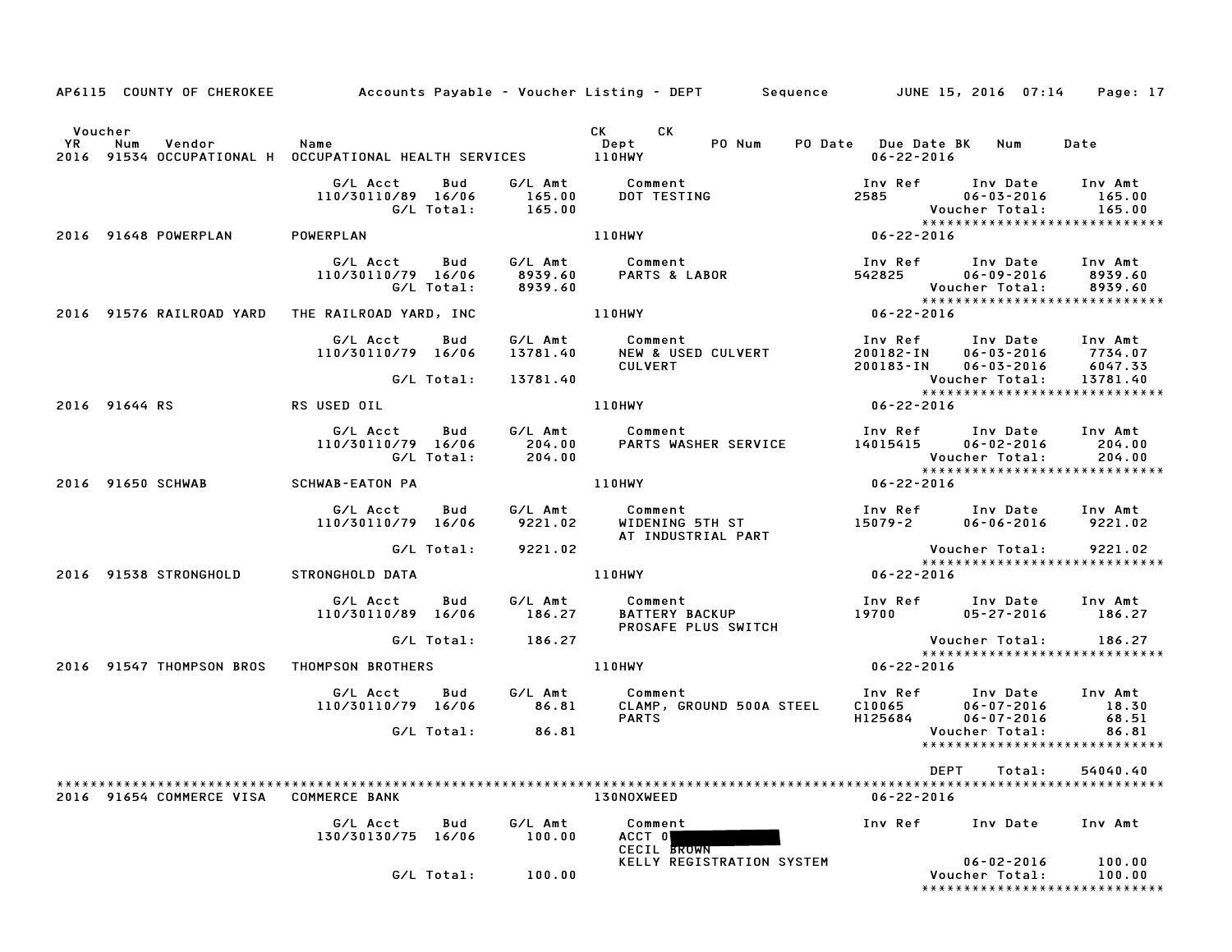|           |                |                          |                                                               |                          |                                 | AP6115 COUNTY OF CHEROKEE Accounts Payable - Voucher Listing - DEPT Sequence JUNE 15, 2016 07:14 Page: 17 |                                   |                                                                                              |                                           |
|-----------|----------------|--------------------------|---------------------------------------------------------------|--------------------------|---------------------------------|-----------------------------------------------------------------------------------------------------------|-----------------------------------|----------------------------------------------------------------------------------------------|-------------------------------------------|
| <b>YR</b> | Voucher<br>Num | Vendor                   | Name                                                          |                          |                                 | CK CK<br>PO Num<br>Dept                                                                                   | PO Date Due Date BK Num           |                                                                                              | Date                                      |
|           |                |                          | 2016 91534 OCCUPATIONAL H OCCUPATIONAL HEALTH SERVICES 110HWY |                          |                                 |                                                                                                           | $06 - 22 - 2016$                  |                                                                                              |                                           |
|           |                |                          | G/L Acct<br>110/30110/89 16/06                                | Bud<br>G/L Total:        | 165.00<br>165.00                | G/L Amt Comment<br>DOT TESTING                                                                            | 2585                              | Inv Ref      Inv Date<br>$06 - 03 - 2016$<br>Voucher Total:<br>***************************** | Inv Amt<br>165.00<br>165.00               |
|           |                | 2016 91648 POWERPLAN     | POWERPLAN                                                     |                          |                                 | <b>110HWY</b>                                                                                             | $06 - 22 - 2016$                  |                                                                                              |                                           |
|           |                |                          | G/L Acct<br>110/30110/79 16/06                                | Bud<br>G/L Total:        | G/L Amt<br>8939.60<br>8939.60   | Comment<br>Comment<br>PARTS & LABOR                                                                       | Inv Ref<br>542825                 | Inv Date<br>06-09-2016<br>Voucher Total:                                                     | Inv Amt<br>8939.60<br>8939.60             |
|           |                |                          | 2016 91576 RAILROAD YARD THE RAILROAD YARD, INC               |                          |                                 | 110HWY                                                                                                    | $06 - 22 - 2016$                  | *****************************                                                                |                                           |
|           |                |                          | G/L Acct<br>110/30110/79 16/06                                | Bud<br>G/L Total:        | G/L Amt<br>13781.40<br>13781.40 | Comment<br><b>NEW &amp; USED CULVERT</b><br><b>CULVERT</b>                                                | Inv Ref<br>200182-IN<br>200183-IN | Inv Date<br>$06 - 03 - 2016$<br>$06 - 03 - 2016$<br>Voucher Total:                           | Inv Amt<br>7734.07<br>6047.33<br>13781.40 |
|           |                |                          |                                                               |                          |                                 |                                                                                                           |                                   | *****************************                                                                |                                           |
|           | 2016 91644 RS  |                          | RS USED OIL                                                   |                          |                                 | <b>110HWY</b>                                                                                             | $06 - 22 - 2016$                  |                                                                                              |                                           |
|           |                |                          | G/L Acct<br>110/30110/79 16/06                                | <b>Bud</b><br>G/L Total: | G/L Amt<br>204.00<br>204.00     | Comment<br>PARTS WASHER SERVICE                                                                           | Inv Ref<br>14015415               | Inv Date Inv Amt<br>$06 - 02 - 2016$<br>Voucher Total:                                       | 204.00<br>204.00                          |
|           |                | 2016 91650 SCHWAB        | SCHWAB-EATON PA                                               |                          |                                 | <b>110HWY</b>                                                                                             | $06 - 22 - 2016$                  | *****************************                                                                |                                           |
|           |                |                          | G/L Acct<br>110/30110/79 16/06                                | Bud                      | G/L Amt<br>9221.02              | Comment<br>WIDENING 5TH ST<br>AT INDUSTRIAL PART                                                          | 15079-2                           | Inv Ref      Inv Date<br>$06 - 06 - 2016$                                                    | Inv Amt<br>9221.02                        |
|           |                |                          |                                                               | G/L Total:               | 9221.02                         |                                                                                                           |                                   | Voucher Total:                                                                               | 9221.02                                   |
|           |                | 2016 91538 STRONGHOLD    | STRONGHOLD DATA                                               |                          |                                 | 110HWY                                                                                                    | 06-22-2016                        | *****************************                                                                |                                           |
|           |                |                          | G/L Acct<br>110/30110/89 16/06                                | Bud                      | G/L Amt<br>186.27               | Comment<br><b>BATTERY BACKUP</b><br>PROSAFE PLUS SWITCH                                                   | 19700                             | Inv Ref Inv Date Inv Amt<br>05-27-2016                                                       | 186.27                                    |
|           |                |                          |                                                               | G/L Total:               | 186.27                          |                                                                                                           |                                   | Voucher Total:                                                                               | 186.27                                    |
|           |                | 2016 91547 THOMPSON BROS | THOMPSON BROTHERS                                             |                          |                                 | <b>110HWY</b>                                                                                             | $06 - 22 - 2016$                  | *****************************                                                                |                                           |
|           |                |                          | G/L Acct<br>110/30110/79 16/06                                | Bud                      | G/L Amt<br>86.81                | Comment<br>CLAMP, GROUND 500A STEEL                                                                       | Inv Ref<br>C10065                 | Inv Date<br>$06 - 07 - 2016$                                                                 | Inv Amt<br>18.30                          |
|           |                |                          |                                                               | G/L Total:               | 86.81                           | <b>PARTS</b>                                                                                              | H125684                           | $06 - 07 - 2016$<br>Voucher Total:<br>*****************************                          | 68.51<br>86.81                            |
|           |                |                          |                                                               |                          |                                 |                                                                                                           |                                   | DEPT<br>Total:                                                                               | 54040.40                                  |
|           |                | 2016 91654 COMMERCE VISA | <b>COMMERCE BANK</b>                                          |                          |                                 | 130NOXWEED                                                                                                | $06 - 22 - 2016$                  |                                                                                              |                                           |
|           |                |                          | G/L Acct<br>130/30130/75 16/06                                | Bud                      | G/L Amt<br>100.00               | Comment<br>ACCT 0<br><b>CECIL BROWN</b>                                                                   | Inv Ref                           | Inv Date                                                                                     | Inv Amt                                   |
|           |                |                          |                                                               | G/L Total:               | 100.00                          | KELLY REGISTRATION SYSTEM                                                                                 |                                   | $06 - 02 - 2016$<br>Voucher Total:<br>******************************                         | 100.00<br>100.00                          |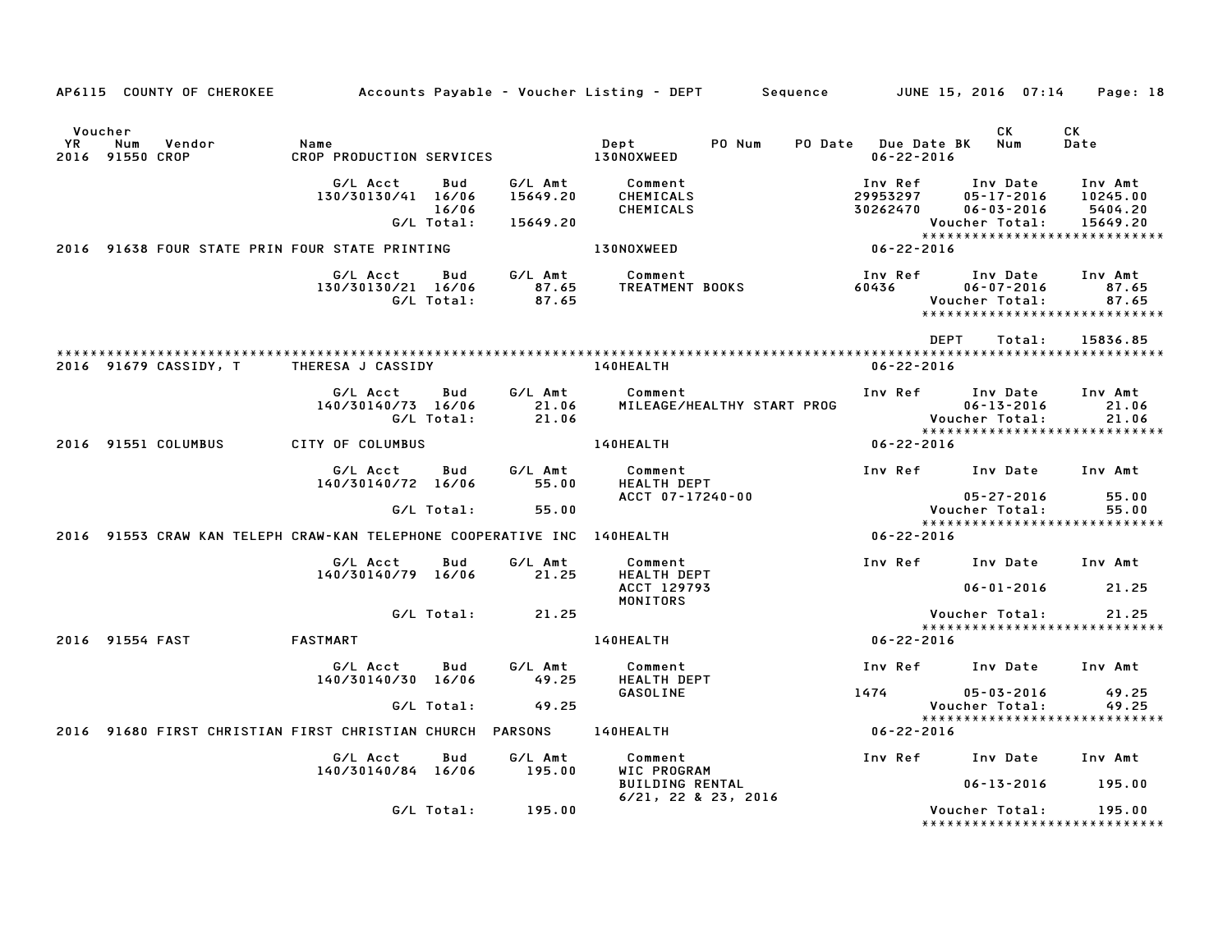|                      |                        | AP6115 COUNTY OF CHEROKEE |                                                                         |                            |                                 | Accounts Payable – Voucher Listing – DEPT         Sequence      |                                         | JUNE 15, 2016  07:14                                               | Page: 18                                                                    |
|----------------------|------------------------|---------------------------|-------------------------------------------------------------------------|----------------------------|---------------------------------|-----------------------------------------------------------------|-----------------------------------------|--------------------------------------------------------------------|-----------------------------------------------------------------------------|
| Voucher<br><b>YR</b> | Num<br>2016 91550 CROP | Vendor                    | Name<br>CROP PRODUCTION SERVICES                                        |                            |                                 | Dept<br>PO Num<br>130NOXWEED                                    | PO Date Due Date BK<br>$06 - 22 - 2016$ | CK<br>Num                                                          | CK<br>Date                                                                  |
|                      |                        |                           | G/L Acct<br>130/30130/41 16/06                                          | Bud<br>16/06<br>G/L Total: | G/L Amt<br>15649.20<br>15649.20 | Comment<br>CHEMICALS<br>CHEMICALS                               | Inv Ref<br>29953297<br>30262470         | Inv Date<br>$05 - 17 - 2016$<br>$06 - 03 - 2016$<br>Voucher Total: | Inv Amt<br>10245.00<br>5404.20<br>15649.20<br>***************************** |
|                      |                        |                           | 2016 91638 FOUR STATE PRIN FOUR STATE PRINTING                          |                            |                                 | 130NOXWEED                                                      | $06 - 22 - 2016$                        |                                                                    |                                                                             |
|                      |                        |                           | G/L Acct<br>130/30130/21 16/06                                          | Bud<br>G/L Total:          | G/L Amt<br>87.65<br>87.65       | Comment<br>TREATMENT BOOKS                                      | Inv Ref<br>60436                        | Inv Date<br>$06 - 07 - 2016$<br>Voucher Total:                     | Inv Amt<br>87.65<br>87.65<br>*****************************                  |
|                      |                        |                           |                                                                         |                            |                                 |                                                                 |                                         | <b>DEPT</b><br>Total:                                              | 15836.85                                                                    |
|                      |                        | 2016 91679 CASSIDY, T     | THERESA J CASSIDY                                                       |                            |                                 | 140HEALTH                                                       | $06 - 22 - 2016$                        |                                                                    |                                                                             |
|                      |                        |                           | G/L Acct<br>140/30140/73 16/06                                          | Bud<br>G/L Total:          | G/L Amt<br>21.06<br>21.06       | Comment<br>MILEAGE/HEALTHY START PROG                           | Inv Ref                                 | Inv Date<br>$06 - 13 - 2016$<br>Voucher Total:                     | Inv Amt<br>21.06<br>21.06                                                   |
|                      |                        | 2016 91551 COLUMBUS       | CITY OF COLUMBUS                                                        |                            |                                 | 140HEALTH                                                       | $06 - 22 - 2016$                        |                                                                    | *****************************                                               |
|                      |                        |                           | G/L Acct<br>140/30140/72 16/06                                          | Bud                        | G/L Amt<br>55.00                | Comment<br>HEALTH DEPT<br>ACCT 07-17240-00                      | Inv Ref                                 | Inv Date<br>$05 - 27 - 2016$                                       | Inv Amt<br>55.00                                                            |
|                      |                        |                           |                                                                         | G/L Total:                 | 55.00                           |                                                                 |                                         | Voucher Total:                                                     | 55.00                                                                       |
|                      |                        |                           | 2016 91553 CRAW KAN TELEPH CRAW-KAN TELEPHONE COOPERATIVE INC 140HEALTH |                            |                                 |                                                                 | $06 - 22 - 2016$                        |                                                                    | *****************************                                               |
|                      |                        |                           | G/L Acct<br>140/30140/79 16/06                                          | Bud                        | G/L Amt<br>21.25                | Comment<br><b>HEALTH DEPT</b>                                   | Inv Ref                                 | Inv Date                                                           | Inv Amt                                                                     |
|                      |                        |                           |                                                                         |                            |                                 | ACCT 129793<br>MONITORS                                         |                                         | $06 - 01 - 2016$                                                   | 21.25                                                                       |
|                      |                        |                           |                                                                         | G/L Total:                 | 21.25                           |                                                                 |                                         | Voucher Total:                                                     | 21.25<br>*****************************                                      |
|                      | 2016 91554 FAST        |                           | <b>FASTMART</b>                                                         |                            |                                 | 140HEALTH                                                       | $06 - 22 - 2016$                        |                                                                    |                                                                             |
|                      |                        |                           | G/L Acct<br>140/30140/30 16/06                                          | Bud                        | G/L Amt<br>49.25                | Comment<br><b>HEALTH DEPT</b>                                   | Inv Ref                                 | Inv Date                                                           | Inv Amt                                                                     |
|                      |                        |                           |                                                                         | G/L Total:                 | 49.25                           | GASOLINE                                                        | 1474                                    | $05 - 03 - 2016$<br>Voucher Total:                                 | 49.25<br>49.25                                                              |
|                      |                        |                           | 2016 91680 FIRST CHRISTIAN FIRST CHRISTIAN CHURCH PARSONS               |                            |                                 | 140HEALTH                                                       | 06-22-2016                              |                                                                    | *****************************                                               |
|                      |                        |                           | G/L Acct                                                                | Bud                        | G/L Amt                         | Comment                                                         | Inv Ref                                 | Inv Date                                                           | Inv Amt                                                                     |
|                      |                        |                           | 140/30140/84 16/06                                                      |                            | 195.00                          | WIC PROGRAM<br><b>BUILDING RENTAL</b><br>$6/21$ , 22 & 23, 2016 |                                         | $06 - 13 - 2016$                                                   | 195.00                                                                      |
|                      |                        |                           |                                                                         | G/L Total:                 | 195.00                          |                                                                 |                                         | Voucher Total:                                                     | 195.00<br>*****************************                                     |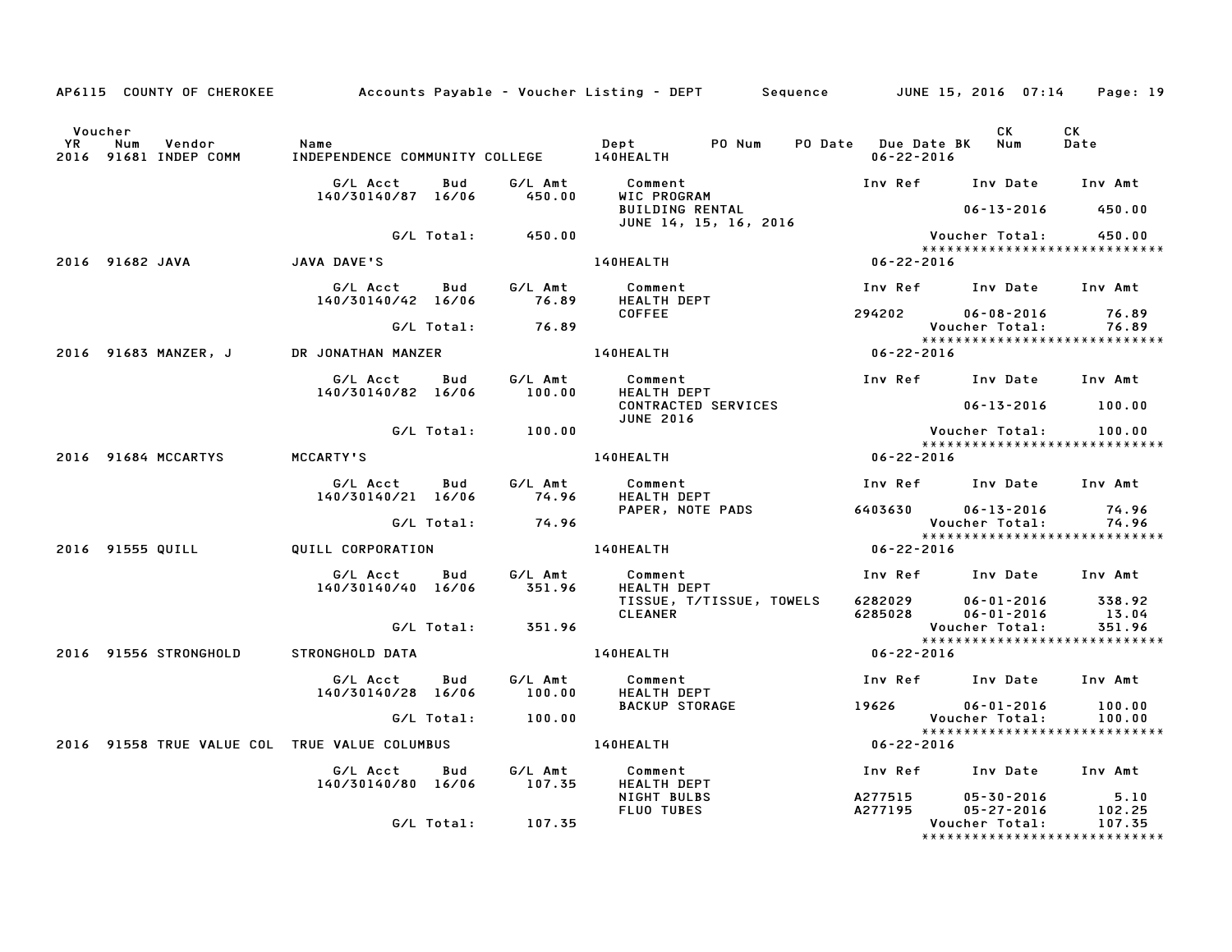|                      |                                               |                                                  |            |                   | AP6115 COUNTY OF CHEROKEE Accounts Payable - Voucher Listing - DEPT Sequence JUNE 15, 2016 07:14 Page: 19 |                                             |                                        |                                         |
|----------------------|-----------------------------------------------|--------------------------------------------------|------------|-------------------|-----------------------------------------------------------------------------------------------------------|---------------------------------------------|----------------------------------------|-----------------------------------------|
| Voucher<br><b>YR</b> | Num<br>Vendor<br>2016 91681 INDEP COMM        | Name<br>INDEPENDENCE COMMUNITY COLLEGE 140HEALTH |            |                   | Dept PO Num                                                                                               | PO Date Due Date BK Num<br>$06 - 22 - 2016$ | CK.                                    | CK<br>Date                              |
|                      |                                               | G/L Acct<br>140/30140/87 16/06                   | Bud        | G∕L Amt<br>450.00 | Comment<br>WIC PROGRAM                                                                                    |                                             | Inv Ref      Inv Date     Inv Amt      |                                         |
|                      |                                               |                                                  |            |                   | BUILDING RENTAL<br>JUNE 14, 15, 16, 2016                                                                  |                                             | 06-13-2016                             | 450.00                                  |
|                      |                                               |                                                  |            | G/L Total: 450.00 |                                                                                                           |                                             | Voucher Total:                         | 450.00<br>***************************** |
|                      | 2016 91682 JAVA                               | <b>JAVA DAVE'S</b>                               |            |                   | 140HEALTH                                                                                                 | $06 - 22 - 2016$                            |                                        |                                         |
|                      |                                               | G/L Acct   Bud   G/L Amt<br>140/30140/42 16/06   |            | 76.89             | Comment<br><b>HEALTH DEPT</b>                                                                             |                                             | Inv Ref      Inv Date     Inv Amt      |                                         |
|                      |                                               |                                                  | G/L Total: | 76.89             | <b>COFFEE</b>                                                                                             |                                             | 294202 06-08-2016<br>Voucher Total:    | 76.89<br>76.89                          |
|                      | 2016 91683 MANZER, J                          | DR JONATHAN MANZER                               |            |                   | 140HEALTH                                                                                                 | $06 - 22 - 2016$                            |                                        |                                         |
|                      |                                               | G/L Acct<br>140/30140/82 16/06                   | Bud        | G/L Amt<br>100.00 | Comment<br>HEALTH DEPT                                                                                    |                                             | Inv Ref     Inv Date    Inv Amt        |                                         |
|                      |                                               |                                                  |            |                   | CONTRACTED SERVICES<br><b>JUNE 2016</b>                                                                   |                                             | $06 - 13 - 2016$ 100.00                |                                         |
|                      |                                               |                                                  |            | G/L Total: 100.00 |                                                                                                           |                                             | Voucher Total:                         | 100.00                                  |
|                      | 2016 91684 MCCARTYS                           | <b>MCCARTY'S</b>                                 |            |                   | <b>140HEALTH</b>                                                                                          | $06 - 22 - 2016$                            |                                        |                                         |
|                      |                                               | G/L Acct<br>140/30140/21 16/06                   | Bud        | G/L Amt<br>74.96  | Comment<br><b>HEALTH DEPT</b>                                                                             |                                             | Inv Ref Inv Date Inv Amt               |                                         |
|                      |                                               |                                                  | G/L Total: | 74.96             | PAPER, NOTE PADS                                                                                          | 6403630                                     | $06 - 13 - 2016$<br>Voucher Total:     | 74.96<br>74.96                          |
|                      | 2016 91555 QUILL                              | QUILL CORPORATION                                |            |                   | 140HEALTH                                                                                                 | $06 - 22 - 2016$                            |                                        | *****************************           |
|                      |                                               | G/L Acct<br>140/30140/40 16/06                   | Bud        | G/L Amt<br>351.96 | Comment<br>HEALTH DEPT                                                                                    |                                             | Inv Ref Inv Date Inv Amt               |                                         |
|                      |                                               |                                                  |            |                   | TISSUE, T/TISSUE, TOWELS<br><b>CLEANER</b>                                                                | 6285028                                     | 6282029 06-01-2016<br>$06 - 01 - 2016$ | 338.92<br>13.04                         |
|                      |                                               |                                                  | G/L Total: | 351.96            |                                                                                                           |                                             | Voucher Total:                         | 351.96<br>***************************** |
|                      | 2016 91556 STRONGHOLD                         | STRONGHOLD DATA                                  |            |                   | <b>140HEALTH</b>                                                                                          | $06 - 22 - 2016$                            |                                        |                                         |
|                      |                                               | G/L Acct<br>140/30140/28 16/06                   | Bud        | G/L Amt<br>100.00 | Comment<br>HEALTH DEPT                                                                                    |                                             | Inv Ref Inv Date Inv Amt               |                                         |
|                      |                                               |                                                  | G/L Total: | 100.00            | <b>BACKUP STORAGE</b>                                                                                     |                                             | 19626 06-01-2016<br>Voucher Total:     | 100.00<br>100.00                        |
|                      | 2016 91558 TRUE VALUE COL TRUE VALUE COLUMBUS |                                                  |            |                   | <b>140HEALTH</b>                                                                                          | $06 - 22 - 2016$                            |                                        | *****************************           |
|                      |                                               | G/L Acct                                         | Bud        | G/L Amt           | Comment                                                                                                   |                                             | Inv Ref Inv Date Inv Amt               |                                         |
|                      |                                               | 140/30140/80 16/06                               |            | 107.35            | <b>HEALTH DEPT</b><br>NIGHT BULBS<br>FLUO TUBES                                                           | <b>A277515</b><br>A277195                   | 05-30-2016<br>$05 - 27 - 2016$         | 5.10<br>102.25                          |
|                      |                                               |                                                  | G/L Total: | 107.35            |                                                                                                           |                                             | Voucher Total:                         | 107.35<br>***************************** |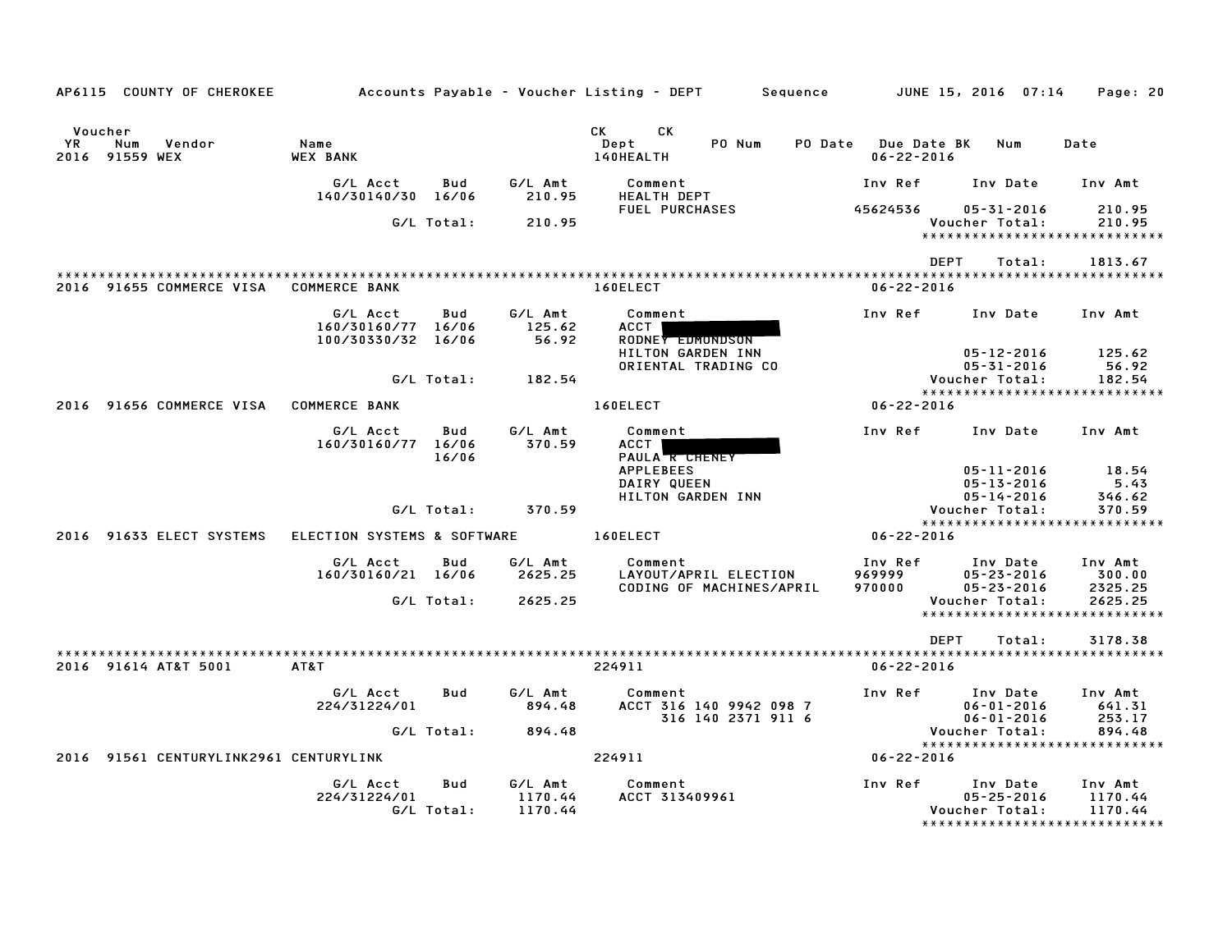| AP6115 COUNTY OF CHEROKEE                               | Accounts Payable – Voucher Listing – DEPT            |                   |                               |                                                          |                                                   | Sequence |                                         | JUNE 15, 2016 07:14                                                             | Page: 20                          |
|---------------------------------------------------------|------------------------------------------------------|-------------------|-------------------------------|----------------------------------------------------------|---------------------------------------------------|----------|-----------------------------------------|---------------------------------------------------------------------------------|-----------------------------------|
|                                                         |                                                      |                   |                               |                                                          |                                                   |          |                                         |                                                                                 |                                   |
| Voucher<br><b>YR</b><br>Num<br>Vendor<br>2016 91559 WEX | Name<br><b>WEX BANK</b>                              |                   |                               | CK<br>CK<br>Dept<br>140HEALTH                            | PO Num                                            |          | PO Date Due Date BK<br>$06 - 22 - 2016$ | Num                                                                             | Date                              |
|                                                         | G/L Acct<br>140/30140/30 16/06                       | Bud               | G/L Amt<br>210.95             | Comment<br><b>HEALTH DEPT</b>                            |                                                   |          | Inv Ref                                 | Inv Date                                                                        | Inv Amt                           |
|                                                         |                                                      | G/L Total:        | 210.95                        | <b>FUEL PURCHASES</b>                                    |                                                   |          | 45624536                                | 05-31-2016<br>Voucher Total:                                                    | 210.95<br>210.95                  |
|                                                         |                                                      |                   |                               |                                                          |                                                   |          |                                         | ******************************                                                  |                                   |
|                                                         |                                                      |                   |                               |                                                          |                                                   |          |                                         | <b>DEPT</b><br>Total:                                                           | 1813.67                           |
| 2016 91655 COMMERCE VISA                                | <b>COMMERCE BANK</b>                                 |                   |                               | 160ELECT                                                 |                                                   |          | $06 - 22 - 2016$                        |                                                                                 |                                   |
|                                                         | G/L Acct<br>160/30160/77 16/06<br>100/30330/32 16/06 | Bud               | G/L Amt<br>125.62<br>56.92    | Comment<br>ACCT<br>RODNEY EDMONDSON<br>HILTON GARDEN INN |                                                   |          | Inv Ref                                 | Inv Date<br>$05 - 12 - 2016$                                                    | Inv Amt<br>125.62                 |
|                                                         |                                                      | G/L Total:        | 182.54                        |                                                          | ORIENTAL TRADING CO                               |          |                                         | $05 - 31 - 2016$<br>Voucher Total:<br>*****************************             | 56.92<br>182.54                   |
| 2016 91656 COMMERCE VISA                                | <b>COMMERCE BANK</b>                                 |                   |                               | 160ELECT                                                 |                                                   |          | $06 - 22 - 2016$                        |                                                                                 |                                   |
|                                                         | G/L Acct<br>160/30160/77 16/06                       | Bud<br>16/06      | G/L Amt<br>370.59             | Comment<br><b>ACCT</b><br>PAULA <b>R CHENEY</b>          |                                                   |          | Inv Ref                                 | Inv Date                                                                        | Inv Amt                           |
|                                                         |                                                      | G/L Total:        | 370.59                        | <b>APPLEBEES</b><br>DAIRY QUEEN<br>HILTON GARDEN INN     |                                                   |          |                                         | $05 - 11 - 2016$<br>$05 - 13 - 2016$<br>$05 - 14 - 2016$<br>Voucher Total:      | 18.54<br>5.43<br>346.62<br>370.59 |
|                                                         |                                                      |                   |                               |                                                          |                                                   |          |                                         | *****************************                                                   |                                   |
| 2016 91633 ELECT SYSTEMS                                | ELECTION SYSTEMS & SOFTWARE                          |                   |                               | 160ELECT                                                 |                                                   |          | $06 - 22 - 2016$                        |                                                                                 |                                   |
|                                                         | G/L Acct<br>160/30160/21 16/06                       | Bud               | G/L Amt<br>2625.25            | Comment                                                  | LAYOUT/APRIL ELECTION<br>CODING OF MACHINES/APRIL |          | Inv Ref<br>969999<br>970000             | Inv Date<br>$05 - 23 - 2016$<br>$05 - 23 - 2016$                                | Inv Amt<br>300.00<br>2325.25      |
|                                                         |                                                      | G/L Total:        | 2625.25                       |                                                          |                                                   |          |                                         | Voucher Total:<br>*****************************                                 | 2625.25                           |
|                                                         |                                                      |                   |                               |                                                          |                                                   |          |                                         | <b>DEPT</b><br>Total:                                                           | 3178.38                           |
| 2016 91614 AT&T 5001                                    | AT&T                                                 |                   |                               | 224911                                                   |                                                   |          | $06 - 22 - 2016$                        |                                                                                 |                                   |
|                                                         | G/L Acct<br>224/31224/01                             | Bud               | G/L Amt<br>894.48             | Comment                                                  | ACCT 316 140 9942 098 7<br>316 140 2371 911 6     |          | Inv Ref                                 | Inv Date<br>$06 - 01 - 2016$<br>$06 - 01 - 2016$                                | Inv Amt<br>641.31<br>253.17       |
|                                                         |                                                      | G/L Total:        | 894.48                        |                                                          |                                                   |          |                                         | Voucher Total:                                                                  | 894.48                            |
| 2016 91561 CENTURYLINK2961 CENTURYLINK                  |                                                      |                   |                               | 224911                                                   |                                                   |          | 06-22-2016                              | *****************************                                                   |                                   |
|                                                         | G/L Acct<br>224/31224/01                             | Bud<br>G/L Total: | G/L Amt<br>1170.44<br>1170.44 | Comment<br>ACCT 313409961                                |                                                   |          | Inv Ref                                 | Inv Date<br>$05 - 25 - 2016$<br>Voucher Total:<br>***************************** | Inv Amt<br>1170.44<br>1170.44     |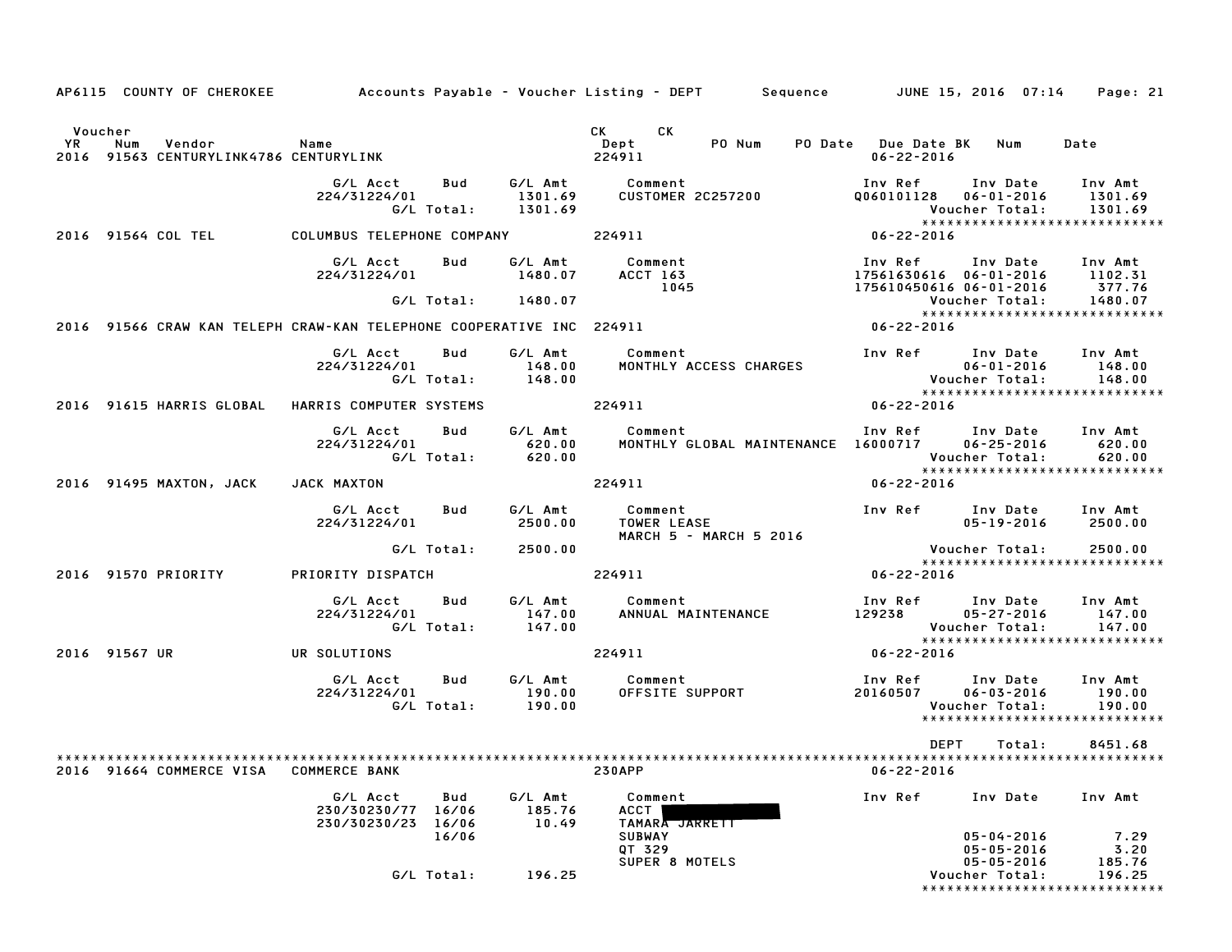|           |               | AP6115 COUNTY OF CHEROKEE                        |                                                                      |                       |                             | Accounts Payable – Voucher Listing – DEPT       Sequence         JUNE 15, 2016  07:14                                                                                                                                                |                                         |                                                                               | Page: 21                                                          |
|-----------|---------------|--------------------------------------------------|----------------------------------------------------------------------|-----------------------|-----------------------------|--------------------------------------------------------------------------------------------------------------------------------------------------------------------------------------------------------------------------------------|-----------------------------------------|-------------------------------------------------------------------------------|-------------------------------------------------------------------|
|           | Voucher       |                                                  |                                                                      |                       |                             | CK<br>CK the control of the control of the control of the control of the control of the control of the control of the control of the control of the control of the control of the control of the control of the control of the contr |                                         |                                                                               |                                                                   |
| <b>YR</b> | Num           | Vendor<br>2016 91563 CENTURYLINK4786 CENTURYLINK | Name                                                                 |                       |                             | PO Num<br>Dept<br>224911                                                                                                                                                                                                             | PO Date Due Date BK<br>$06 - 22 - 2016$ | Num                                                                           | Date                                                              |
|           |               |                                                  | G/L Acct<br>224/31224/01                                             | Bud<br>G/L Total:     | 1301.69<br>1301.69          | G/L Amt Comment<br><b>CUSTOMER 2C257200</b>                                                                                                                                                                                          | Q060101128                              | Inv Ref      Inv Date<br>$06 - 01 - 2016$<br>Voucher Total:                   | Inv Amt<br>1301.69<br>1301.69<br>******************************   |
|           |               | 2016 91564 COL TEL                               | COLUMBUS TELEPHONE COMPANY                                           |                       |                             | 224911                                                                                                                                                                                                                               | $06 - 22 - 2016$                        |                                                                               |                                                                   |
|           |               |                                                  | G/L Acct<br>224/31224/01                                             | Bud                   | G/L Amt<br>1480.07          | Comment<br><b>ACCT 163</b><br>1045                                                                                                                                                                                                   | Inv Ref                                 | Inv Date Inv Amt<br>17561630616 06-01-2016 1102.31<br>175610450616 06-01-2016 | 377.76                                                            |
|           |               |                                                  |                                                                      |                       | G/L Total: 1480.07          |                                                                                                                                                                                                                                      |                                         | Voucher Total:                                                                | 1480.07<br>*****************************                          |
|           |               |                                                  | 2016 91566 CRAW KAN TELEPH CRAW-KAN TELEPHONE COOPERATIVE INC 224911 |                       |                             |                                                                                                                                                                                                                                      | $06 - 22 - 2016$                        |                                                                               |                                                                   |
|           |               |                                                  | G/L Acct<br>224/31224/01                                             | Bud<br>G/L Total:     | G/L Amt<br>148.00<br>148.00 | Comment<br>MONTHLY ACCESS CHARGES                                                                                                                                                                                                    |                                         | Inv Ref Inv Date<br>$06 - 01 - 2016$<br>Voucher Total:                        | Inv Amt<br>148.00<br>148.00                                       |
|           |               |                                                  | 2016 91615 HARRIS GLOBAL HARRIS COMPUTER SYSTEMS                     |                       |                             | 224911                                                                                                                                                                                                                               | 06-22-2016                              |                                                                               | ******************************                                    |
|           |               |                                                  | G/L Acct<br>224/31224/01                                             | Bud<br>G/L Total:     | 620.00<br>620.00            | G/L Amt Comment<br>MONTHLY GLOBAL MAINTENANCE 16000717                                                                                                                                                                               | Inv Ref                                 | Inv Date Inv Amt<br>$06 - 25 - 2016$<br>Voucher Total:                        | 620.00<br>620.00<br>*****************************                 |
|           |               | 2016 91495 MAXTON, JACK                          | JACK MAXTON                                                          |                       |                             | 224911                                                                                                                                                                                                                               | 06-22-2016                              |                                                                               |                                                                   |
|           |               |                                                  | G/L Acct<br>224/31224/01                                             | Bud                   | G/L Amt<br>2500.00          | Comment<br><b>TOWER LEASE</b><br>MARCH 5 - MARCH 5 2016                                                                                                                                                                              |                                         | Inv Ref      Inv Date<br>$05 - 19 - 2016$                                     | Inv Amt<br>2500.00                                                |
|           |               |                                                  |                                                                      | G/L Total:            | 2500.00                     |                                                                                                                                                                                                                                      |                                         | Voucher Total:                                                                | 2500.00                                                           |
|           |               | 2016 91570 PRIORITY                              | PRIORITY DISPATCH                                                    |                       |                             | 224911                                                                                                                                                                                                                               | $06 - 22 - 2016$                        |                                                                               | *****************************                                     |
|           |               |                                                  | G/L Acct<br>224/31224/01                                             | Bud<br>G/L Total:     | G/L Amt<br>147.00<br>147.00 | Comment<br>ANNUAL MAINTENANCE                                                                                                                                                                                                        | 129238                                  | Inv Ref      Inv Date<br>05-27-2016<br>Voucher Total:                         | Inv Amt<br>147.00<br>147.00                                       |
|           | 2016 91567 UR |                                                  | UR SOLUTIONS                                                         |                       |                             | 224911                                                                                                                                                                                                                               | $06 - 22 - 2016$                        |                                                                               | *****************************                                     |
|           |               |                                                  | G/L Acct<br>224/31224/01                                             | Bud<br>G/L Total:     | G/L Amt<br>190.00<br>190.00 | Comment<br>OFFSITE SUPPORT                                                                                                                                                                                                           | 20160507                                | Inv Ref Inv Date<br>$06 - 03 - 2016$<br>Voucher Total:                        | Inv Amt<br>190.00<br>190.00<br>*****************************      |
|           |               |                                                  |                                                                      |                       |                             |                                                                                                                                                                                                                                      | DEPT                                    | Total:                                                                        | 8451.68                                                           |
|           |               | 2016 91664 COMMERCE VISA                         | <b>COMMERCE BANK</b>                                                 |                       |                             | <b>230APP</b>                                                                                                                                                                                                                        | $06 - 22 - 2016$                        |                                                                               |                                                                   |
|           |               |                                                  | G/L Acct<br>230/30230/77<br>230/30230/23                             | Bud<br>16/06<br>16/06 | G/L Amt<br>185.76<br>10.49  | Comment<br>ACCT<br>TAMARA JARRETT                                                                                                                                                                                                    | Inv Ref                                 | Inv Date                                                                      | Inv Amt                                                           |
|           |               |                                                  |                                                                      | 16/06<br>G/L Total:   | 196.25                      | <b>SUBWAY</b><br>QT 329<br>SUPER 8 MOTELS                                                                                                                                                                                            |                                         | $05 - 04 - 2016$<br>$05 - 05 - 2016$<br>$05 - 05 - 2016$<br>Voucher Total:    | 7.29<br>3.20<br>185.76<br>196.25<br>***************************** |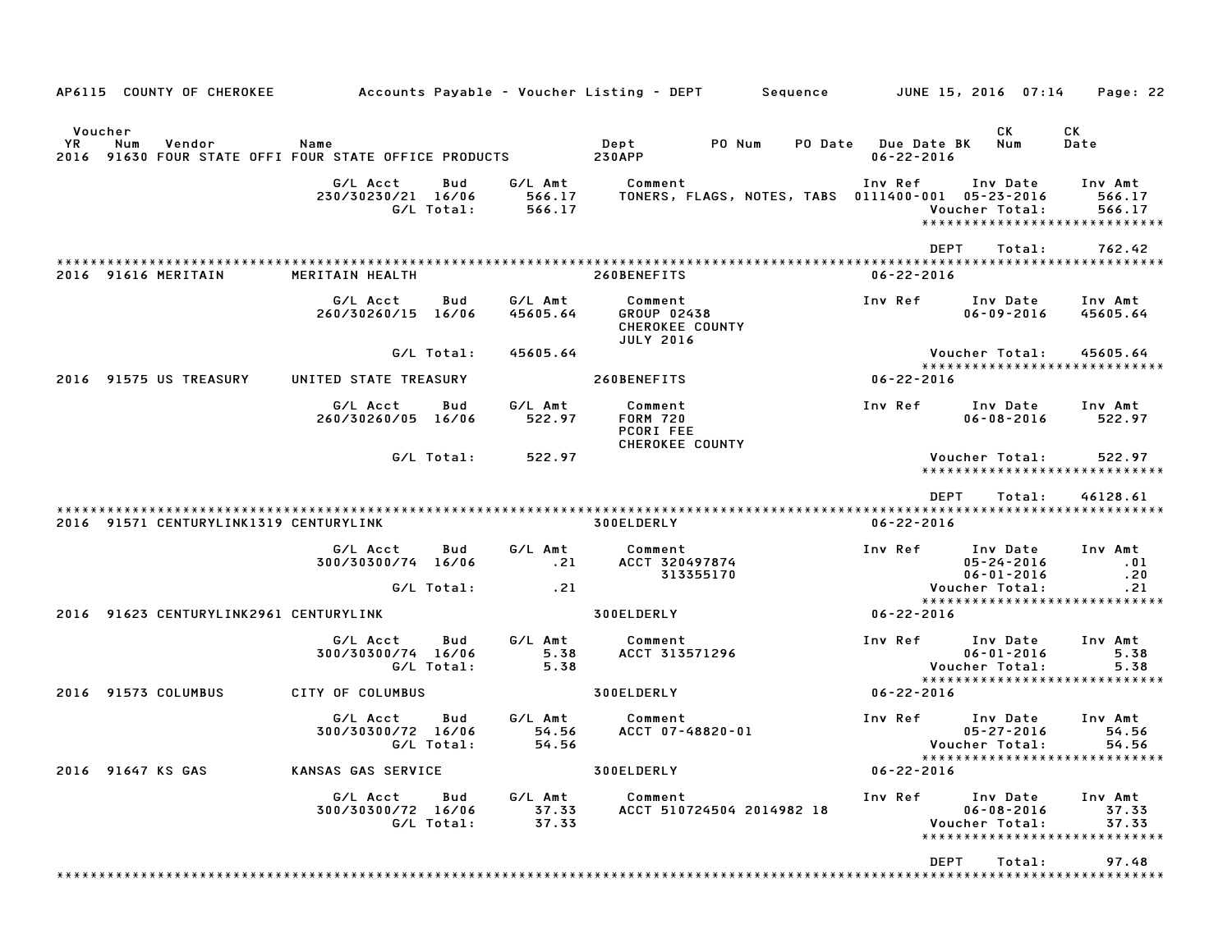| AP6115 COUNTY OF CHEROKEE              |                                                               |                             | Accounts Payable – Voucher Listing – DEPT        Sequence    | JUNE 15, 2016 07:14                                                                        | Page: 22                    |
|----------------------------------------|---------------------------------------------------------------|-----------------------------|--------------------------------------------------------------|--------------------------------------------------------------------------------------------|-----------------------------|
| Voucher<br>YR<br>Num<br>Vendor         | Name<br>2016 91630 FOUR STATE OFFI FOUR STATE OFFICE PRODUCTS |                             | Dept<br>PO Num<br><b>230APP</b>                              | СK<br><b>PO Date</b> Due Date BK<br>Num<br>$06 - 22 - 2016$                                | CK<br>Date                  |
|                                        | G/L Acct<br>Bud<br>230/30230/21 16/06<br>G/L Total:           | G/L Amt<br>566.17<br>566.17 | Comment<br>TONERS, FLAGS, NOTES, TABS 0111400-001 05-23-2016 | Inv Ref<br>Inv Date<br>Voucher Total:<br>*****************************                     | Inv Amt<br>566.17<br>566.17 |
|                                        |                                                               |                             |                                                              | <b>DEPT</b><br>Total:                                                                      | 762.42                      |
| 2016 91616 MERITAIN                    | MERITAIN HEALTH                                               |                             | 260BENEFITS                                                  | $06 - 22 - 2016$                                                                           |                             |
|                                        | Bud<br>G/L Acct<br>260/30260/15 16/06                         | G/L Amt<br>45605.64         | Comment<br>GROUP 02438<br>CHEROKEE COUNTY                    | Inv Ref<br>Inv Date<br>$06 - 09 - 2016$                                                    | Inv Amt<br>45605.64         |
|                                        | G/L Total:                                                    | 45605.64                    | <b>JULY 2016</b>                                             | Voucher Total:<br>*****************************                                            | 45605.64                    |
| 2016 91575 US TREASURY                 | UNITED STATE TREASURY                                         |                             | 260BENEFITS                                                  | $06 - 22 - 2016$                                                                           |                             |
|                                        | G/L Acct<br>Bud<br>260/30260/05 16/06                         | G/L Amt<br>522.97           | Comment<br><b>FORM 720</b><br>PCORI FEE                      | Inv Ref<br>Inv Date<br>$06 - 08 - 2016$                                                    | Inv Amt<br>522.97           |
|                                        | G/L Total:                                                    | 522.97                      | <b>CHEROKEE COUNTY</b>                                       | Voucher Total:<br>*****************************                                            | 522.97                      |
|                                        |                                                               |                             |                                                              | <b>DEPT</b><br>Total:                                                                      | 46128.61                    |
| 2016 91571 CENTURYLINK1319 CENTURYLINK |                                                               |                             | 300ELDERLY                                                   | $06 - 22 - 2016$                                                                           |                             |
|                                        | G/L Acct<br>Bud<br>300/30300/74 16/06                         | G/L Amt<br>.21              | Comment<br>ACCT 320497874<br>313355170                       | Inv Ref<br>Inv Date<br>$05 - 24 - 2016$<br>$06 - 01 - 2016$                                | Inv Amt<br>.01<br>.20       |
|                                        | G/L Total:                                                    | .21                         |                                                              | Voucher Total:<br>*****************************                                            | .21                         |
| 2016 91623 CENTURYLINK2961 CENTURYLINK |                                                               |                             | 300ELDERLY                                                   | $06 - 22 - 2016$                                                                           |                             |
|                                        | G/L Acct<br>Bud<br>300/30300/74 16/06<br>G/L Total:           | G/L Amt<br>5.38<br>5.38     | Comment<br>ACCT 313571296                                    | Inv Ref<br>Inv Date<br>$06 - 01 - 2016$<br>Voucher Total:<br>***************************** | Inv Amt<br>5.38<br>5.38     |
| 2016 91573 COLUMBUS                    | CITY OF COLUMBUS                                              |                             | 300ELDERLY                                                   | $06 - 22 - 2016$                                                                           |                             |
|                                        | G/L Acct<br>Bud<br>300/30300/72 16/06<br>G/L Total:           | G/L Amt<br>54.56<br>54.56   | Comment<br>ACCT 07-48820-01                                  | Inv Ref<br>Inv Date<br>$05 - 27 - 2016$<br>Voucher Total:                                  | Inv Amt<br>54.56<br>54.56   |
| 2016 91647 KS GAS                      | KANSAS GAS SERVICE                                            |                             | 300ELDERLY                                                   | *****************************<br>$06 - 22 - 2016$                                          |                             |
|                                        | G/L Acct<br>Bud<br>300/30300/72 16/06<br>G/L Total:           | G/L Amt<br>37.33<br>37.33   | Comment<br>ACCT 510724504 2014982 18                         | Inv Ref<br>Inv Date<br>$06 - 08 - 2016$<br>Voucher Total:<br>***************************** | Inv Amt<br>37.33<br>37.33   |
|                                        |                                                               |                             |                                                              | DEPT<br>Total:                                                                             | 97.48                       |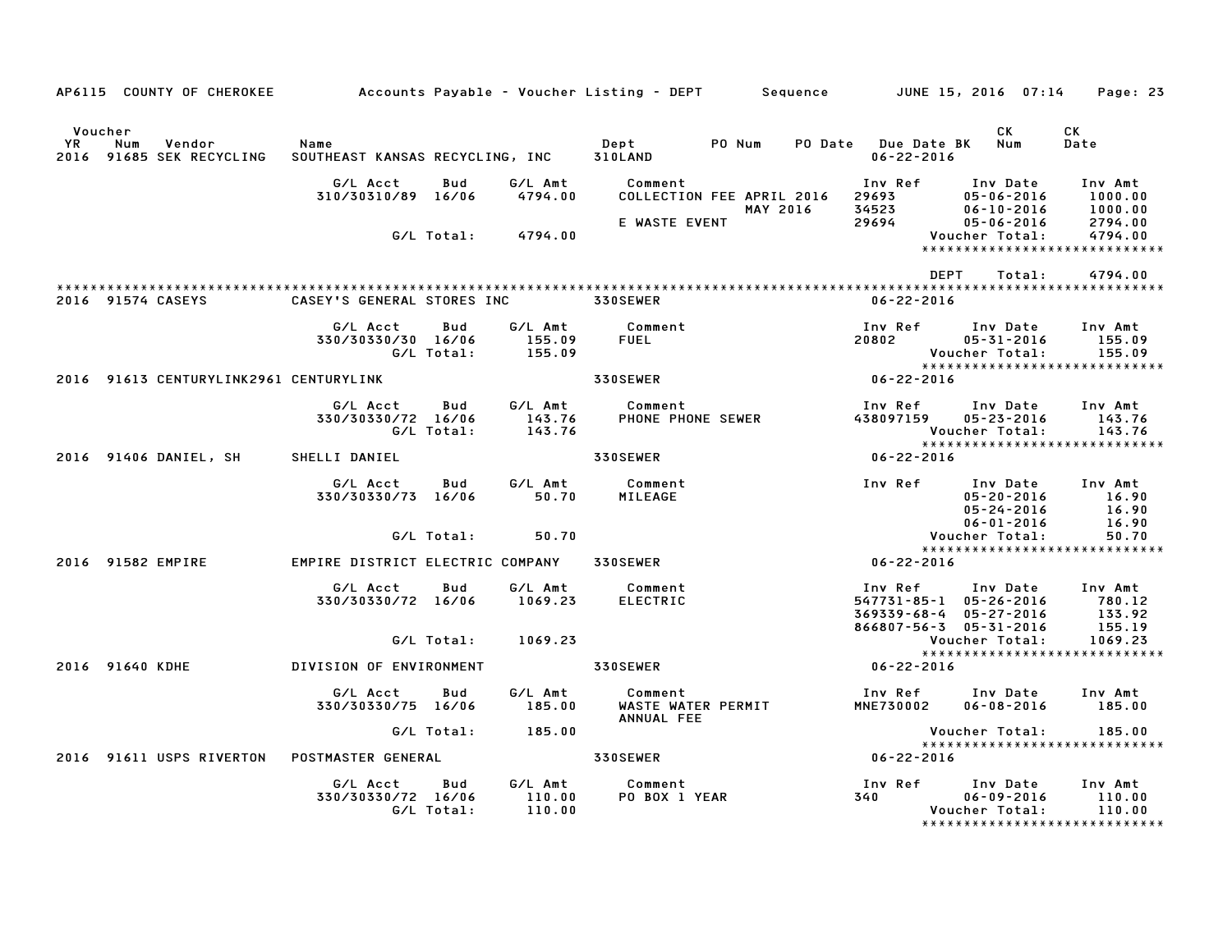|                | AP6115 COUNTY OF CHEROKEE                 |                                         |                   |                               | Accounts Payable – Voucher Listing – DEPT         Sequence         JUNE 15, 2016  07:14 |                                              |                                                                            |                                                                                  | Page: 23                                                       |
|----------------|-------------------------------------------|-----------------------------------------|-------------------|-------------------------------|-----------------------------------------------------------------------------------------|----------------------------------------------|----------------------------------------------------------------------------|----------------------------------------------------------------------------------|----------------------------------------------------------------|
| Voucher<br>YR. | Num<br>Vendor<br>2016 91685 SEK RECYCLING | Name<br>SOUTHEAST KANSAS RECYCLING, INC |                   |                               | Dept<br>310LAND                                                                         | PO Num                                       | PO Date Due Date BK<br>$06 - 22 - 2016$                                    | CK<br>Num                                                                        | CK<br>Date                                                     |
|                |                                           | G/L Acct<br>310/30310/89 16/06          | Bud<br>G/L Total: | G/L Amt<br>4794.00<br>4794.00 | Comment<br>E WASTE EVENT                                                                | COLLECTION FEE APRIL 2016<br><b>MAY 2016</b> | Inv Ref<br>29693 200<br>34523<br>29694                                     | Inv Date<br>$05 - 06 - 2016$<br>$06 - 10 - 2016$<br>05-06-2016<br>Voucher Total: | Inv Amt<br>1000.00<br>1000.00<br>2794.00<br>4794.00            |
|                | 2016 91574 CASEYS                         | CASEY'S GENERAL STORES INC              |                   |                               | 330SEWER                                                                                |                                              | DEPT<br>$06 - 22 - 2016$                                                   | Total:                                                                           | *****************************<br>4794.00                       |
|                |                                           | G/L Acct<br>330/30330/30 16/06          | Bud<br>G/L Total: | G/L Amt<br>155.09<br>155.09   | Comment<br><b>FUEL</b>                                                                  |                                              | Inv Ref<br>20802                                                           | Inv Date<br>$05 - 31 - 2016$<br>Voucher Total:                                   | Inv Amt<br>155.09<br>155.09<br>*****************************   |
|                | 2016 91613 CENTURYLINK2961 CENTURYLINK    |                                         |                   |                               | <b>330SEWER</b>                                                                         |                                              | 06-22-2016                                                                 |                                                                                  |                                                                |
|                |                                           | G/L Acct<br>330/30330/72 16/06          | Bud<br>G/L Total: | G/L Amt<br>143.76<br>143.76   | Comment<br>PHONE PHONE SEWER                                                            |                                              | Inv Ref<br>438097159                                                       | Inv Date<br>05-23-2016<br>Voucher Total:                                         | Inv Amt<br>143.76<br>143.76                                    |
|                | 2016 91406 DANIEL, SH                     | SHELLI DANIEL                           |                   |                               | 330SEWER                                                                                |                                              | 06-22-2016                                                                 |                                                                                  | *****************************                                  |
|                |                                           | G/L Acct<br>330/30330/73 16/06          | Bud               | G/L Amt<br>50.70              | Comment<br>MILEAGE                                                                      |                                              | Inv Ref                                                                    | Inv Date<br>$05 - 20 - 2016$<br>$05 - 24 - 2016$<br>$06 - 01 - 2016$             | Inv Amt<br>16.90<br>16.90<br>16.90                             |
|                |                                           |                                         | G/L Total:        | 50.70                         |                                                                                         |                                              |                                                                            | Voucher Total:                                                                   | 50.70<br>*****************************                         |
|                | 2016 91582 EMPIRE                         | EMPIRE DISTRICT ELECTRIC COMPANY        |                   |                               | <b>330SEWER</b>                                                                         |                                              | $06 - 22 - 2016$                                                           |                                                                                  |                                                                |
|                |                                           | G/L Acct<br>330/30330/72 16/06          | Bud               | G/L Amt<br>1069.23            | Comment<br><b>ELECTRIC</b>                                                              |                                              | Inv Ref<br>547731-85-1 05-26-2016<br>369339-68-4<br>866807-56-3 05-31-2016 | Inv Date<br>$05 - 27 - 2016$                                                     | Inv Amt<br>780.12<br>133.92<br>155.19                          |
|                |                                           |                                         | G/L Total:        | 1069.23                       |                                                                                         |                                              |                                                                            | Voucher Total:                                                                   | 1069.23<br>*****************************                       |
|                | 2016 91640 KDHE                           | DIVISION OF ENVIRONMENT                 |                   |                               | 330SEWER                                                                                |                                              | 06-22-2016                                                                 |                                                                                  |                                                                |
|                |                                           | G/L Acct<br>330/30330/75 16/06          | Bud               | G/L Amt<br>185.00             | Comment<br>WASTE WATER PERMIT<br>ANNUAL FEE                                             |                                              | Inv Ref<br><b>MNE730002</b>                                                | Inv Date<br>$06 - 08 - 2016$                                                     | Inv Amt<br>185.00                                              |
|                |                                           |                                         | G/L Total:        | 185.00                        |                                                                                         |                                              |                                                                            | Voucher Total:                                                                   | 185.00<br>*****************************                        |
|                | 2016 91611 USPS RIVERTON                  | POSTMASTER GENERAL                      |                   |                               | <b>330SEWER</b>                                                                         |                                              | $06 - 22 - 2016$                                                           |                                                                                  |                                                                |
|                |                                           | G/L Acct<br>330/30330/72 16/06          | Bud<br>G/L Total: | G/L Amt<br>110.00<br>110.00   | Comment<br>PO BOX 1 YEAR                                                                |                                              | Inv Ref<br>340                                                             | Inv Date<br>$06 - 09 - 2016$<br>Voucher Total:                                   | Inv Amt<br>110.00<br>110.00<br>******************************* |